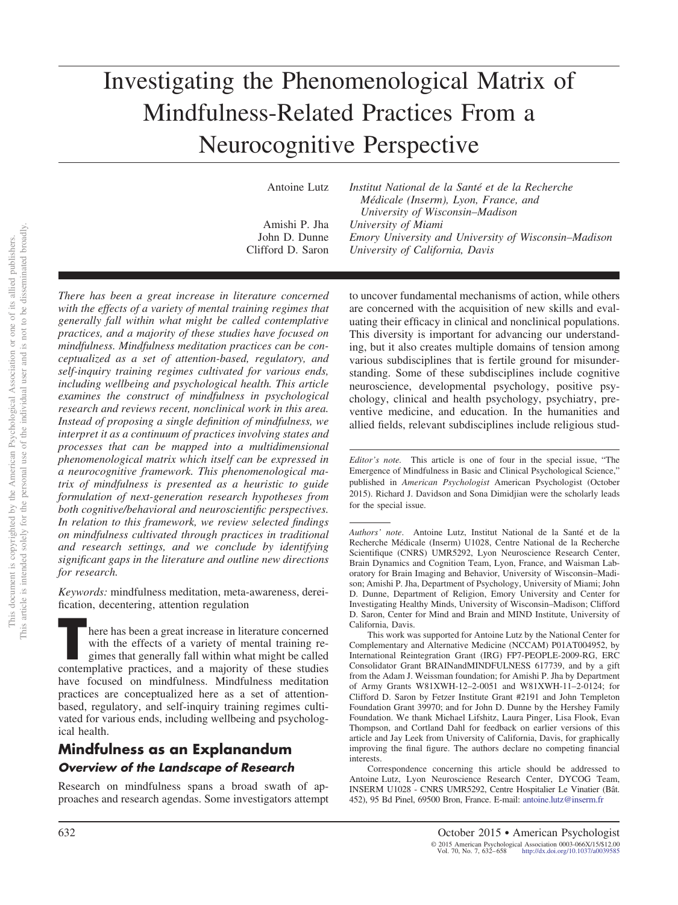# Investigating the Phenomenological Matrix of Mindfulness-Related Practices From a Neurocognitive Perspective

Antoine Lutz *Institut National de la Santé et de la Recherche Médicale (Inserm), Lyon, France, and University of Wisconsin–Madison* Amishi P. Jha *University of Miami* John D. Dunne *Emory University and University of Wisconsin–Madison* Clifford D. Saron *University of California, Davis*

*There has been a great increase in literature concerned with the effects of a variety of mental training regimes that generally fall within what might be called contemplative practices, and a majority of these studies have focused on mindfulness. Mindfulness meditation practices can be conceptualized as a set of attention-based, regulatory, and self-inquiry training regimes cultivated for various ends, including wellbeing and psychological health. This article examines the construct of mindfulness in psychological research and reviews recent, nonclinical work in this area. Instead of proposing a single definition of mindfulness, we interpret it as a continuum of practices involving states and processes that can be mapped into a multidimensional phenomenological matrix which itself can be expressed in a neurocognitive framework. This phenomenological matrix of mindfulness is presented as a heuristic to guide formulation of next-generation research hypotheses from both cognitive/behavioral and neuroscientific perspectives. In relation to this framework, we review selected findings on mindfulness cultivated through practices in traditional and research settings, and we conclude by identifying significant gaps in the literature and outline new directions for research.*

*Keywords:* mindfulness meditation, meta-awareness, dereification, decentering, attention regulation

There has been a great increase in literature concerned<br>with the effects of a variety of mental training re-<br>gimes that generally fall within what might be called<br>contemplative practices, and a majority of these studies with the effects of a variety of mental training regimes that generally fall within what might be called contemplative practices, and a majority of these studies have focused on mindfulness. Mindfulness meditation practices are conceptualized here as a set of attentionbased, regulatory, and self-inquiry training regimes cultivated for various ends, including wellbeing and psychological health.

# **Mindfulness as an Explanandum** *Overview of the Landscape of Research*

Research on mindfulness spans a broad swath of approaches and research agendas. Some investigators attempt

to uncover fundamental mechanisms of action, while others are concerned with the acquisition of new skills and evaluating their efficacy in clinical and nonclinical populations. This diversity is important for advancing our understanding, but it also creates multiple domains of tension among various subdisciplines that is fertile ground for misunderstanding. Some of these subdisciplines include cognitive neuroscience, developmental psychology, positive psychology, clinical and health psychology, psychiatry, preventive medicine, and education. In the humanities and allied fields, relevant subdisciplines include religious stud-

*Editor's note.* This article is one of four in the special issue, "The Emergence of Mindfulness in Basic and Clinical Psychological Science," published in *American Psychologist* American Psychologist (October 2015). Richard J. Davidson and Sona Dimidjian were the scholarly leads for the special issue.

*Authors' note*. Antoine Lutz, Institut National de la Santé et de la Recherche Médicale (Inserm) U1028, Centre National de la Recherche Scientifique (CNRS) UMR5292, Lyon Neuroscience Research Center, Brain Dynamics and Cognition Team, Lyon, France, and Waisman Laboratory for Brain Imaging and Behavior, University of Wisconsin–Madison; Amishi P. Jha, Department of Psychology, University of Miami; John D. Dunne, Department of Religion, Emory University and Center for Investigating Healthy Minds, University of Wisconsin–Madison; Clifford D. Saron, Center for Mind and Brain and MIND Institute, University of California, Davis.

This work was supported for Antoine Lutz by the National Center for Complementary and Alternative Medicine (NCCAM) P01AT004952, by International Reintegration Grant (IRG) FP7-PEOPLE-2009-RG, ERC Consolidator Grant BRAINandMINDFULNESS 617739, and by a gift from the Adam J. Weissman foundation; for Amishi P. Jha by Department of Army Grants W81XWH-12–2-0051 and W81XWH-11–2-0124; for Clifford D. Saron by Fetzer Institute Grant #2191 and John Templeton Foundation Grant 39970; and for John D. Dunne by the Hershey Family Foundation. We thank Michael Lifshitz, Laura Pinger, Lisa Flook, Evan Thompson, and Cortland Dahl for feedback on earlier versions of this article and Jay Leek from University of California, Davis, for graphically improving the final figure. The authors declare no competing financial interests.

Correspondence concerning this article should be addressed to Antoine Lutz, Lyon Neuroscience Research Center, DYCOG Team, INSERM U1028 - CNRS UMR5292, Centre Hospitalier Le Vinatier (Bât. 452), 95 Bd Pinel, 69500 Bron, France. E-mail: [antoine.lutz@inserm.fr](mailto:antoine.lutz@inserm.fr)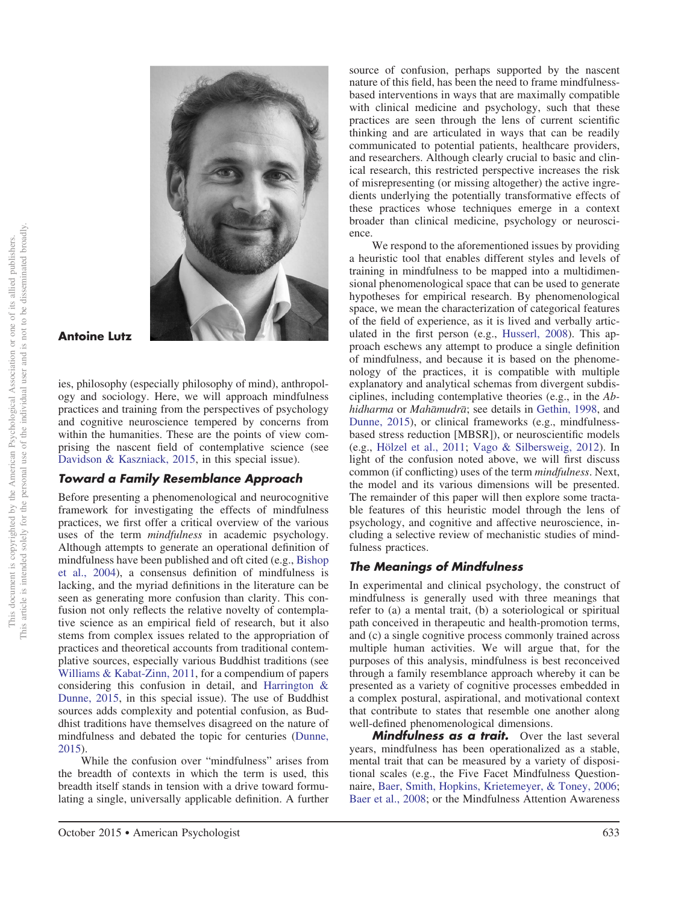

**Antoine Lutz**

ies, philosophy (especially philosophy of mind), anthropology and sociology. Here, we will approach mindfulness practices and training from the perspectives of psychology and cognitive neuroscience tempered by concerns from within the humanities. These are the points of view comprising the nascent field of contemplative science (see [Davidson & Kaszniack, 2015,](#page-22-0) in this special issue).

## *Toward a Family Resemblance Approach*

Before presenting a phenomenological and neurocognitive framework for investigating the effects of mindfulness practices, we first offer a critical overview of the various uses of the term *mindfulness* in academic psychology. Although attempts to generate an operational definition of mindfulness have been published and oft cited (e.g., [Bishop](#page-21-0) [et al., 2004\)](#page-21-0), a consensus definition of mindfulness is lacking, and the myriad definitions in the literature can be seen as generating more confusion than clarity. This confusion not only reflects the relative novelty of contemplative science as an empirical field of research, but it also stems from complex issues related to the appropriation of practices and theoretical accounts from traditional contemplative sources, especially various Buddhist traditions (see [Williams & Kabat-Zinn, 2011,](#page-26-0) for a compendium of papers considering this confusion in detail, and [Harrington &](#page-23-0) [Dunne, 2015,](#page-23-0) in this special issue). The use of Buddhist sources adds complexity and potential confusion, as Buddhist traditions have themselves disagreed on the nature of mindfulness and debated the topic for centuries [\(Dunne,](#page-22-1) [2015\)](#page-22-1).

While the confusion over "mindfulness" arises from the breadth of contexts in which the term is used, this breadth itself stands in tension with a drive toward formulating a single, universally applicable definition. A further

October 2015 ● American Psychologist 633

source of confusion, perhaps supported by the nascent nature of this field, has been the need to frame mindfulnessbased interventions in ways that are maximally compatible with clinical medicine and psychology, such that these practices are seen through the lens of current scientific thinking and are articulated in ways that can be readily communicated to potential patients, healthcare providers, and researchers. Although clearly crucial to basic and clinical research, this restricted perspective increases the risk of misrepresenting (or missing altogether) the active ingredients underlying the potentially transformative effects of these practices whose techniques emerge in a context broader than clinical medicine, psychology or neuroscience.

We respond to the aforementioned issues by providing a heuristic tool that enables different styles and levels of training in mindfulness to be mapped into a multidimensional phenomenological space that can be used to generate hypotheses for empirical research. By phenomenological space, we mean the characterization of categorical features of the field of experience, as it is lived and verbally articulated in the first person (e.g., [Husserl, 2008\)](#page-23-1). This approach eschews any attempt to produce a single definition of mindfulness, and because it is based on the phenomenology of the practices, it is compatible with multiple explanatory and analytical schemas from divergent subdisciplines, including contemplative theories (e.g., in the *Abhidharma* or *Maha*-*mudra*-; see details in [Gethin, 1998,](#page-23-2) and [Dunne, 2015\)](#page-22-1), or clinical frameworks (e.g., mindfulnessbased stress reduction [MBSR]), or neuroscientific models (e.g., [Hölzel et al., 2011;](#page-23-3) [Vago & Silbersweig, 2012\)](#page-25-0). In light of the confusion noted above, we will first discuss common (if conflicting) uses of the term *mindfulness*. Next, the model and its various dimensions will be presented. The remainder of this paper will then explore some tractable features of this heuristic model through the lens of psychology, and cognitive and affective neuroscience, including a selective review of mechanistic studies of mindfulness practices.

## *The Meanings of Mindfulness*

In experimental and clinical psychology, the construct of mindfulness is generally used with three meanings that refer to (a) a mental trait, (b) a soteriological or spiritual path conceived in therapeutic and health-promotion terms, and (c) a single cognitive process commonly trained across multiple human activities. We will argue that, for the purposes of this analysis, mindfulness is best reconceived through a family resemblance approach whereby it can be presented as a variety of cognitive processes embedded in a complex postural, aspirational, and motivational context that contribute to states that resemble one another along well-defined phenomenological dimensions.

*Mindfulness as a trait.* Over the last several years, mindfulness has been operationalized as a stable, mental trait that can be measured by a variety of dispositional scales (e.g., the Five Facet Mindfulness Questionnaire, [Baer, Smith, Hopkins, Krietemeyer, & Toney, 2006;](#page-21-1) [Baer et al., 2008;](#page-21-2) or the Mindfulness Attention Awareness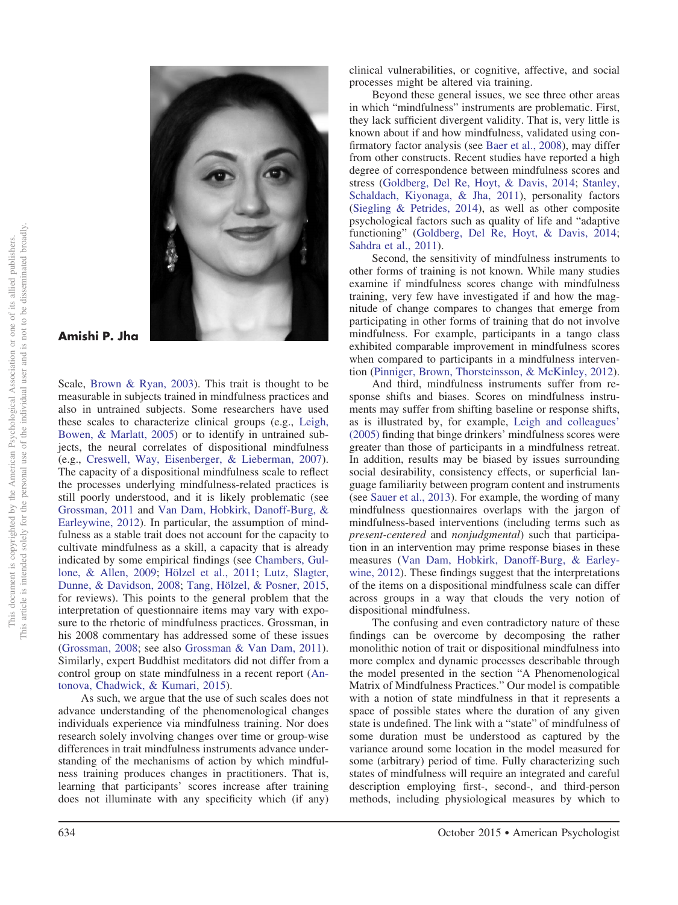

**Amishi P. Jha**

Scale, [Brown & Ryan, 2003\)](#page-21-3). This trait is thought to be measurable in subjects trained in mindfulness practices and also in untrained subjects. Some researchers have used these scales to characterize clinical groups (e.g., [Leigh,](#page-24-0) [Bowen, & Marlatt, 2005\)](#page-24-0) or to identify in untrained subjects, the neural correlates of dispositional mindfulness (e.g., [Creswell, Way, Eisenberger, & Lieberman, 2007\)](#page-22-2). The capacity of a dispositional mindfulness scale to reflect the processes underlying mindfulness-related practices is still poorly understood, and it is likely problematic (see [Grossman, 2011](#page-23-4) and [Van Dam, Hobkirk, Danoff-Burg, &](#page-25-1) [Earleywine, 2012\)](#page-25-1). In particular, the assumption of mindfulness as a stable trait does not account for the capacity to cultivate mindfulness as a skill, a capacity that is already indicated by some empirical findings (see [Chambers, Gul](#page-22-3)[lone, & Allen, 2009;](#page-22-3) [Hölzel et al., 2011;](#page-23-3) [Lutz, Slagter,](#page-24-1) [Dunne, & Davidson, 2008;](#page-24-1) [Tang, Hölzel, & Posner, 2015,](#page-25-2) for reviews). This points to the general problem that the interpretation of questionnaire items may vary with exposure to the rhetoric of mindfulness practices. Grossman, in his 2008 commentary has addressed some of these issues [\(Grossman, 2008;](#page-23-5) see also [Grossman & Van Dam, 2011\)](#page-23-6). Similarly, expert Buddhist meditators did not differ from a control group on state mindfulness in a recent report [\(An](#page-21-4)[tonova, Chadwick, & Kumari, 2015\)](#page-21-4).

As such, we argue that the use of such scales does not advance understanding of the phenomenological changes individuals experience via mindfulness training. Nor does research solely involving changes over time or group-wise differences in trait mindfulness instruments advance understanding of the mechanisms of action by which mindfulness training produces changes in practitioners. That is, learning that participants' scores increase after training does not illuminate with any specificity which (if any) clinical vulnerabilities, or cognitive, affective, and social processes might be altered via training.

Beyond these general issues, we see three other areas in which "mindfulness" instruments are problematic. First, they lack sufficient divergent validity. That is, very little is known about if and how mindfulness, validated using confirmatory factor analysis (see [Baer et al., 2008\)](#page-21-2), may differ from other constructs. Recent studies have reported a high degree of correspondence between mindfulness scores and stress [\(Goldberg, Del Re, Hoyt, & Davis, 2014;](#page-23-7) [Stanley,](#page-25-3) [Schaldach, Kiyonaga, & Jha, 2011\)](#page-25-3), personality factors [\(Siegling & Petrides, 2014\)](#page-25-4), as well as other composite psychological factors such as quality of life and "adaptive functioning" [\(Goldberg, Del Re, Hoyt, & Davis, 2014;](#page-23-7) [Sahdra et al., 2011\)](#page-25-5).

Second, the sensitivity of mindfulness instruments to other forms of training is not known. While many studies examine if mindfulness scores change with mindfulness training, very few have investigated if and how the magnitude of change compares to changes that emerge from participating in other forms of training that do not involve mindfulness. For example, participants in a tango class exhibited comparable improvement in mindfulness scores when compared to participants in a mindfulness intervention [\(Pinniger, Brown, Thorsteinsson, & McKinley, 2012\)](#page-24-2).

And third, mindfulness instruments suffer from response shifts and biases. Scores on mindfulness instruments may suffer from shifting baseline or response shifts, as is illustrated by, for example, [Leigh and colleagues'](#page-24-0) [\(2005\)](#page-24-0) finding that binge drinkers' mindfulness scores were greater than those of participants in a mindfulness retreat. In addition, results may be biased by issues surrounding social desirability, consistency effects, or superficial language familiarity between program content and instruments (see [Sauer et al., 2013\)](#page-25-6). For example, the wording of many mindfulness questionnaires overlaps with the jargon of mindfulness-based interventions (including terms such as *present-centered* and *nonjudgmental*) such that participation in an intervention may prime response biases in these measures [\(Van Dam, Hobkirk, Danoff-Burg, & Earley](#page-25-1)[wine, 2012\)](#page-25-1). These findings suggest that the interpretations of the items on a dispositional mindfulness scale can differ across groups in a way that clouds the very notion of dispositional mindfulness.

The confusing and even contradictory nature of these findings can be overcome by decomposing the rather monolithic notion of trait or dispositional mindfulness into more complex and dynamic processes describable through the model presented in the section "A Phenomenological Matrix of Mindfulness Practices." Our model is compatible with a notion of state mindfulness in that it represents a space of possible states where the duration of any given state is undefined. The link with a "state" of mindfulness of some duration must be understood as captured by the variance around some location in the model measured for some (arbitrary) period of time. Fully characterizing such states of mindfulness will require an integrated and careful description employing first-, second-, and third-person methods, including physiological measures by which to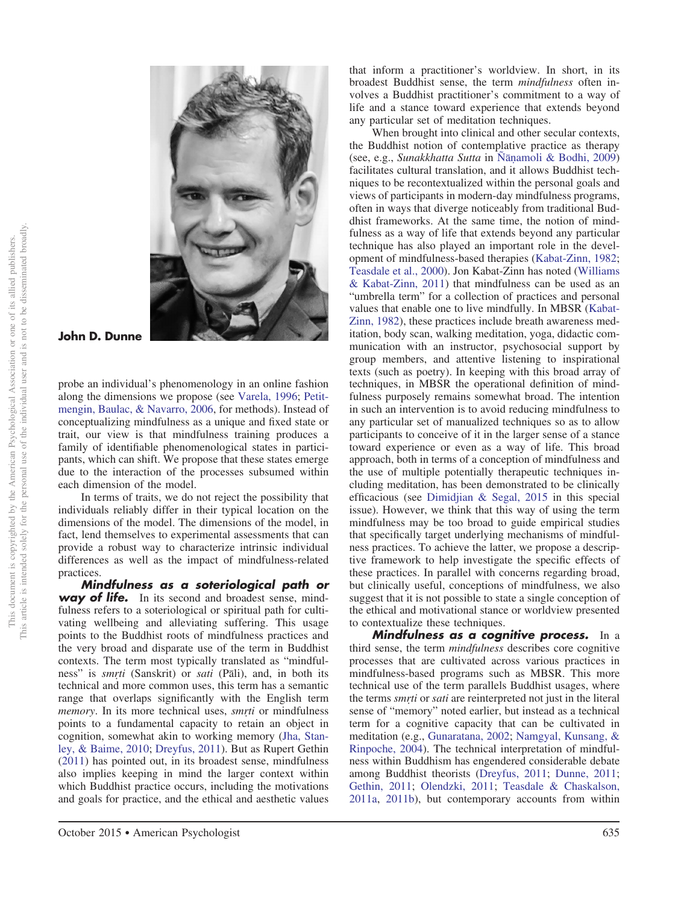

**John D. Dunne**

probe an individual's phenomenology in an online fashion along the dimensions we propose (see [Varela, 1996;](#page-26-1) [Petit](#page-24-3)[mengin, Baulac, & Navarro, 2006,](#page-24-3) for methods). Instead of conceptualizing mindfulness as a unique and fixed state or trait, our view is that mindfulness training produces a family of identifiable phenomenological states in participants, which can shift. We propose that these states emerge due to the interaction of the processes subsumed within each dimension of the model.

In terms of traits, we do not reject the possibility that individuals reliably differ in their typical location on the dimensions of the model. The dimensions of the model, in fact, lend themselves to experimental assessments that can provide a robust way to characterize intrinsic individual differences as well as the impact of mindfulness-related practices.

*Mindfulness as a soteriological path or* **way of life.** In its second and broadest sense, mindfulness refers to a soteriological or spiritual path for cultivating wellbeing and alleviating suffering. This usage points to the Buddhist roots of mindfulness practices and the very broad and disparate use of the term in Buddhist contexts. The term most typically translated as "mindfulness" is *smrti* (Sanskrit) or *sati* (Pali), and, in both its technical and more common uses, this term has a semantic range that overlaps significantly with the English term *memory*. In its more technical uses, *smrti* or mindfulness points to a fundamental capacity to retain an object in cognition, somewhat akin to working memory [\(Jha, Stan](#page-23-8)[ley, & Baime, 2010;](#page-23-8) [Dreyfus, 2011\)](#page-22-4). But as Rupert Gethin [\(2011\)](#page-23-9) has pointed out, in its broadest sense, mindfulness also implies keeping in mind the larger context within which Buddhist practice occurs, including the motivations and goals for practice, and the ethical and aesthetic values

that inform a practitioner's worldview. In short, in its broadest Buddhist sense, the term *mindfulness* often involves a Buddhist practitioner's commitment to a way of life and a stance toward experience that extends beyond any particular set of meditation techniques.

When brought into clinical and other secular contexts, the Buddhist notion of contemplative practice as therapy (see, e.g., *Sunakkhatta Sutta* in Ñāṇ[amoli & Bodhi, 2009\)](#page-24-4) facilitates cultural translation, and it allows Buddhist techniques to be recontextualized within the personal goals and views of participants in modern-day mindfulness programs, often in ways that diverge noticeably from traditional Buddhist frameworks. At the same time, the notion of mindfulness as a way of life that extends beyond any particular technique has also played an important role in the development of mindfulness-based therapies [\(Kabat-Zinn, 1982;](#page-23-10) [Teasdale et al., 2000\)](#page-25-7). Jon Kabat-Zinn has noted [\(Williams](#page-26-0) [& Kabat-Zinn, 2011\)](#page-26-0) that mindfulness can be used as an "umbrella term" for a collection of practices and personal values that enable one to live mindfully. In MBSR [\(Kabat-](#page-23-10)[Zinn, 1982\)](#page-23-10), these practices include breath awareness meditation, body scan, walking meditation, yoga, didactic communication with an instructor, psychosocial support by group members, and attentive listening to inspirational texts (such as poetry). In keeping with this broad array of techniques, in MBSR the operational definition of mindfulness purposely remains somewhat broad. The intention in such an intervention is to avoid reducing mindfulness to any particular set of manualized techniques so as to allow participants to conceive of it in the larger sense of a stance toward experience or even as a way of life. This broad approach, both in terms of a conception of mindfulness and the use of multiple potentially therapeutic techniques including meditation, has been demonstrated to be clinically efficacious (see [Dimidjian & Segal, 2015](#page-22-5) in this special issue). However, we think that this way of using the term mindfulness may be too broad to guide empirical studies that specifically target underlying mechanisms of mindfulness practices. To achieve the latter, we propose a descriptive framework to help investigate the specific effects of these practices. In parallel with concerns regarding broad, but clinically useful, conceptions of mindfulness, we also suggest that it is not possible to state a single conception of the ethical and motivational stance or worldview presented to contextualize these techniques.

*Mindfulness as a cognitive process.* In a third sense, the term *mindfulness* describes core cognitive processes that are cultivated across various practices in mindfulness-based programs such as MBSR. This more technical use of the term parallels Buddhist usages, where the terms *smrti* or *sati* are reinterpreted not just in the literal sense of "memory" noted earlier, but instead as a technical term for a cognitive capacity that can be cultivated in meditation (e.g., [Gunaratana, 2002;](#page-23-11) [Namgyal, Kunsang, &](#page-24-5) [Rinpoche, 2004\)](#page-24-5). The technical interpretation of mindfulness within Buddhism has engendered considerable debate among Buddhist theorists [\(Dreyfus, 2011;](#page-22-4) [Dunne, 2011;](#page-22-6) [Gethin, 2011;](#page-23-9) [Olendzki, 2011;](#page-24-6) [Teasdale & Chaskalson,](#page-25-8) [2011a,](#page-25-8) [2011b\)](#page-25-9), but contemporary accounts from within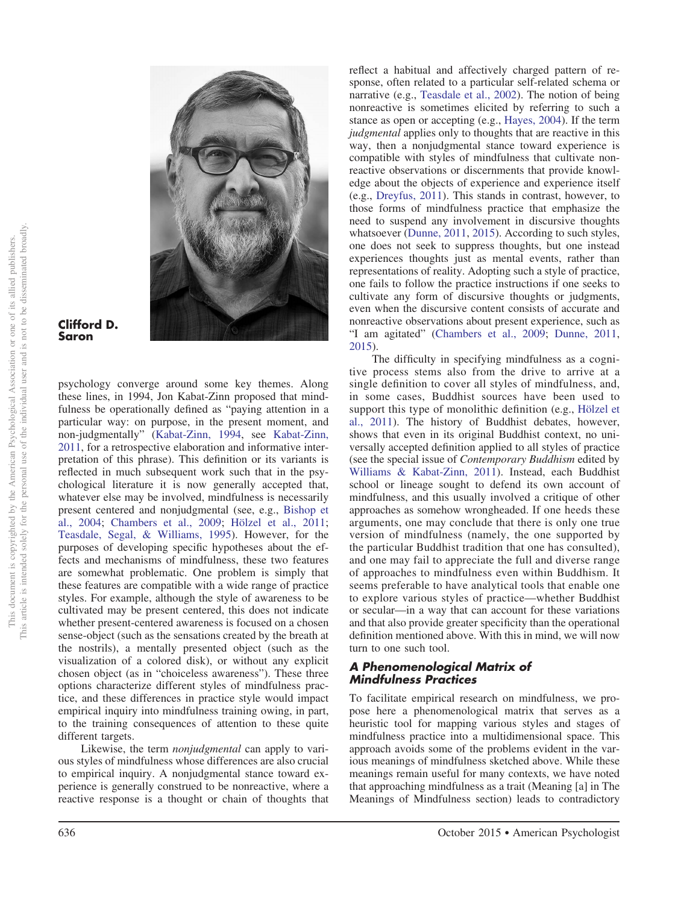

#### **Clifford D. Saron**

psychology converge around some key themes. Along these lines, in 1994, Jon Kabat-Zinn proposed that mindfulness be operationally defined as "paying attention in a particular way: on purpose, in the present moment, and non-judgmentally" [\(Kabat-Zinn, 1994,](#page-23-12) see [Kabat-Zinn,](#page-23-13) [2011,](#page-23-13) for a retrospective elaboration and informative interpretation of this phrase). This definition or its variants is reflected in much subsequent work such that in the psychological literature it is now generally accepted that, whatever else may be involved, mindfulness is necessarily present centered and nonjudgmental (see, e.g., [Bishop et](#page-21-0) [al., 2004;](#page-21-0) [Chambers et al., 2009;](#page-22-3) [Hölzel et al., 2011;](#page-23-3) [Teasdale, Segal, & Williams, 1995\)](#page-25-10). However, for the purposes of developing specific hypotheses about the effects and mechanisms of mindfulness, these two features are somewhat problematic. One problem is simply that these features are compatible with a wide range of practice styles. For example, although the style of awareness to be cultivated may be present centered, this does not indicate whether present-centered awareness is focused on a chosen sense-object (such as the sensations created by the breath at the nostrils), a mentally presented object (such as the visualization of a colored disk), or without any explicit chosen object (as in "choiceless awareness"). These three options characterize different styles of mindfulness practice, and these differences in practice style would impact empirical inquiry into mindfulness training owing, in part, to the training consequences of attention to these quite different targets.

Likewise, the term *nonjudgmental* can apply to various styles of mindfulness whose differences are also crucial to empirical inquiry. A nonjudgmental stance toward experience is generally construed to be nonreactive, where a reactive response is a thought or chain of thoughts that

reflect a habitual and affectively charged pattern of response, often related to a particular self-related schema or narrative (e.g., [Teasdale et al., 2002\)](#page-25-11). The notion of being nonreactive is sometimes elicited by referring to such a stance as open or accepting (e.g., [Hayes, 2004\)](#page-23-14). If the term *judgmental* applies only to thoughts that are reactive in this way, then a nonjudgmental stance toward experience is compatible with styles of mindfulness that cultivate nonreactive observations or discernments that provide knowledge about the objects of experience and experience itself (e.g., [Dreyfus, 2011\)](#page-22-4). This stands in contrast, however, to those forms of mindfulness practice that emphasize the need to suspend any involvement in discursive thoughts whatsoever [\(Dunne, 2011,](#page-22-6) [2015\)](#page-22-1). According to such styles, one does not seek to suppress thoughts, but one instead experiences thoughts just as mental events, rather than representations of reality. Adopting such a style of practice, one fails to follow the practice instructions if one seeks to cultivate any form of discursive thoughts or judgments, even when the discursive content consists of accurate and nonreactive observations about present experience, such as "I am agitated" [\(Chambers et al., 2009;](#page-22-3) [Dunne, 2011,](#page-22-6) [2015\)](#page-22-1).

The difficulty in specifying mindfulness as a cognitive process stems also from the drive to arrive at a single definition to cover all styles of mindfulness, and, in some cases, Buddhist sources have been used to support this type of monolithic definition (e.g., [Hölzel et](#page-23-3) [al., 2011\)](#page-23-3). The history of Buddhist debates, however, shows that even in its original Buddhist context, no universally accepted definition applied to all styles of practice (see the special issue of *Contemporary Buddhism* edited by [Williams & Kabat-Zinn, 2011\)](#page-26-0). Instead, each Buddhist school or lineage sought to defend its own account of mindfulness, and this usually involved a critique of other approaches as somehow wrongheaded. If one heeds these arguments, one may conclude that there is only one true version of mindfulness (namely, the one supported by the particular Buddhist tradition that one has consulted), and one may fail to appreciate the full and diverse range of approaches to mindfulness even within Buddhism. It seems preferable to have analytical tools that enable one to explore various styles of practice—whether Buddhist or secular—in a way that can account for these variations and that also provide greater specificity than the operational definition mentioned above. With this in mind, we will now turn to one such tool.

## *A Phenomenological Matrix of Mindfulness Practices*

To facilitate empirical research on mindfulness, we propose here a phenomenological matrix that serves as a heuristic tool for mapping various styles and stages of mindfulness practice into a multidimensional space. This approach avoids some of the problems evident in the various meanings of mindfulness sketched above. While these meanings remain useful for many contexts, we have noted that approaching mindfulness as a trait (Meaning [a] in The Meanings of Mindfulness section) leads to contradictory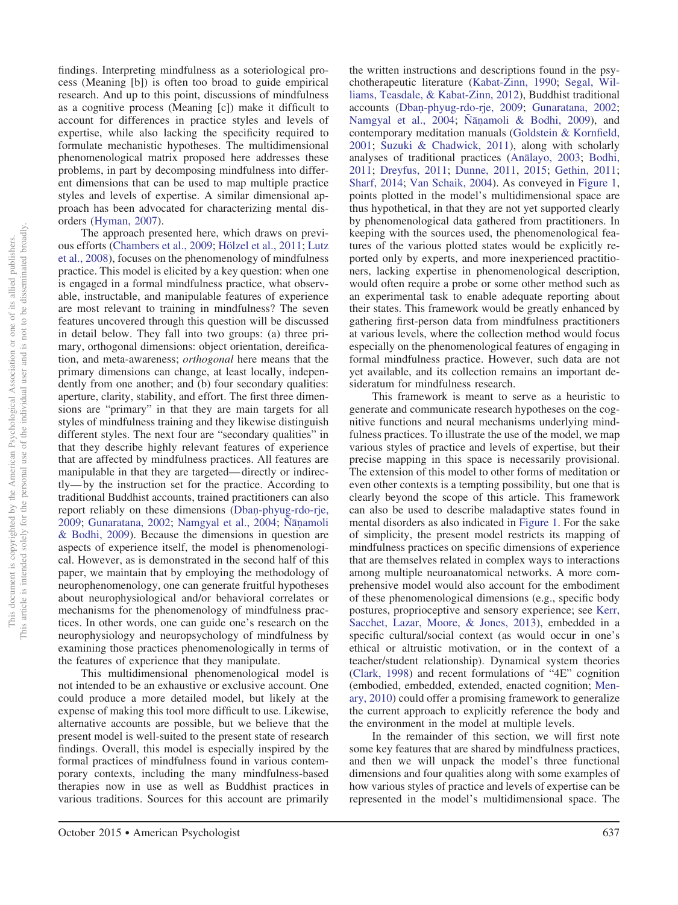findings. Interpreting mindfulness as a soteriological process (Meaning [b]) is often too broad to guide empirical research. And up to this point, discussions of mindfulness as a cognitive process (Meaning [c]) make it difficult to account for differences in practice styles and levels of expertise, while also lacking the specificity required to formulate mechanistic hypotheses. The multidimensional phenomenological matrix proposed here addresses these problems, in part by decomposing mindfulness into different dimensions that can be used to map multiple practice styles and levels of expertise. A similar dimensional approach has been advocated for characterizing mental disorders [\(Hyman, 2007\)](#page-23-15).

The approach presented here, which draws on previous efforts [\(Chambers et al., 2009;](#page-22-3) [Hölzel et al., 2011;](#page-23-3) [Lutz](#page-24-7) [et al., 2008\)](#page-24-7), focuses on the phenomenology of mindfulness practice. This model is elicited by a key question: when one is engaged in a formal mindfulness practice, what observable, instructable, and manipulable features of experience are most relevant to training in mindfulness? The seven features uncovered through this question will be discussed in detail below. They fall into two groups: (a) three primary, orthogonal dimensions: object orientation, dereification, and meta-awareness; *orthogonal* here means that the primary dimensions can change, at least locally, independently from one another; and (b) four secondary qualities: aperture, clarity, stability, and effort. The first three dimensions are "primary" in that they are main targets for all styles of mindfulness training and they likewise distinguish different styles. The next four are "secondary qualities" in that they describe highly relevant features of experience that are affected by mindfulness practices. All features are manipulable in that they are targeted— directly or indirectly— by the instruction set for the practice. According to traditional Buddhist accounts, trained practitioners can also report reliably on these dimensions (Dban[-phyug-rdo-rje,](#page-22-7) [2009;](#page-22-7) [Gunaratana, 2002;](#page-23-11) [Namgyal et al., 2004;](#page-24-5) Ñāṇ[amoli](#page-24-4) [& Bodhi, 2009\)](#page-24-4). Because the dimensions in question are aspects of experience itself, the model is phenomenological. However, as is demonstrated in the second half of this paper, we maintain that by employing the methodology of neurophenomenology, one can generate fruitful hypotheses about neurophysiological and/or behavioral correlates or mechanisms for the phenomenology of mindfulness practices. In other words, one can guide one's research on the neurophysiology and neuropsychology of mindfulness by examining those practices phenomenologically in terms of the features of experience that they manipulate.

This multidimensional phenomenological model is not intended to be an exhaustive or exclusive account. One could produce a more detailed model, but likely at the expense of making this tool more difficult to use. Likewise, alternative accounts are possible, but we believe that the present model is well-suited to the present state of research findings. Overall, this model is especially inspired by the formal practices of mindfulness found in various contemporary contexts, including the many mindfulness-based therapies now in use as well as Buddhist practices in various traditions. Sources for this account are primarily

the written instructions and descriptions found in the psychotherapeutic literature [\(Kabat-Zinn, 1990;](#page-23-16) [Segal, Wil](#page-25-12)[liams, Teasdale, & Kabat-Zinn, 2012\)](#page-25-12), Buddhist traditional accounts (Dban[-phyug-rdo-rje, 2009;](#page-22-7) [Gunaratana, 2002;](#page-23-11) [Namgyal et al., 2004;](#page-24-5) Ñāṇ[amoli & Bodhi, 2009\)](#page-24-4), and contemporary meditation manuals [\(Goldstein & Kornfield,](#page-23-17) [2001;](#page-23-17) [Suzuki & Chadwick, 2011\)](#page-25-13), along with scholarly analyses of traditional practices (Ana[layo, 2003;](#page-21-5) [Bodhi,](#page-21-6) [2011;](#page-21-6) [Dreyfus, 2011;](#page-22-4) [Dunne, 2011,](#page-22-6) [2015;](#page-22-1) [Gethin, 2011;](#page-23-9) [Sharf, 2014;](#page-25-14) [Van Schaik, 2004\)](#page-26-2). As conveyed in Figure 1, points plotted in the model's multidimensional space are thus hypothetical, in that they are not yet supported clearly by phenomenological data gathered from practitioners. In keeping with the sources used, the phenomenological features of the various plotted states would be explicitly reported only by experts, and more inexperienced practitioners, lacking expertise in phenomenological description, would often require a probe or some other method such as an experimental task to enable adequate reporting about their states. This framework would be greatly enhanced by gathering first-person data from mindfulness practitioners at various levels, where the collection method would focus especially on the phenomenological features of engaging in formal mindfulness practice. However, such data are not yet available, and its collection remains an important desideratum for mindfulness research.

This framework is meant to serve as a heuristic to generate and communicate research hypotheses on the cognitive functions and neural mechanisms underlying mindfulness practices. To illustrate the use of the model, we map various styles of practice and levels of expertise, but their precise mapping in this space is necessarily provisional. The extension of this model to other forms of meditation or even other contexts is a tempting possibility, but one that is clearly beyond the scope of this article. This framework can also be used to describe maladaptive states found in mental disorders as also indicated in Figure 1. For the sake of simplicity, the present model restricts its mapping of mindfulness practices on specific dimensions of experience that are themselves related in complex ways to interactions among multiple neuroanatomical networks. A more comprehensive model would also account for the embodiment of these phenomenological dimensions (e.g., specific body postures, proprioceptive and sensory experience; see [Kerr,](#page-23-18) [Sacchet, Lazar, Moore, & Jones, 2013\)](#page-23-18), embedded in a specific cultural/social context (as would occur in one's ethical or altruistic motivation, or in the context of a teacher/student relationship). Dynamical system theories [\(Clark, 1998\)](#page-22-8) and recent formulations of "4E" cognition (embodied, embedded, extended, enacted cognition; [Men](#page-24-8)[ary, 2010\)](#page-24-8) could offer a promising framework to generalize the current approach to explicitly reference the body and the environment in the model at multiple levels.

In the remainder of this section, we will first note some key features that are shared by mindfulness practices, and then we will unpack the model's three functional dimensions and four qualities along with some examples of how various styles of practice and levels of expertise can be represented in the model's multidimensional space. The

October 2015 ● American Psychologist 637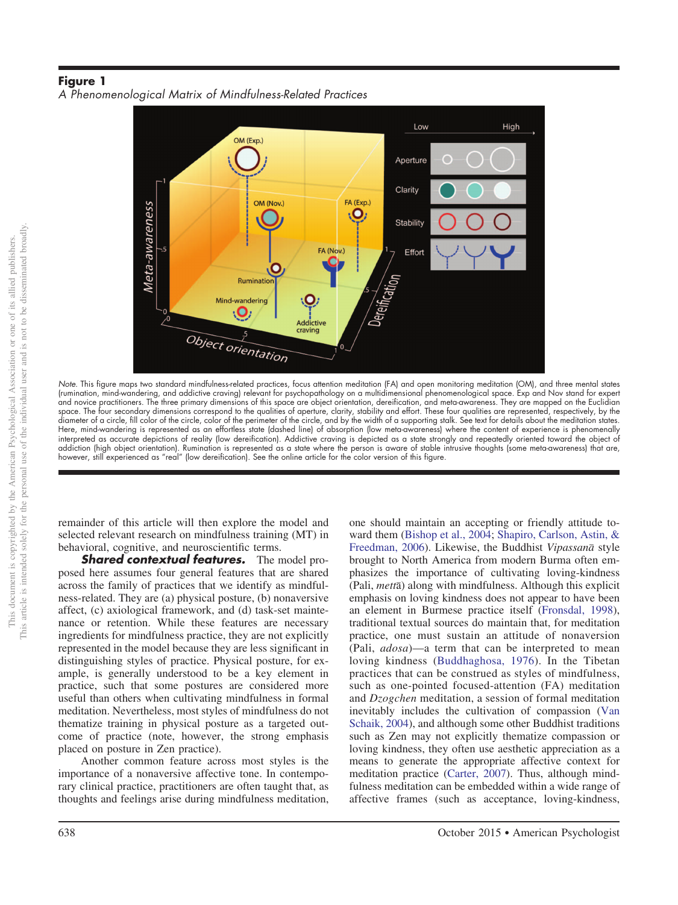## **Figure 1** *A Phenomenological Matrix of Mindfulness-Related Practices*



*Note*. This figure maps two standard mindfulness-related practices, focus attention meditation (FA) and open monitoring meditation (OM), and three mental states (rumination, mind-wandering, and addictive craving) relevant for psychopathology on a multidimensional phenomenological space. Exp and Nov stand for expert and novice practitioners. The three primary dimensions of this space are object orientation, dereification, and meta-awareness. They are mapped on the Euclidian space. The four secondary dimensions correspond to the qualities of aperture, clarity, stability and effort. These four qualities are represented, respectively, by the diameter of a circle, fill color of the circle, color of the perimeter of the circle, and by the width of a supporting stalk. See text for details about the meditation states. Here, mind-wandering is represented as an effortless state (dashed line) of absorption (low meta-awareness) where the content of experience is phenomenally interpreted as accurate depictions of reality (low dereification). Addictive craving is depicted as a state strongly and repeatedly oriented toward the object of addiction (high object orientation). Rumination is represented as a state where the person is aware of stable intrusive thoughts (some meta-awareness) that are, however, still experienced as "real" (low dereification). See the online article for the color version of this figure.

remainder of this article will then explore the model and selected relevant research on mindfulness training (MT) in behavioral, cognitive, and neuroscientific terms.

*Shared contextual features.* The model proposed here assumes four general features that are shared across the family of practices that we identify as mindfulness-related. They are (a) physical posture, (b) nonaversive affect, (c) axiological framework, and (d) task-set maintenance or retention. While these features are necessary ingredients for mindfulness practice, they are not explicitly represented in the model because they are less significant in distinguishing styles of practice. Physical posture, for example, is generally understood to be a key element in practice, such that some postures are considered more useful than others when cultivating mindfulness in formal meditation. Nevertheless, most styles of mindfulness do not thematize training in physical posture as a targeted outcome of practice (note, however, the strong emphasis placed on posture in Zen practice).

Another common feature across most styles is the importance of a nonaversive affective tone. In contemporary clinical practice, practitioners are often taught that, as thoughts and feelings arise during mindfulness meditation, one should maintain an accepting or friendly attitude toward them [\(Bishop et al., 2004;](#page-21-0) [Shapiro, Carlson, Astin, &](#page-25-15) [Freedman, 2006\)](#page-25-15). Likewise, the Buddhist Vipassanā style brought to North America from modern Burma often emphasizes the importance of cultivating loving-kindness (Pali, metta) along with mindfulness. Although this explicit emphasis on loving kindness does not appear to have been an element in Burmese practice itself [\(Fronsdal, 1998\)](#page-23-19), traditional textual sources do maintain that, for meditation practice, one must sustain an attitude of nonaversion (Pali, *adosa*)—a term that can be interpreted to mean loving kindness [\(Buddhaghosa, 1976\)](#page-22-9). In the Tibetan practices that can be construed as styles of mindfulness, such as one-pointed focused-attention (FA) meditation and *Dzogchen* meditation, a session of formal meditation inevitably includes the cultivation of compassion [\(Van](#page-26-2) [Schaik, 2004\)](#page-26-2), and although some other Buddhist traditions such as Zen may not explicitly thematize compassion or loving kindness, they often use aesthetic appreciation as a means to generate the appropriate affective context for meditation practice [\(Carter, 2007\)](#page-22-10). Thus, although mindfulness meditation can be embedded within a wide range of affective frames (such as acceptance, loving-kindness,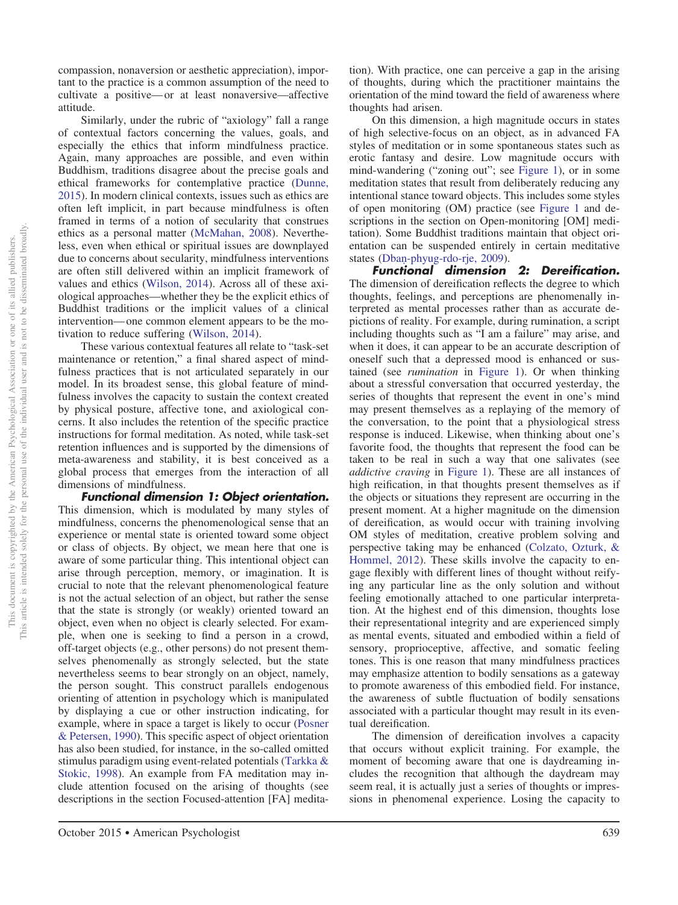compassion, nonaversion or aesthetic appreciation), important to the practice is a common assumption of the need to cultivate a positive— or at least nonaversive—affective attitude.

Similarly, under the rubric of "axiology" fall a range of contextual factors concerning the values, goals, and especially the ethics that inform mindfulness practice. Again, many approaches are possible, and even within Buddhism, traditions disagree about the precise goals and ethical frameworks for contemplative practice [\(Dunne,](#page-22-1) [2015\)](#page-22-1). In modern clinical contexts, issues such as ethics are often left implicit, in part because mindfulness is often framed in terms of a notion of secularity that construes ethics as a personal matter [\(McMahan, 2008\)](#page-24-9). Nevertheless, even when ethical or spiritual issues are downplayed due to concerns about secularity, mindfulness interventions are often still delivered within an implicit framework of values and ethics [\(Wilson, 2014\)](#page-26-3). Across all of these axiological approaches—whether they be the explicit ethics of Buddhist traditions or the implicit values of a clinical intervention— one common element appears to be the motivation to reduce suffering [\(Wilson, 2014\)](#page-26-3).

These various contextual features all relate to "task-set maintenance or retention," a final shared aspect of mindfulness practices that is not articulated separately in our model. In its broadest sense, this global feature of mindfulness involves the capacity to sustain the context created by physical posture, affective tone, and axiological concerns. It also includes the retention of the specific practice instructions for formal meditation. As noted, while task-set retention influences and is supported by the dimensions of meta-awareness and stability, it is best conceived as a global process that emerges from the interaction of all dimensions of mindfulness.

*Functional dimension 1: Object orientation.* This dimension, which is modulated by many styles of mindfulness, concerns the phenomenological sense that an experience or mental state is oriented toward some object or class of objects. By object, we mean here that one is aware of some particular thing. This intentional object can arise through perception, memory, or imagination. It is crucial to note that the relevant phenomenological feature is not the actual selection of an object, but rather the sense that the state is strongly (or weakly) oriented toward an object, even when no object is clearly selected. For example, when one is seeking to find a person in a crowd, off-target objects (e.g., other persons) do not present themselves phenomenally as strongly selected, but the state nevertheless seems to bear strongly on an object, namely, the person sought. This construct parallels endogenous orienting of attention in psychology which is manipulated by displaying a cue or other instruction indicating, for example, where in space a target is likely to occur [\(Posner](#page-25-16) [& Petersen, 1990\)](#page-25-16). This specific aspect of object orientation has also been studied, for instance, in the so-called omitted stimulus paradigm using event-related potentials [\(Tarkka &](#page-25-17) [Stokic, 1998\)](#page-25-17). An example from FA meditation may include attention focused on the arising of thoughts (see descriptions in the section Focused-attention [FA] medita-

tion). With practice, one can perceive a gap in the arising of thoughts, during which the practitioner maintains the orientation of the mind toward the field of awareness where thoughts had arisen.

On this dimension, a high magnitude occurs in states of high selective-focus on an object, as in advanced FA styles of meditation or in some spontaneous states such as erotic fantasy and desire. Low magnitude occurs with mind-wandering ("zoning out"; see Figure 1), or in some meditation states that result from deliberately reducing any intentional stance toward objects. This includes some styles of open monitoring (OM) practice (see Figure 1 and descriptions in the section on Open-monitoring [OM] meditation). Some Buddhist traditions maintain that object orientation can be suspended entirely in certain meditative states (Dban[-phyug-rdo-rje, 2009\)](#page-22-7).

*Functional dimension 2: Dereification.* The dimension of dereification reflects the degree to which thoughts, feelings, and perceptions are phenomenally interpreted as mental processes rather than as accurate depictions of reality. For example, during rumination, a script including thoughts such as "I am a failure" may arise, and when it does, it can appear to be an accurate description of oneself such that a depressed mood is enhanced or sustained (see *rumination* in Figure 1). Or when thinking about a stressful conversation that occurred yesterday, the series of thoughts that represent the event in one's mind may present themselves as a replaying of the memory of the conversation, to the point that a physiological stress response is induced. Likewise, when thinking about one's favorite food, the thoughts that represent the food can be taken to be real in such a way that one salivates (see *addictive craving* in Figure 1). These are all instances of high reification, in that thoughts present themselves as if the objects or situations they represent are occurring in the present moment. At a higher magnitude on the dimension of dereification, as would occur with training involving OM styles of meditation, creative problem solving and perspective taking may be enhanced [\(Colzato, Ozturk, &](#page-22-11) [Hommel, 2012\)](#page-22-11). These skills involve the capacity to engage flexibly with different lines of thought without reifying any particular line as the only solution and without feeling emotionally attached to one particular interpretation. At the highest end of this dimension, thoughts lose their representational integrity and are experienced simply as mental events, situated and embodied within a field of sensory, proprioceptive, affective, and somatic feeling tones. This is one reason that many mindfulness practices may emphasize attention to bodily sensations as a gateway to promote awareness of this embodied field. For instance, the awareness of subtle fluctuation of bodily sensations associated with a particular thought may result in its eventual dereification.

The dimension of dereification involves a capacity that occurs without explicit training. For example, the moment of becoming aware that one is daydreaming includes the recognition that although the daydream may seem real, it is actually just a series of thoughts or impressions in phenomenal experience. Losing the capacity to

October 2015 ● American Psychologist 639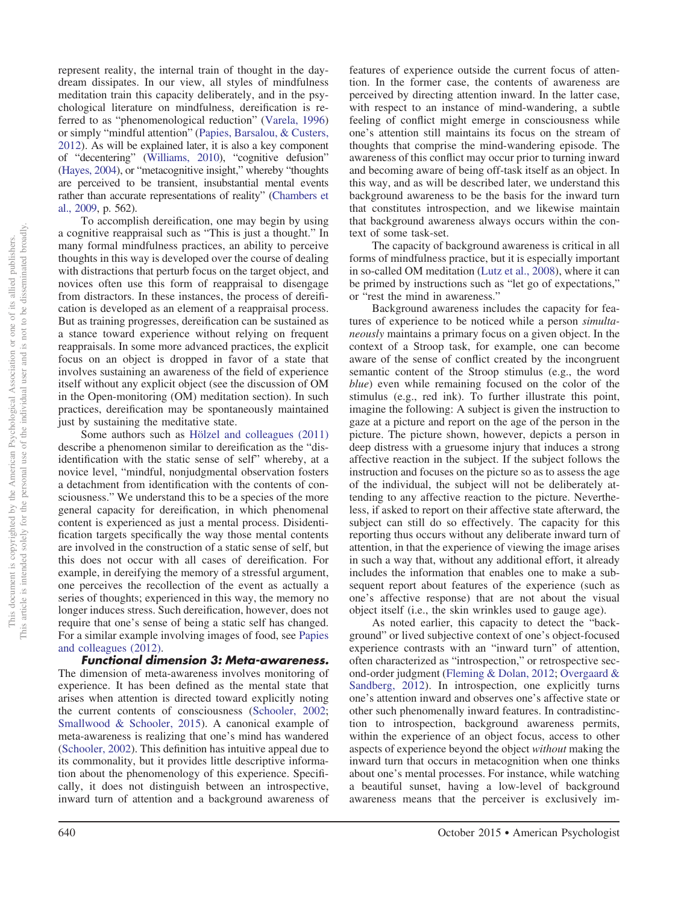represent reality, the internal train of thought in the daydream dissipates. In our view, all styles of mindfulness meditation train this capacity deliberately, and in the psychological literature on mindfulness, dereification is referred to as "phenomenological reduction" [\(Varela, 1996\)](#page-26-1) or simply "mindful attention" [\(Papies, Barsalou, & Custers,](#page-24-10) [2012\)](#page-24-10). As will be explained later, it is also a key component of "decentering" [\(Williams, 2010\)](#page-26-4), "cognitive defusion" [\(Hayes, 2004\)](#page-23-14), or "metacognitive insight," whereby "thoughts are perceived to be transient, insubstantial mental events rather than accurate representations of reality" [\(Chambers et](#page-22-3) [al., 2009,](#page-22-3) p. 562).

To accomplish dereification, one may begin by using a cognitive reappraisal such as "This is just a thought." In many formal mindfulness practices, an ability to perceive thoughts in this way is developed over the course of dealing with distractions that perturb focus on the target object, and novices often use this form of reappraisal to disengage from distractors. In these instances, the process of dereification is developed as an element of a reappraisal process. But as training progresses, dereification can be sustained as a stance toward experience without relying on frequent reappraisals. In some more advanced practices, the explicit focus on an object is dropped in favor of a state that involves sustaining an awareness of the field of experience itself without any explicit object (see the discussion of OM in the Open-monitoring (OM) meditation section). In such practices, dereification may be spontaneously maintained just by sustaining the meditative state.

Some authors such as [Hölzel and colleagues \(2011\)](#page-23-3) describe a phenomenon similar to dereification as the "disidentification with the static sense of self" whereby, at a novice level, "mindful, nonjudgmental observation fosters a detachment from identification with the contents of consciousness." We understand this to be a species of the more general capacity for dereification, in which phenomenal content is experienced as just a mental process. Disidentification targets specifically the way those mental contents are involved in the construction of a static sense of self, but this does not occur with all cases of dereification. For example, in dereifying the memory of a stressful argument, one perceives the recollection of the event as actually a series of thoughts; experienced in this way, the memory no longer induces stress. Such dereification, however, does not require that one's sense of being a static self has changed. For a similar example involving images of food, see [Papies](#page-24-10) [and colleagues \(2012\).](#page-24-10)

*Functional dimension 3: Meta-awareness.* The dimension of meta-awareness involves monitoring of experience. It has been defined as the mental state that arises when attention is directed toward explicitly noting the current contents of consciousness [\(Schooler, 2002;](#page-25-18) [Smallwood & Schooler, 2015\)](#page-25-19). A canonical example of meta-awareness is realizing that one's mind has wandered [\(Schooler, 2002\)](#page-25-18). This definition has intuitive appeal due to its commonality, but it provides little descriptive information about the phenomenology of this experience. Specifically, it does not distinguish between an introspective, inward turn of attention and a background awareness of

features of experience outside the current focus of attention. In the former case, the contents of awareness are perceived by directing attention inward. In the latter case, with respect to an instance of mind-wandering, a subtle feeling of conflict might emerge in consciousness while one's attention still maintains its focus on the stream of thoughts that comprise the mind-wandering episode. The awareness of this conflict may occur prior to turning inward and becoming aware of being off-task itself as an object. In this way, and as will be described later, we understand this background awareness to be the basis for the inward turn that constitutes introspection, and we likewise maintain that background awareness always occurs within the context of some task-set.

The capacity of background awareness is critical in all forms of mindfulness practice, but it is especially important in so-called OM meditation [\(Lutz et al., 2008\)](#page-24-7), where it can be primed by instructions such as "let go of expectations," or "rest the mind in awareness."

Background awareness includes the capacity for features of experience to be noticed while a person *simultaneously* maintains a primary focus on a given object. In the context of a Stroop task, for example, one can become aware of the sense of conflict created by the incongruent semantic content of the Stroop stimulus (e.g., the word *blue*) even while remaining focused on the color of the stimulus (e.g., red ink). To further illustrate this point, imagine the following: A subject is given the instruction to gaze at a picture and report on the age of the person in the picture. The picture shown, however, depicts a person in deep distress with a gruesome injury that induces a strong affective reaction in the subject. If the subject follows the instruction and focuses on the picture so as to assess the age of the individual, the subject will not be deliberately attending to any affective reaction to the picture. Nevertheless, if asked to report on their affective state afterward, the subject can still do so effectively. The capacity for this reporting thus occurs without any deliberate inward turn of attention, in that the experience of viewing the image arises in such a way that, without any additional effort, it already includes the information that enables one to make a subsequent report about features of the experience (such as one's affective response) that are not about the visual object itself (i.e., the skin wrinkles used to gauge age).

As noted earlier, this capacity to detect the "background" or lived subjective context of one's object-focused experience contrasts with an "inward turn" of attention, often characterized as "introspection," or retrospective second-order judgment [\(Fleming & Dolan, 2012;](#page-22-12) [Overgaard &](#page-24-11) [Sandberg, 2012\)](#page-24-11). In introspection, one explicitly turns one's attention inward and observes one's affective state or other such phenomenally inward features. In contradistinction to introspection, background awareness permits, within the experience of an object focus, access to other aspects of experience beyond the object *without* making the inward turn that occurs in metacognition when one thinks about one's mental processes. For instance, while watching a beautiful sunset, having a low-level of background awareness means that the perceiver is exclusively im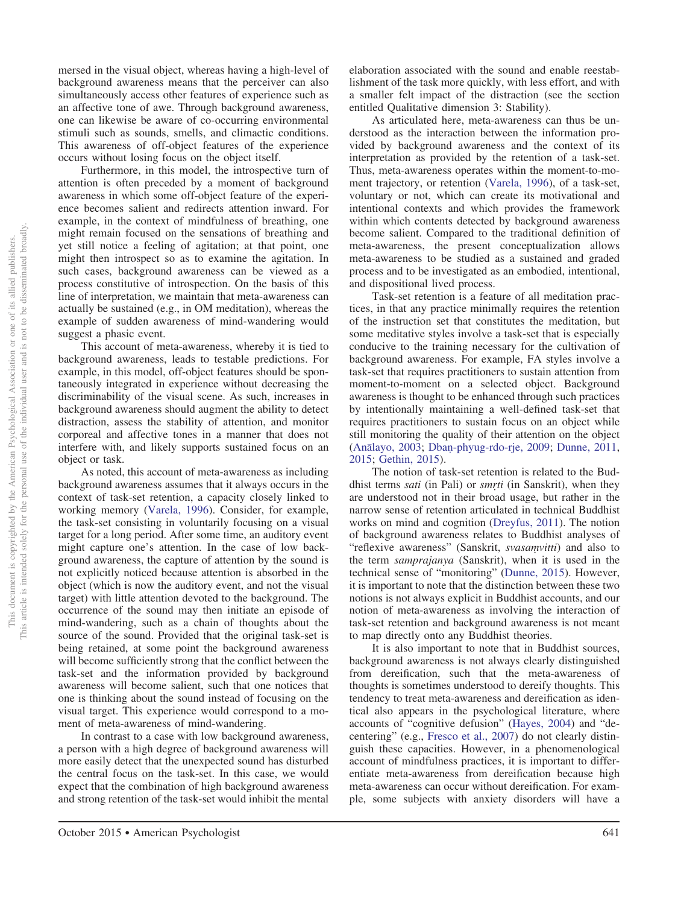mersed in the visual object, whereas having a high-level of background awareness means that the perceiver can also simultaneously access other features of experience such as an affective tone of awe. Through background awareness, one can likewise be aware of co-occurring environmental stimuli such as sounds, smells, and climactic conditions. This awareness of off-object features of the experience occurs without losing focus on the object itself.

Furthermore, in this model, the introspective turn of attention is often preceded by a moment of background awareness in which some off-object feature of the experience becomes salient and redirects attention inward. For example, in the context of mindfulness of breathing, one might remain focused on the sensations of breathing and yet still notice a feeling of agitation; at that point, one might then introspect so as to examine the agitation. In such cases, background awareness can be viewed as a process constitutive of introspection. On the basis of this line of interpretation, we maintain that meta-awareness can actually be sustained (e.g., in OM meditation), whereas the example of sudden awareness of mind-wandering would suggest a phasic event.

This account of meta-awareness, whereby it is tied to background awareness, leads to testable predictions. For example, in this model, off-object features should be spontaneously integrated in experience without decreasing the discriminability of the visual scene. As such, increases in background awareness should augment the ability to detect distraction, assess the stability of attention, and monitor corporeal and affective tones in a manner that does not interfere with, and likely supports sustained focus on an object or task.

As noted, this account of meta-awareness as including background awareness assumes that it always occurs in the context of task-set retention, a capacity closely linked to working memory [\(Varela, 1996\)](#page-26-1). Consider, for example, the task-set consisting in voluntarily focusing on a visual target for a long period. After some time, an auditory event might capture one's attention. In the case of low background awareness, the capture of attention by the sound is not explicitly noticed because attention is absorbed in the object (which is now the auditory event, and not the visual target) with little attention devoted to the background. The occurrence of the sound may then initiate an episode of mind-wandering, such as a chain of thoughts about the source of the sound. Provided that the original task-set is being retained, at some point the background awareness will become sufficiently strong that the conflict between the task-set and the information provided by background awareness will become salient, such that one notices that one is thinking about the sound instead of focusing on the visual target. This experience would correspond to a moment of meta-awareness of mind-wandering.

In contrast to a case with low background awareness, a person with a high degree of background awareness will more easily detect that the unexpected sound has disturbed the central focus on the task-set. In this case, we would expect that the combination of high background awareness and strong retention of the task-set would inhibit the mental

elaboration associated with the sound and enable reestablishment of the task more quickly, with less effort, and with a smaller felt impact of the distraction (see the section entitled Qualitative dimension 3: Stability).

As articulated here, meta-awareness can thus be understood as the interaction between the information provided by background awareness and the context of its interpretation as provided by the retention of a task-set. Thus, meta-awareness operates within the moment-to-moment trajectory, or retention [\(Varela, 1996\)](#page-26-1), of a task-set, voluntary or not, which can create its motivational and intentional contexts and which provides the framework within which contents detected by background awareness become salient. Compared to the traditional definition of meta-awareness, the present conceptualization allows meta-awareness to be studied as a sustained and graded process and to be investigated as an embodied, intentional, and dispositional lived process.

Task-set retention is a feature of all meditation practices, in that any practice minimally requires the retention of the instruction set that constitutes the meditation, but some meditative styles involve a task-set that is especially conducive to the training necessary for the cultivation of background awareness. For example, FA styles involve a task-set that requires practitioners to sustain attention from moment-to-moment on a selected object. Background awareness is thought to be enhanced through such practices by intentionally maintaining a well-defined task-set that requires practitioners to sustain focus on an object while still monitoring the quality of their attention on the object (Anā[layo, 2003;](#page-21-5) Dban[-phyug-rdo-rje, 2009;](#page-22-7) [Dunne, 2011,](#page-22-6) [2015;](#page-22-1) [Gethin, 2015\)](#page-23-20).

The notion of task-set retention is related to the Buddhist terms *sati* (in Pali) or *smrti* (in Sanskrit), when they are understood not in their broad usage, but rather in the narrow sense of retention articulated in technical Buddhist works on mind and cognition [\(Dreyfus, 2011\)](#page-22-4). The notion of background awareness relates to Buddhist analyses of "reflexive awareness" (Sanskrit, *svasamvitti*) and also to the term *samprajanya* (Sanskrit), when it is used in the technical sense of "monitoring" [\(Dunne, 2015\)](#page-22-1). However, it is important to note that the distinction between these two notions is not always explicit in Buddhist accounts, and our notion of meta-awareness as involving the interaction of task-set retention and background awareness is not meant to map directly onto any Buddhist theories.

It is also important to note that in Buddhist sources, background awareness is not always clearly distinguished from dereification, such that the meta-awareness of thoughts is sometimes understood to dereify thoughts. This tendency to treat meta-awareness and dereification as identical also appears in the psychological literature, where accounts of "cognitive defusion" [\(Hayes, 2004\)](#page-23-14) and "decentering" (e.g., [Fresco et al., 2007\)](#page-22-13) do not clearly distinguish these capacities. However, in a phenomenological account of mindfulness practices, it is important to differentiate meta-awareness from dereification because high meta-awareness can occur without dereification. For example, some subjects with anxiety disorders will have a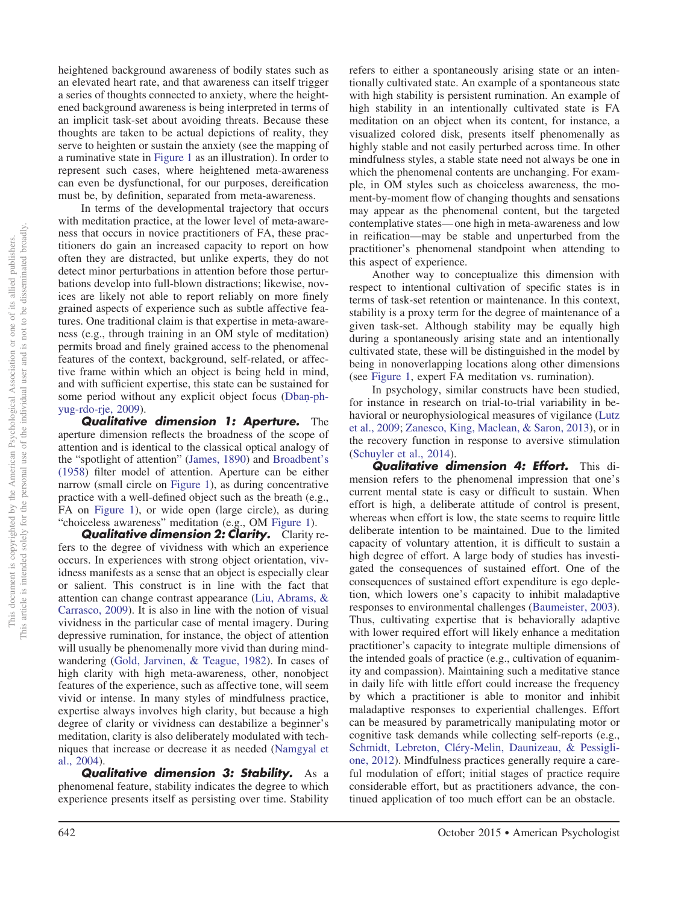heightened background awareness of bodily states such as an elevated heart rate, and that awareness can itself trigger a series of thoughts connected to anxiety, where the heightened background awareness is being interpreted in terms of an implicit task-set about avoiding threats. Because these thoughts are taken to be actual depictions of reality, they serve to heighten or sustain the anxiety (see the mapping of a ruminative state in Figure 1 as an illustration). In order to represent such cases, where heightened meta-awareness can even be dysfunctional, for our purposes, dereification must be, by definition, separated from meta-awareness.

In terms of the developmental trajectory that occurs with meditation practice, at the lower level of meta-awareness that occurs in novice practitioners of FA, these practitioners do gain an increased capacity to report on how often they are distracted, but unlike experts, they do not detect minor perturbations in attention before those perturbations develop into full-blown distractions; likewise, novices are likely not able to report reliably on more finely grained aspects of experience such as subtle affective features. One traditional claim is that expertise in meta-awareness (e.g., through training in an OM style of meditation) permits broad and finely grained access to the phenomenal features of the context, background, self-related, or affective frame within which an object is being held in mind, and with sufficient expertise, this state can be sustained for some period without any explicit object focus [\(Dban](#page-22-7)-ph[yug-rdo-rje, 2009\)](#page-22-7).

*Qualitative dimension 1: Aperture.* The aperture dimension reflects the broadness of the scope of attention and is identical to the classical optical analogy of the "spotlight of attention" [\(James, 1890\)](#page-23-21) and [Broadbent's](#page-21-7) [\(1958\)](#page-21-7) filter model of attention. Aperture can be either narrow (small circle on Figure 1), as during concentrative practice with a well-defined object such as the breath (e.g., FA on Figure 1), or wide open (large circle), as during "choiceless awareness" meditation (e.g., OM Figure 1).

*Qualitative dimension 2: Clarity.* Clarity refers to the degree of vividness with which an experience occurs. In experiences with strong object orientation, vividness manifests as a sense that an object is especially clear or salient. This construct is in line with the fact that attention can change contrast appearance [\(Liu, Abrams, &](#page-24-12) [Carrasco, 2009\)](#page-24-12). It is also in line with the notion of visual vividness in the particular case of mental imagery. During depressive rumination, for instance, the object of attention will usually be phenomenally more vivid than during mindwandering [\(Gold, Jarvinen, & Teague, 1982\)](#page-23-22). In cases of high clarity with high meta-awareness, other, nonobject features of the experience, such as affective tone, will seem vivid or intense. In many styles of mindfulness practice, expertise always involves high clarity, but because a high degree of clarity or vividness can destabilize a beginner's meditation, clarity is also deliberately modulated with techniques that increase or decrease it as needed [\(Namgyal et](#page-24-5) [al., 2004\)](#page-24-5).

*Qualitative dimension 3: Stability.* As a phenomenal feature, stability indicates the degree to which experience presents itself as persisting over time. Stability

refers to either a spontaneously arising state or an intentionally cultivated state. An example of a spontaneous state with high stability is persistent rumination. An example of high stability in an intentionally cultivated state is FA meditation on an object when its content, for instance, a visualized colored disk, presents itself phenomenally as highly stable and not easily perturbed across time. In other mindfulness styles, a stable state need not always be one in which the phenomenal contents are unchanging. For example, in OM styles such as choiceless awareness, the moment-by-moment flow of changing thoughts and sensations may appear as the phenomenal content, but the targeted contemplative states— one high in meta-awareness and low in reification—may be stable and unperturbed from the practitioner's phenomenal standpoint when attending to this aspect of experience.

Another way to conceptualize this dimension with respect to intentional cultivation of specific states is in terms of task-set retention or maintenance. In this context, stability is a proxy term for the degree of maintenance of a given task-set. Although stability may be equally high during a spontaneously arising state and an intentionally cultivated state, these will be distinguished in the model by being in nonoverlapping locations along other dimensions (see Figure 1, expert FA meditation vs. rumination).

In psychology, similar constructs have been studied, for instance in research on trial-to-trial variability in behavioral or neurophysiological measures of vigilance [\(Lutz](#page-24-13) [et al., 2009;](#page-24-13) [Zanesco, King, Maclean, & Saron, 2013\)](#page-26-5), or in the recovery function in response to aversive stimulation [\(Schuyler et al., 2014\)](#page-25-20).

*Qualitative dimension 4: Effort.* This dimension refers to the phenomenal impression that one's current mental state is easy or difficult to sustain. When effort is high, a deliberate attitude of control is present, whereas when effort is low, the state seems to require little deliberate intention to be maintained. Due to the limited capacity of voluntary attention, it is difficult to sustain a high degree of effort. A large body of studies has investigated the consequences of sustained effort. One of the consequences of sustained effort expenditure is ego depletion, which lowers one's capacity to inhibit maladaptive responses to environmental challenges [\(Baumeister, 2003\)](#page-21-8). Thus, cultivating expertise that is behaviorally adaptive with lower required effort will likely enhance a meditation practitioner's capacity to integrate multiple dimensions of the intended goals of practice (e.g., cultivation of equanimity and compassion). Maintaining such a meditative stance in daily life with little effort could increase the frequency by which a practitioner is able to monitor and inhibit maladaptive responses to experiential challenges. Effort can be measured by parametrically manipulating motor or cognitive task demands while collecting self-reports (e.g., [Schmidt, Lebreton, Cléry-Melin, Daunizeau, & Pessigli](#page-25-21)[one, 2012\)](#page-25-21). Mindfulness practices generally require a careful modulation of effort; initial stages of practice require considerable effort, but as practitioners advance, the continued application of too much effort can be an obstacle.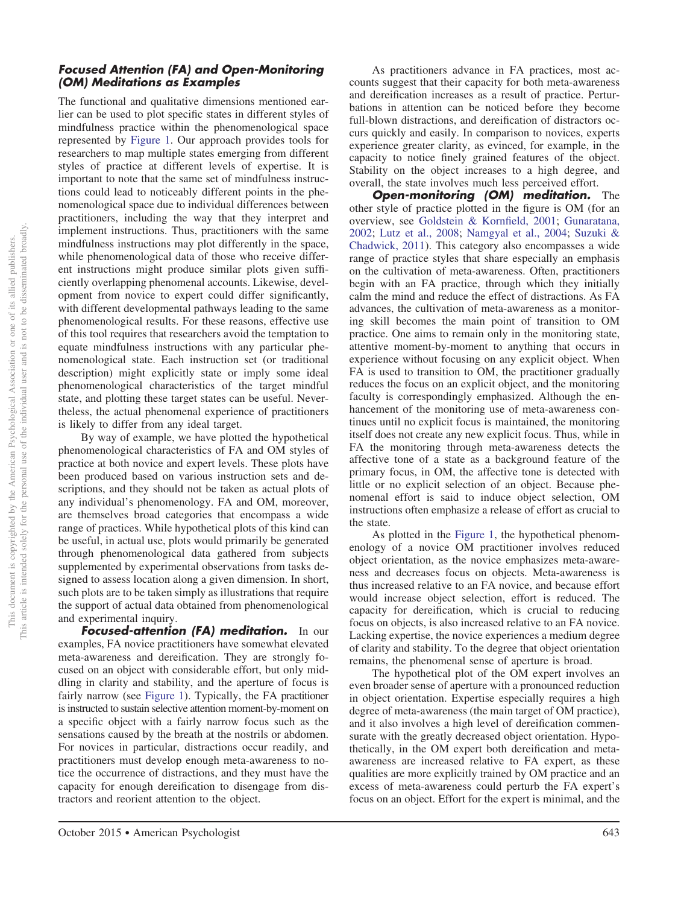## *Focused Attention (FA) and Open-Monitoring (OM) Meditations as Examples*

The functional and qualitative dimensions mentioned earlier can be used to plot specific states in different styles of mindfulness practice within the phenomenological space represented by Figure 1. Our approach provides tools for researchers to map multiple states emerging from different styles of practice at different levels of expertise. It is important to note that the same set of mindfulness instructions could lead to noticeably different points in the phenomenological space due to individual differences between practitioners, including the way that they interpret and implement instructions. Thus, practitioners with the same mindfulness instructions may plot differently in the space, while phenomenological data of those who receive different instructions might produce similar plots given sufficiently overlapping phenomenal accounts. Likewise, development from novice to expert could differ significantly, with different developmental pathways leading to the same phenomenological results. For these reasons, effective use of this tool requires that researchers avoid the temptation to equate mindfulness instructions with any particular phenomenological state. Each instruction set (or traditional description) might explicitly state or imply some ideal phenomenological characteristics of the target mindful state, and plotting these target states can be useful. Nevertheless, the actual phenomenal experience of practitioners is likely to differ from any ideal target.

By way of example, we have plotted the hypothetical phenomenological characteristics of FA and OM styles of practice at both novice and expert levels. These plots have been produced based on various instruction sets and descriptions, and they should not be taken as actual plots of any individual's phenomenology. FA and OM, moreover, are themselves broad categories that encompass a wide range of practices. While hypothetical plots of this kind can be useful, in actual use, plots would primarily be generated through phenomenological data gathered from subjects supplemented by experimental observations from tasks designed to assess location along a given dimension. In short, such plots are to be taken simply as illustrations that require the support of actual data obtained from phenomenological and experimental inquiry.

*Focused-attention (FA) meditation.* In our examples, FA novice practitioners have somewhat elevated meta-awareness and dereification. They are strongly focused on an object with considerable effort, but only middling in clarity and stability, and the aperture of focus is fairly narrow (see Figure 1). Typically, the FA practitioner is instructed to sustain selective attention moment-by-moment on a specific object with a fairly narrow focus such as the sensations caused by the breath at the nostrils or abdomen. For novices in particular, distractions occur readily, and practitioners must develop enough meta-awareness to notice the occurrence of distractions, and they must have the capacity for enough dereification to disengage from distractors and reorient attention to the object.

As practitioners advance in FA practices, most accounts suggest that their capacity for both meta-awareness and dereification increases as a result of practice. Perturbations in attention can be noticed before they become full-blown distractions, and dereification of distractors occurs quickly and easily. In comparison to novices, experts experience greater clarity, as evinced, for example, in the capacity to notice finely grained features of the object. Stability on the object increases to a high degree, and overall, the state involves much less perceived effort.

*Open-monitoring (OM) meditation.* The other style of practice plotted in the figure is OM (for an overview, see [Goldstein & Kornfield, 2001;](#page-23-17) [Gunaratana,](#page-23-11) [2002;](#page-23-11) [Lutz et al., 2008;](#page-24-7) [Namgyal et al., 2004;](#page-24-5) [Suzuki &](#page-25-13) [Chadwick, 2011\)](#page-25-13). This category also encompasses a wide range of practice styles that share especially an emphasis on the cultivation of meta-awareness. Often, practitioners begin with an FA practice, through which they initially calm the mind and reduce the effect of distractions. As FA advances, the cultivation of meta-awareness as a monitoring skill becomes the main point of transition to OM practice. One aims to remain only in the monitoring state, attentive moment-by-moment to anything that occurs in experience without focusing on any explicit object. When FA is used to transition to OM, the practitioner gradually reduces the focus on an explicit object, and the monitoring faculty is correspondingly emphasized. Although the enhancement of the monitoring use of meta-awareness continues until no explicit focus is maintained, the monitoring itself does not create any new explicit focus. Thus, while in FA the monitoring through meta-awareness detects the affective tone of a state as a background feature of the primary focus, in OM, the affective tone is detected with little or no explicit selection of an object. Because phenomenal effort is said to induce object selection, OM instructions often emphasize a release of effort as crucial to the state.

As plotted in the Figure 1, the hypothetical phenomenology of a novice OM practitioner involves reduced object orientation, as the novice emphasizes meta-awareness and decreases focus on objects. Meta-awareness is thus increased relative to an FA novice, and because effort would increase object selection, effort is reduced. The capacity for dereification, which is crucial to reducing focus on objects, is also increased relative to an FA novice. Lacking expertise, the novice experiences a medium degree of clarity and stability. To the degree that object orientation remains, the phenomenal sense of aperture is broad.

The hypothetical plot of the OM expert involves an even broader sense of aperture with a pronounced reduction in object orientation. Expertise especially requires a high degree of meta-awareness (the main target of OM practice), and it also involves a high level of dereification commensurate with the greatly decreased object orientation. Hypothetically, in the OM expert both dereification and metaawareness are increased relative to FA expert, as these qualities are more explicitly trained by OM practice and an excess of meta-awareness could perturb the FA expert's focus on an object. Effort for the expert is minimal, and the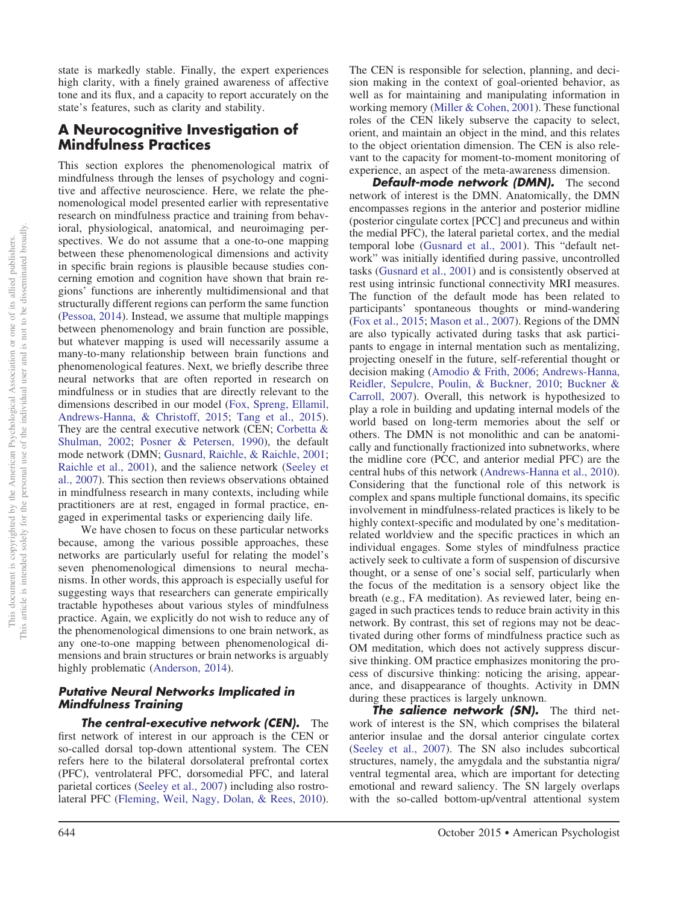state is markedly stable. Finally, the expert experiences high clarity, with a finely grained awareness of affective tone and its flux, and a capacity to report accurately on the state's features, such as clarity and stability.

## **A Neurocognitive Investigation of Mindfulness Practices**

This section explores the phenomenological matrix of mindfulness through the lenses of psychology and cognitive and affective neuroscience. Here, we relate the phenomenological model presented earlier with representative research on mindfulness practice and training from behavioral, physiological, anatomical, and neuroimaging perspectives. We do not assume that a one-to-one mapping between these phenomenological dimensions and activity in specific brain regions is plausible because studies concerning emotion and cognition have shown that brain regions' functions are inherently multidimensional and that structurally different regions can perform the same function [\(Pessoa, 2014\)](#page-24-14). Instead, we assume that multiple mappings between phenomenology and brain function are possible, but whatever mapping is used will necessarily assume a many-to-many relationship between brain functions and phenomenological features. Next, we briefly describe three neural networks that are often reported in research on mindfulness or in studies that are directly relevant to the dimensions described in our model [\(Fox, Spreng, Ellamil,](#page-22-14) [Andrews-Hanna, & Christoff, 2015;](#page-22-14) [Tang et al., 2015\)](#page-25-2). They are the central executive network (CEN; [Corbetta &](#page-22-15) [Shulman, 2002;](#page-22-15) [Posner & Petersen, 1990\)](#page-25-16), the default mode network (DMN; [Gusnard, Raichle, & Raichle, 2001;](#page-23-23) [Raichle et al., 2001\)](#page-25-22), and the salience network [\(Seeley et](#page-25-23) [al., 2007\)](#page-25-23). This section then reviews observations obtained in mindfulness research in many contexts, including while practitioners are at rest, engaged in formal practice, engaged in experimental tasks or experiencing daily life.

We have chosen to focus on these particular networks because, among the various possible approaches, these networks are particularly useful for relating the model's seven phenomenological dimensions to neural mechanisms. In other words, this approach is especially useful for suggesting ways that researchers can generate empirically tractable hypotheses about various styles of mindfulness practice. Again, we explicitly do not wish to reduce any of the phenomenological dimensions to one brain network, as any one-to-one mapping between phenomenological dimensions and brain structures or brain networks is arguably highly problematic [\(Anderson, 2014\)](#page-21-9).

## *Putative Neural Networks Implicated in Mindfulness Training*

*The central-executive network (CEN).* The first network of interest in our approach is the CEN or so-called dorsal top-down attentional system. The CEN refers here to the bilateral dorsolateral prefrontal cortex (PFC), ventrolateral PFC, dorsomedial PFC, and lateral parietal cortices [\(Seeley et al., 2007\)](#page-25-23) including also rostrolateral PFC [\(Fleming, Weil, Nagy, Dolan, & Rees, 2010\)](#page-22-16).

The CEN is responsible for selection, planning, and decision making in the context of goal-oriented behavior, as well as for maintaining and manipulating information in working memory [\(Miller & Cohen, 2001\)](#page-24-15). These functional roles of the CEN likely subserve the capacity to select, orient, and maintain an object in the mind, and this relates to the object orientation dimension. The CEN is also relevant to the capacity for moment-to-moment monitoring of experience, an aspect of the meta-awareness dimension.

*Default-mode network (DMN).* The second network of interest is the DMN. Anatomically, the DMN encompasses regions in the anterior and posterior midline (posterior cingulate cortex [PCC] and precuneus and within the medial PFC), the lateral parietal cortex, and the medial temporal lobe [\(Gusnard et al., 2001\)](#page-23-23). This "default network" was initially identified during passive, uncontrolled tasks [\(Gusnard et al., 2001\)](#page-23-23) and is consistently observed at rest using intrinsic functional connectivity MRI measures. The function of the default mode has been related to participants' spontaneous thoughts or mind-wandering [\(Fox et al., 2015;](#page-22-14) [Mason et al., 2007\)](#page-24-16). Regions of the DMN are also typically activated during tasks that ask participants to engage in internal mentation such as mentalizing, projecting oneself in the future, self-referential thought or decision making [\(Amodio & Frith, 2006;](#page-21-10) [Andrews-Hanna,](#page-21-11) [Reidler, Sepulcre, Poulin, & Buckner, 2010;](#page-21-11) [Buckner &](#page-22-17) [Carroll, 2007\)](#page-22-17). Overall, this network is hypothesized to play a role in building and updating internal models of the world based on long-term memories about the self or others. The DMN is not monolithic and can be anatomically and functionally fractionized into subnetworks, where the midline core (PCC, and anterior medial PFC) are the central hubs of this network [\(Andrews-Hanna et al., 2010\)](#page-21-11). Considering that the functional role of this network is complex and spans multiple functional domains, its specific involvement in mindfulness-related practices is likely to be highly context-specific and modulated by one's meditationrelated worldview and the specific practices in which an individual engages. Some styles of mindfulness practice actively seek to cultivate a form of suspension of discursive thought, or a sense of one's social self, particularly when the focus of the meditation is a sensory object like the breath (e.g., FA meditation). As reviewed later, being engaged in such practices tends to reduce brain activity in this network. By contrast, this set of regions may not be deactivated during other forms of mindfulness practice such as OM meditation, which does not actively suppress discursive thinking. OM practice emphasizes monitoring the process of discursive thinking: noticing the arising, appearance, and disappearance of thoughts. Activity in DMN during these practices is largely unknown.

*The salience network (SN).* The third network of interest is the SN, which comprises the bilateral anterior insulae and the dorsal anterior cingulate cortex [\(Seeley et al., 2007\)](#page-25-23). The SN also includes subcortical structures, namely, the amygdala and the substantia nigra/ ventral tegmental area, which are important for detecting emotional and reward saliency. The SN largely overlaps with the so-called bottom-up/ventral attentional system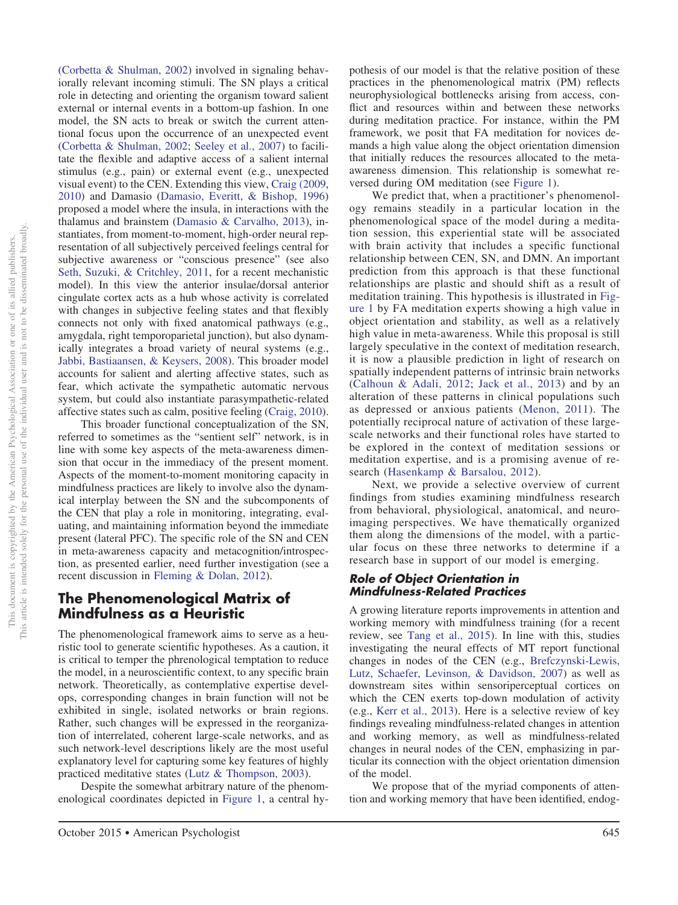[\(Corbetta & Shulman, 2002\)](#page-22-15) involved in signaling behaviorally relevant incoming stimuli. The SN plays a critical role in detecting and orienting the organism toward salient external or internal events in a bottom-up fashion. In one model, the SN acts to break or switch the current attentional focus upon the occurrence of an unexpected event [\(Corbetta & Shulman, 2002;](#page-22-15) [Seeley et al., 2007\)](#page-25-23) to facilitate the flexible and adaptive access of a salient internal stimulus (e.g., pain) or external event (e.g., unexpected visual event) to the CEN. Extending this view, [Craig \(2009,](#page-22-18) [2010\)](#page-22-19) and Damasio [\(Damasio, Everitt, & Bishop, 1996\)](#page-22-20) proposed a model where the insula, in interactions with the thalamus and brainstem [\(Damasio & Carvalho, 2013\)](#page-22-21), instantiates, from moment-to-moment, high-order neural representation of all subjectively perceived feelings central for subjective awareness or "conscious presence" (see also [Seth, Suzuki, & Critchley, 2011,](#page-25-24) for a recent mechanistic model). In this view the anterior insulae/dorsal anterior cingulate cortex acts as a hub whose activity is correlated with changes in subjective feeling states and that flexibly connects not only with fixed anatomical pathways (e.g., amygdala, right temporoparietal junction), but also dynamically integrates a broad variety of neural systems (e.g., [Jabbi, Bastiaansen, & Keysers, 2008\)](#page-23-24). This broader model accounts for salient and alerting affective states, such as fear, which activate the sympathetic automatic nervous system, but could also instantiate parasympathetic-related affective states such as calm, positive feeling [\(Craig, 2010\)](#page-22-19).

This broader functional conceptualization of the SN, referred to sometimes as the "sentient self" network, is in line with some key aspects of the meta-awareness dimension that occur in the immediacy of the present moment. Aspects of the moment-to-moment monitoring capacity in mindfulness practices are likely to involve also the dynamical interplay between the SN and the subcomponents of the CEN that play a role in monitoring, integrating, evaluating, and maintaining information beyond the immediate present (lateral PFC). The specific role of the SN and CEN in meta-awareness capacity and metacognition/introspection, as presented earlier, need further investigation (see a recent discussion in [Fleming & Dolan, 2012\)](#page-22-12).

# **The Phenomenological Matrix of Mindfulness as a Heuristic**

The phenomenological framework aims to serve as a heuristic tool to generate scientific hypotheses. As a caution, it is critical to temper the phrenological temptation to reduce the model, in a neuroscientific context, to any specific brain network. Theoretically, as contemplative expertise develops, corresponding changes in brain function will not be exhibited in single, isolated networks or brain regions. Rather, such changes will be expressed in the reorganization of interrelated, coherent large-scale networks, and as such network-level descriptions likely are the most useful explanatory level for capturing some key features of highly practiced meditative states [\(Lutz & Thompson, 2003\)](#page-24-17).

Despite the somewhat arbitrary nature of the phenomenological coordinates depicted in Figure 1, a central hypothesis of our model is that the relative position of these practices in the phenomenological matrix (PM) reflects neurophysiological bottlenecks arising from access, conflict and resources within and between these networks during meditation practice. For instance, within the PM framework, we posit that FA meditation for novices demands a high value along the object orientation dimension that initially reduces the resources allocated to the metaawareness dimension. This relationship is somewhat reversed during OM meditation (see Figure 1).

We predict that, when a practitioner's phenomenology remains steadily in a particular location in the phenomenological space of the model during a meditation session, this experiential state will be associated with brain activity that includes a specific functional relationship between CEN, SN, and DMN. An important prediction from this approach is that these functional relationships are plastic and should shift as a result of meditation training. This hypothesis is illustrated in Figure 1 by FA meditation experts showing a high value in object orientation and stability, as well as a relatively high value in meta-awareness. While this proposal is still largely speculative in the context of meditation research, it is now a plausible prediction in light of research on spatially independent patterns of intrinsic brain networks [\(Calhoun & Adali, 2012;](#page-22-22) [Jack et al., 2013\)](#page-23-25) and by an alteration of these patterns in clinical populations such as depressed or anxious patients [\(Menon, 2011\)](#page-24-18). The potentially reciprocal nature of activation of these largescale networks and their functional roles have started to be explored in the context of meditation sessions or meditation expertise, and is a promising avenue of research [\(Hasenkamp & Barsalou, 2012\)](#page-23-26).

Next, we provide a selective overview of current findings from studies examining mindfulness research from behavioral, physiological, anatomical, and neuroimaging perspectives. We have thematically organized them along the dimensions of the model, with a particular focus on these three networks to determine if a research base in support of our model is emerging.

### *Role of Object Orientation in Mindfulness-Related Practices*

A growing literature reports improvements in attention and working memory with mindfulness training (for a recent review, see [Tang et al., 2015\)](#page-25-2). In line with this, studies investigating the neural effects of MT report functional changes in nodes of the CEN (e.g., [Brefczynski-Lewis,](#page-21-12) [Lutz, Schaefer, Levinson, & Davidson, 2007\)](#page-21-12) as well as downstream sites within sensoriperceptual cortices on which the CEN exerts top-down modulation of activity (e.g., [Kerr et al., 2013\)](#page-23-18). Here is a selective review of key findings revealing mindfulness-related changes in attention and working memory, as well as mindfulness-related changes in neural nodes of the CEN, emphasizing in particular its connection with the object orientation dimension of the model.

We propose that of the myriad components of attention and working memory that have been identified, endog-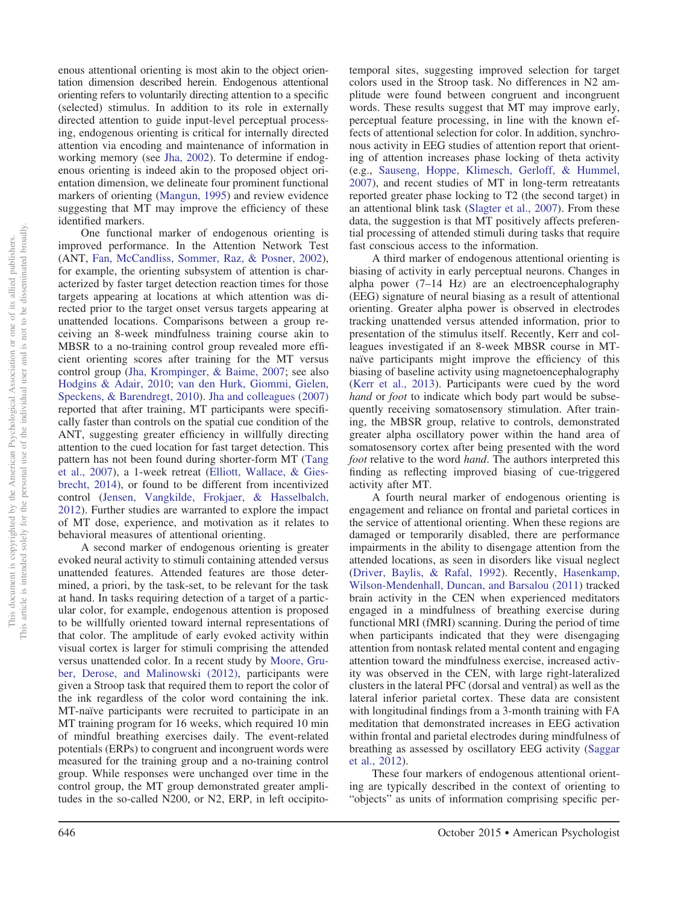enous attentional orienting is most akin to the object orientation dimension described herein. Endogenous attentional orienting refers to voluntarily directing attention to a specific (selected) stimulus. In addition to its role in externally directed attention to guide input-level perceptual processing, endogenous orienting is critical for internally directed attention via encoding and maintenance of information in working memory (see [Jha, 2002\)](#page-23-27). To determine if endogenous orienting is indeed akin to the proposed object orientation dimension, we delineate four prominent functional markers of orienting [\(Mangun, 1995\)](#page-24-19) and review evidence suggesting that MT may improve the efficiency of these identified markers.

One functional marker of endogenous orienting is improved performance. In the Attention Network Test (ANT, [Fan, McCandliss, Sommer, Raz, & Posner, 2002\)](#page-22-23), for example, the orienting subsystem of attention is characterized by faster target detection reaction times for those targets appearing at locations at which attention was directed prior to the target onset versus targets appearing at unattended locations. Comparisons between a group receiving an 8-week mindfulness training course akin to MBSR to a no-training control group revealed more efficient orienting scores after training for the MT versus control group [\(Jha, Krompinger, & Baime, 2007;](#page-23-28) see also [Hodgins & Adair, 2010;](#page-23-29) [van den Hurk, Giommi, Gielen,](#page-25-25) [Speckens, & Barendregt, 2010\)](#page-25-25). [Jha and colleagues \(2007\)](#page-23-28) reported that after training, MT participants were specifically faster than controls on the spatial cue condition of the ANT, suggesting greater efficiency in willfully directing attention to the cued location for fast target detection. This pattern has not been found during shorter-form MT [\(Tang](#page-25-26) [et al., 2007\)](#page-25-26), a 1-week retreat [\(Elliott, Wallace, & Gies](#page-22-24)[brecht, 2014\)](#page-22-24), or found to be different from incentivized control [\(Jensen, Vangkilde, Frokjaer, & Hasselbalch,](#page-23-30) [2012\)](#page-23-30). Further studies are warranted to explore the impact of MT dose, experience, and motivation as it relates to behavioral measures of attentional orienting.

A second marker of endogenous orienting is greater evoked neural activity to stimuli containing attended versus unattended features. Attended features are those determined, a priori, by the task-set, to be relevant for the task at hand. In tasks requiring detection of a target of a particular color, for example, endogenous attention is proposed to be willfully oriented toward internal representations of that color. The amplitude of early evoked activity within visual cortex is larger for stimuli comprising the attended versus unattended color. In a recent study by [Moore, Gru](#page-24-20)[ber, Derose, and Malinowski \(2012\),](#page-24-20) participants were given a Stroop task that required them to report the color of the ink regardless of the color word containing the ink. MT-naïve participants were recruited to participate in an MT training program for 16 weeks, which required 10 min of mindful breathing exercises daily. The event-related potentials (ERPs) to congruent and incongruent words were measured for the training group and a no-training control group. While responses were unchanged over time in the control group, the MT group demonstrated greater amplitudes in the so-called N200, or N2, ERP, in left occipitotemporal sites, suggesting improved selection for target colors used in the Stroop task. No differences in N2 amplitude were found between congruent and incongruent words. These results suggest that MT may improve early, perceptual feature processing, in line with the known effects of attentional selection for color. In addition, synchronous activity in EEG studies of attention report that orienting of attention increases phase locking of theta activity (e.g., [Sauseng, Hoppe, Klimesch, Gerloff, & Hummel,](#page-25-27) [2007\)](#page-25-27), and recent studies of MT in long-term retreatants reported greater phase locking to T2 (the second target) in an attentional blink task [\(Slagter et al., 2007\)](#page-25-28). From these data, the suggestion is that MT positively affects preferential processing of attended stimuli during tasks that require fast conscious access to the information.

A third marker of endogenous attentional orienting is biasing of activity in early perceptual neurons. Changes in alpha power (7–14 Hz) are an electroencephalography (EEG) signature of neural biasing as a result of attentional orienting. Greater alpha power is observed in electrodes tracking unattended versus attended information, prior to presentation of the stimulus itself. Recently, Kerr and colleagues investigated if an 8-week MBSR course in MTnaïve participants might improve the efficiency of this biasing of baseline activity using magnetoencephalography [\(Kerr et al., 2013\)](#page-23-18). Participants were cued by the word *hand* or *foot* to indicate which body part would be subsequently receiving somatosensory stimulation. After training, the MBSR group, relative to controls, demonstrated greater alpha oscillatory power within the hand area of somatosensory cortex after being presented with the word *foot* relative to the word *hand*. The authors interpreted this finding as reflecting improved biasing of cue-triggered activity after MT.

A fourth neural marker of endogenous orienting is engagement and reliance on frontal and parietal cortices in the service of attentional orienting. When these regions are damaged or temporarily disabled, there are performance impairments in the ability to disengage attention from the attended locations, as seen in disorders like visual neglect [\(Driver, Baylis, & Rafal, 1992\)](#page-22-25). Recently, [Hasenkamp,](#page-23-31) [Wilson-Mendenhall, Duncan, and Barsalou \(2011\)](#page-23-31) tracked brain activity in the CEN when experienced meditators engaged in a mindfulness of breathing exercise during functional MRI (fMRI) scanning. During the period of time when participants indicated that they were disengaging attention from nontask related mental content and engaging attention toward the mindfulness exercise, increased activity was observed in the CEN, with large right-lateralized clusters in the lateral PFC (dorsal and ventral) as well as the lateral inferior parietal cortex. These data are consistent with longitudinal findings from a 3-month training with FA meditation that demonstrated increases in EEG activation within frontal and parietal electrodes during mindfulness of breathing as assessed by oscillatory EEG activity [\(Saggar](#page-25-29) [et al., 2012\)](#page-25-29).

These four markers of endogenous attentional orienting are typically described in the context of orienting to "objects" as units of information comprising specific per-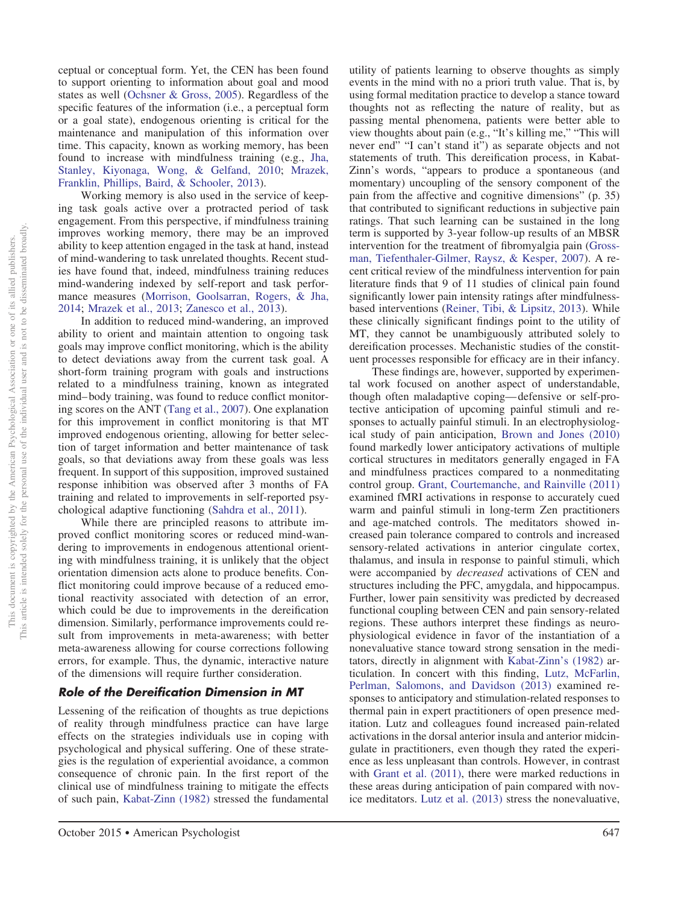ceptual or conceptual form. Yet, the CEN has been found to support orienting to information about goal and mood states as well [\(Ochsner & Gross, 2005\)](#page-24-21). Regardless of the specific features of the information (i.e., a perceptual form or a goal state), endogenous orienting is critical for the maintenance and manipulation of this information over time. This capacity, known as working memory, has been found to increase with mindfulness training (e.g., [Jha,](#page-23-32) [Stanley, Kiyonaga, Wong, & Gelfand, 2010;](#page-23-32) [Mrazek,](#page-24-22) [Franklin, Phillips, Baird, & Schooler, 2013\)](#page-24-22). Working memory is also used in the service of keep-

ing task goals active over a protracted period of task engagement. From this perspective, if mindfulness training improves working memory, there may be an improved ability to keep attention engaged in the task at hand, instead of mind-wandering to task unrelated thoughts. Recent studies have found that, indeed, mindfulness training reduces mind-wandering indexed by self-report and task performance measures [\(Morrison, Goolsarran, Rogers, & Jha,](#page-24-23) [2014;](#page-24-23) [Mrazek et al., 2013;](#page-24-22) [Zanesco et al., 2013\)](#page-26-5).

In addition to reduced mind-wandering, an improved ability to orient and maintain attention to ongoing task goals may improve conflict monitoring, which is the ability to detect deviations away from the current task goal. A short-form training program with goals and instructions related to a mindfulness training, known as integrated mind– body training, was found to reduce conflict monitoring scores on the ANT [\(Tang et al., 2007\)](#page-25-26). One explanation for this improvement in conflict monitoring is that MT improved endogenous orienting, allowing for better selection of target information and better maintenance of task goals, so that deviations away from these goals was less frequent. In support of this supposition, improved sustained response inhibition was observed after 3 months of FA training and related to improvements in self-reported psychological adaptive functioning [\(Sahdra et al., 2011\)](#page-25-5).

While there are principled reasons to attribute improved conflict monitoring scores or reduced mind-wandering to improvements in endogenous attentional orienting with mindfulness training, it is unlikely that the object orientation dimension acts alone to produce benefits. Conflict monitoring could improve because of a reduced emotional reactivity associated with detection of an error, which could be due to improvements in the dereification dimension. Similarly, performance improvements could result from improvements in meta-awareness; with better meta-awareness allowing for course corrections following errors, for example. Thus, the dynamic, interactive nature of the dimensions will require further consideration.

## *Role of the Dereification Dimension in MT*

Lessening of the reification of thoughts as true depictions of reality through mindfulness practice can have large effects on the strategies individuals use in coping with psychological and physical suffering. One of these strategies is the regulation of experiential avoidance, a common consequence of chronic pain. In the first report of the clinical use of mindfulness training to mitigate the effects of such pain, [Kabat-Zinn \(1982\)](#page-23-10) stressed the fundamental

utility of patients learning to observe thoughts as simply events in the mind with no a priori truth value. That is, by using formal meditation practice to develop a stance toward thoughts not as reflecting the nature of reality, but as passing mental phenomena, patients were better able to view thoughts about pain (e.g., "It's killing me," "This will never end" "I can't stand it") as separate objects and not statements of truth. This dereification process, in Kabat-Zinn's words, "appears to produce a spontaneous (and momentary) uncoupling of the sensory component of the pain from the affective and cognitive dimensions" (p. 35) that contributed to significant reductions in subjective pain ratings. That such learning can be sustained in the long term is supported by 3-year follow-up results of an MBSR intervention for the treatment of fibromyalgia pain [\(Gross](#page-23-33)[man, Tiefenthaler-Gilmer, Raysz, & Kesper, 2007\)](#page-23-33). A recent critical review of the mindfulness intervention for pain literature finds that 9 of 11 studies of clinical pain found significantly lower pain intensity ratings after mindfulnessbased interventions [\(Reiner, Tibi, & Lipsitz, 2013\)](#page-25-30). While these clinically significant findings point to the utility of MT, they cannot be unambiguously attributed solely to dereification processes. Mechanistic studies of the constituent processes responsible for efficacy are in their infancy.

These findings are, however, supported by experimental work focused on another aspect of understandable, though often maladaptive coping— defensive or self-protective anticipation of upcoming painful stimuli and responses to actually painful stimuli. In an electrophysiological study of pain anticipation, [Brown and Jones \(2010\)](#page-21-13) found markedly lower anticipatory activations of multiple cortical structures in meditators generally engaged in FA and mindfulness practices compared to a nonmeditating control group. [Grant, Courtemanche, and Rainville \(2011\)](#page-23-34) examined fMRI activations in response to accurately cued warm and painful stimuli in long-term Zen practitioners and age-matched controls. The meditators showed increased pain tolerance compared to controls and increased sensory-related activations in anterior cingulate cortex, thalamus, and insula in response to painful stimuli, which were accompanied by *decreased* activations of CEN and structures including the PFC, amygdala, and hippocampus. Further, lower pain sensitivity was predicted by decreased functional coupling between CEN and pain sensory-related regions. These authors interpret these findings as neurophysiological evidence in favor of the instantiation of a nonevaluative stance toward strong sensation in the meditators, directly in alignment with [Kabat-Zinn's \(1982\)](#page-23-10) articulation. In concert with this finding, [Lutz, McFarlin,](#page-24-24) [Perlman, Salomons, and Davidson \(2013\)](#page-24-24) examined responses to anticipatory and stimulation-related responses to thermal pain in expert practitioners of open presence meditation. Lutz and colleagues found increased pain-related activations in the dorsal anterior insula and anterior midcingulate in practitioners, even though they rated the experience as less unpleasant than controls. However, in contrast with [Grant et al. \(2011\),](#page-23-34) there were marked reductions in these areas during anticipation of pain compared with novice meditators. [Lutz et al. \(2013\)](#page-24-24) stress the nonevaluative,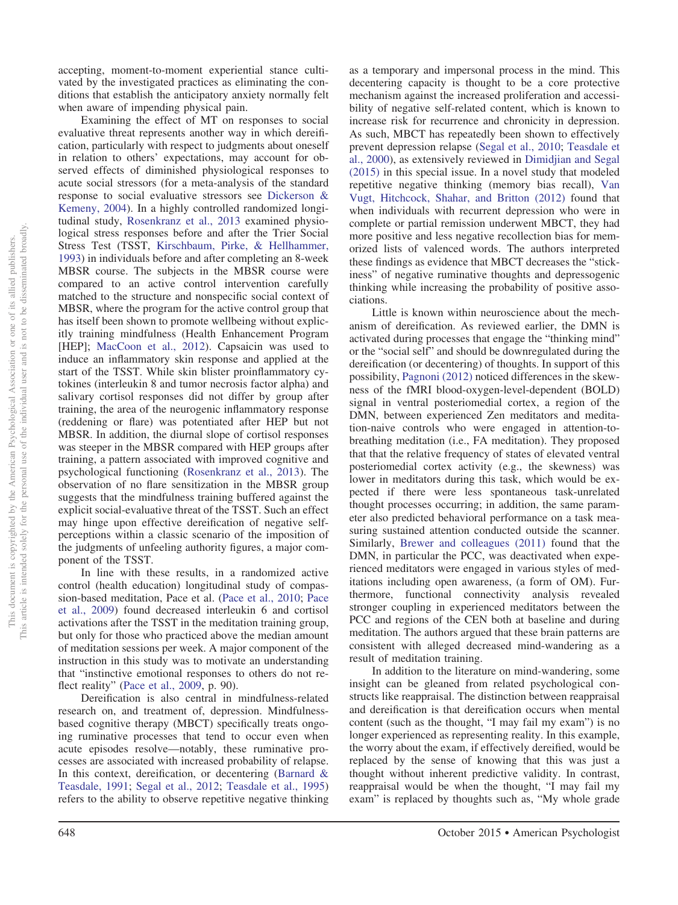accepting, moment-to-moment experiential stance cultivated by the investigated practices as eliminating the conditions that establish the anticipatory anxiety normally felt when aware of impending physical pain.

Examining the effect of MT on responses to social evaluative threat represents another way in which dereification, particularly with respect to judgments about oneself in relation to others' expectations, may account for observed effects of diminished physiological responses to acute social stressors (for a meta-analysis of the standard response to social evaluative stressors see [Dickerson &](#page-22-26) [Kemeny, 2004\)](#page-22-26). In a highly controlled randomized longitudinal study, [Rosenkranz et al., 2013](#page-25-31) examined physiological stress responses before and after the Trier Social Stress Test (TSST, [Kirschbaum, Pirke, & Hellhammer,](#page-24-25) [1993\)](#page-24-25) in individuals before and after completing an 8-week MBSR course. The subjects in the MBSR course were compared to an active control intervention carefully matched to the structure and nonspecific social context of MBSR, where the program for the active control group that has itself been shown to promote wellbeing without explicitly training mindfulness (Health Enhancement Program [HEP]; [MacCoon et al., 2012\)](#page-24-26). Capsaicin was used to induce an inflammatory skin response and applied at the start of the TSST. While skin blister proinflammatory cytokines (interleukin 8 and tumor necrosis factor alpha) and salivary cortisol responses did not differ by group after training, the area of the neurogenic inflammatory response (reddening or flare) was potentiated after HEP but not MBSR. In addition, the diurnal slope of cortisol responses was steeper in the MBSR compared with HEP groups after training, a pattern associated with improved cognitive and psychological functioning [\(Rosenkranz et al., 2013\)](#page-25-31). The observation of no flare sensitization in the MBSR group suggests that the mindfulness training buffered against the explicit social-evaluative threat of the TSST. Such an effect may hinge upon effective dereification of negative selfperceptions within a classic scenario of the imposition of the judgments of unfeeling authority figures, a major component of the TSST.

In line with these results, in a randomized active control (health education) longitudinal study of compassion-based meditation, Pace et al. [\(Pace et al., 2010;](#page-24-27) [Pace](#page-24-28) [et al., 2009\)](#page-24-28) found decreased interleukin 6 and cortisol activations after the TSST in the meditation training group, but only for those who practiced above the median amount of meditation sessions per week. A major component of the instruction in this study was to motivate an understanding that "instinctive emotional responses to others do not re-flect reality" [\(Pace et al., 2009,](#page-24-28) p. 90).

Dereification is also central in mindfulness-related research on, and treatment of, depression. Mindfulnessbased cognitive therapy (MBCT) specifically treats ongoing ruminative processes that tend to occur even when acute episodes resolve—notably, these ruminative processes are associated with increased probability of relapse. In this context, dereification, or decentering [\(Barnard &](#page-21-14) [Teasdale, 1991;](#page-21-14) [Segal et al., 2012;](#page-25-12) [Teasdale et al., 1995\)](#page-25-10) refers to the ability to observe repetitive negative thinking

as a temporary and impersonal process in the mind. This decentering capacity is thought to be a core protective mechanism against the increased proliferation and accessibility of negative self-related content, which is known to increase risk for recurrence and chronicity in depression. As such, MBCT has repeatedly been shown to effectively prevent depression relapse [\(Segal et al., 2010;](#page-25-32) [Teasdale et](#page-25-7) [al., 2000\)](#page-25-7), as extensively reviewed in [Dimidjian and Segal](#page-22-5) [\(2015\)](#page-22-5) in this special issue. In a novel study that modeled repetitive negative thinking (memory bias recall), [Van](#page-26-6) [Vugt, Hitchcock, Shahar, and Britton \(2012\)](#page-26-6) found that when individuals with recurrent depression who were in complete or partial remission underwent MBCT, they had more positive and less negative recollection bias for memorized lists of valenced words. The authors interpreted these findings as evidence that MBCT decreases the "stickiness" of negative ruminative thoughts and depressogenic thinking while increasing the probability of positive associations.

Little is known within neuroscience about the mechanism of dereification. As reviewed earlier, the DMN is activated during processes that engage the "thinking mind" or the "social self" and should be downregulated during the dereification (or decentering) of thoughts. In support of this possibility, [Pagnoni \(2012\)](#page-24-29) noticed differences in the skewness of the fMRI blood-oxygen-level-dependent (BOLD) signal in ventral posteriomedial cortex, a region of the DMN, between experienced Zen meditators and meditation-naive controls who were engaged in attention-tobreathing meditation (i.e., FA meditation). They proposed that that the relative frequency of states of elevated ventral posteriomedial cortex activity (e.g., the skewness) was lower in meditators during this task, which would be expected if there were less spontaneous task-unrelated thought processes occurring; in addition, the same parameter also predicted behavioral performance on a task measuring sustained attention conducted outside the scanner. Similarly, [Brewer and colleagues \(2011\)](#page-21-15) found that the DMN, in particular the PCC, was deactivated when experienced meditators were engaged in various styles of meditations including open awareness, (a form of OM). Furthermore, functional connectivity analysis revealed stronger coupling in experienced meditators between the PCC and regions of the CEN both at baseline and during meditation. The authors argued that these brain patterns are consistent with alleged decreased mind-wandering as a result of meditation training.

In addition to the literature on mind-wandering, some insight can be gleaned from related psychological constructs like reappraisal. The distinction between reappraisal and dereification is that dereification occurs when mental content (such as the thought, "I may fail my exam") is no longer experienced as representing reality. In this example, the worry about the exam, if effectively dereified, would be replaced by the sense of knowing that this was just a thought without inherent predictive validity. In contrast, reappraisal would be when the thought, "I may fail my exam" is replaced by thoughts such as, "My whole grade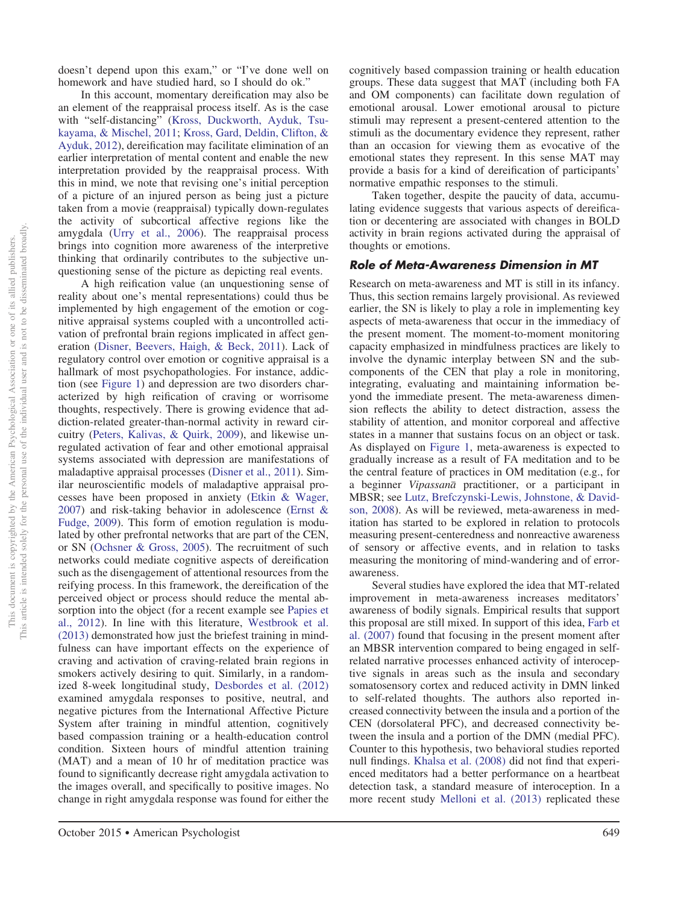doesn't depend upon this exam," or "I've done well on homework and have studied hard, so I should do ok."

In this account, momentary dereification may also be an element of the reappraisal process itself. As is the case with "self-distancing" [\(Kross, Duckworth, Ayduk, Tsu](#page-24-30)[kayama, & Mischel, 2011;](#page-24-30) [Kross, Gard, Deldin, Clifton, &](#page-24-31) [Ayduk, 2012\)](#page-24-31), dereification may facilitate elimination of an earlier interpretation of mental content and enable the new interpretation provided by the reappraisal process. With this in mind, we note that revising one's initial perception of a picture of an injured person as being just a picture taken from a movie (reappraisal) typically down-regulates the activity of subcortical affective regions like the amygdala [\(Urry et al., 2006\)](#page-25-33). The reappraisal process brings into cognition more awareness of the interpretive thinking that ordinarily contributes to the subjective unquestioning sense of the picture as depicting real events.

A high reification value (an unquestioning sense of reality about one's mental representations) could thus be implemented by high engagement of the emotion or cognitive appraisal systems coupled with a uncontrolled activation of prefrontal brain regions implicated in affect generation [\(Disner, Beevers, Haigh, & Beck, 2011\)](#page-22-27). Lack of regulatory control over emotion or cognitive appraisal is a hallmark of most psychopathologies. For instance, addiction (see Figure 1) and depression are two disorders characterized by high reification of craving or worrisome thoughts, respectively. There is growing evidence that addiction-related greater-than-normal activity in reward circuitry [\(Peters, Kalivas, & Quirk, 2009\)](#page-24-32), and likewise unregulated activation of fear and other emotional appraisal systems associated with depression are manifestations of maladaptive appraisal processes [\(Disner et al., 2011\)](#page-22-27). Similar neuroscientific models of maladaptive appraisal processes have been proposed in anxiety [\(Etkin & Wager,](#page-22-28) [2007\)](#page-22-28) and risk-taking behavior in adolescence [\(Ernst &](#page-22-29) [Fudge, 2009\)](#page-22-29). This form of emotion regulation is modulated by other prefrontal networks that are part of the CEN, or SN [\(Ochsner & Gross, 2005\)](#page-24-21). The recruitment of such networks could mediate cognitive aspects of dereification such as the disengagement of attentional resources from the reifying process. In this framework, the dereification of the perceived object or process should reduce the mental absorption into the object (for a recent example see [Papies et](#page-24-10) [al., 2012\)](#page-24-10). In line with this literature, [Westbrook et al.](#page-26-7) [\(2013\)](#page-26-7) demonstrated how just the briefest training in mindfulness can have important effects on the experience of craving and activation of craving-related brain regions in smokers actively desiring to quit. Similarly, in a randomized 8-week longitudinal study, [Desbordes et al. \(2012\)](#page-22-30) examined amygdala responses to positive, neutral, and negative pictures from the International Affective Picture System after training in mindful attention, cognitively based compassion training or a health-education control condition. Sixteen hours of mindful attention training (MAT) and a mean of 10 hr of meditation practice was found to significantly decrease right amygdala activation to the images overall, and specifically to positive images. No change in right amygdala response was found for either the

cognitively based compassion training or health education groups. These data suggest that MAT (including both FA and OM components) can facilitate down regulation of emotional arousal. Lower emotional arousal to picture stimuli may represent a present-centered attention to the stimuli as the documentary evidence they represent, rather than an occasion for viewing them as evocative of the emotional states they represent. In this sense MAT may provide a basis for a kind of dereification of participants' normative empathic responses to the stimuli.

Taken together, despite the paucity of data, accumulating evidence suggests that various aspects of dereification or decentering are associated with changes in BOLD activity in brain regions activated during the appraisal of thoughts or emotions.

#### *Role of Meta-Awareness Dimension in MT*

Research on meta-awareness and MT is still in its infancy. Thus, this section remains largely provisional. As reviewed earlier, the SN is likely to play a role in implementing key aspects of meta-awareness that occur in the immediacy of the present moment. The moment-to-moment monitoring capacity emphasized in mindfulness practices are likely to involve the dynamic interplay between SN and the subcomponents of the CEN that play a role in monitoring, integrating, evaluating and maintaining information beyond the immediate present. The meta-awareness dimension reflects the ability to detect distraction, assess the stability of attention, and monitor corporeal and affective states in a manner that sustains focus on an object or task. As displayed on Figure 1, meta-awareness is expected to gradually increase as a result of FA meditation and to be the central feature of practices in OM meditation (e.g., for a beginner *Vipassana*- practitioner, or a participant in MBSR; see [Lutz, Brefczynski-Lewis, Johnstone, & David](#page-24-7)[son, 2008\)](#page-24-7). As will be reviewed, meta-awareness in meditation has started to be explored in relation to protocols measuring present-centeredness and nonreactive awareness of sensory or affective events, and in relation to tasks measuring the monitoring of mind-wandering and of errorawareness.

Several studies have explored the idea that MT-related improvement in meta-awareness increases meditators' awareness of bodily signals. Empirical results that support this proposal are still mixed. In support of this idea, [Farb et](#page-22-31) [al. \(2007\)](#page-22-31) found that focusing in the present moment after an MBSR intervention compared to being engaged in selfrelated narrative processes enhanced activity of interoceptive signals in areas such as the insula and secondary somatosensory cortex and reduced activity in DMN linked to self-related thoughts. The authors also reported increased connectivity between the insula and a portion of the CEN (dorsolateral PFC), and decreased connectivity between the insula and a portion of the DMN (medial PFC). Counter to this hypothesis, two behavioral studies reported null findings. [Khalsa et al. \(2008\)](#page-23-35) did not find that experienced meditators had a better performance on a heartbeat detection task, a standard measure of interoception. In a more recent study [Melloni et al. \(2013\)](#page-24-33) replicated these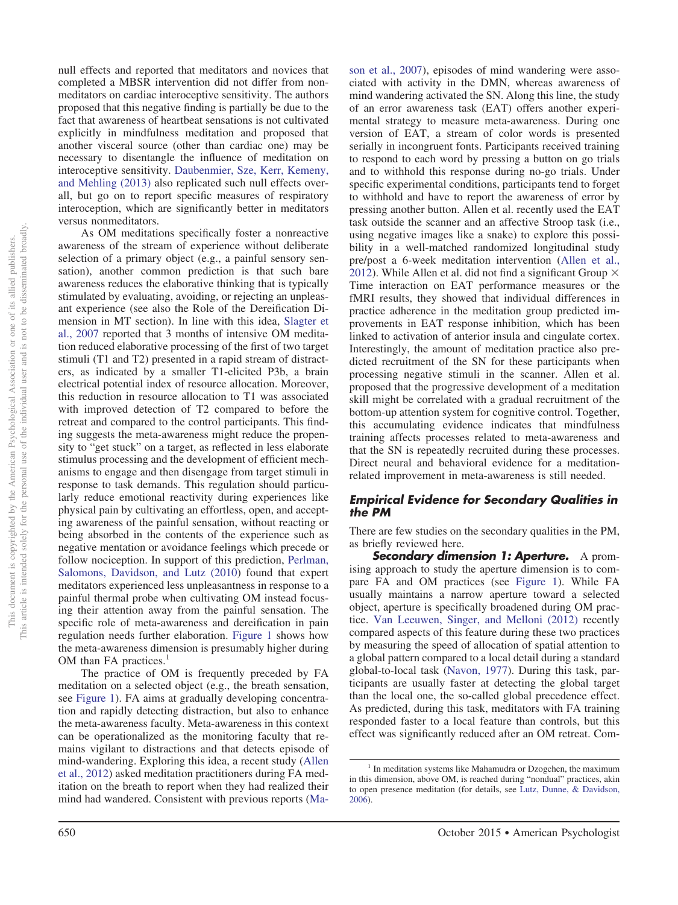null effects and reported that meditators and novices that completed a MBSR intervention did not differ from nonmeditators on cardiac interoceptive sensitivity. The authors proposed that this negative finding is partially be due to the fact that awareness of heartbeat sensations is not cultivated explicitly in mindfulness meditation and proposed that another visceral source (other than cardiac one) may be necessary to disentangle the influence of meditation on interoceptive sensitivity. [Daubenmier, Sze, Kerr, Kemeny,](#page-22-32) [and Mehling \(2013\)](#page-22-32) also replicated such null effects overall, but go on to report specific measures of respiratory interoception, which are significantly better in meditators versus nonmeditators.

As OM meditations specifically foster a nonreactive awareness of the stream of experience without deliberate selection of a primary object (e.g., a painful sensory sensation), another common prediction is that such bare awareness reduces the elaborative thinking that is typically stimulated by evaluating, avoiding, or rejecting an unpleasant experience (see also the Role of the Dereification Dimension in MT section). In line with this idea, [Slagter et](#page-25-28) [al., 2007](#page-25-28) reported that 3 months of intensive OM meditation reduced elaborative processing of the first of two target stimuli (T1 and T2) presented in a rapid stream of distracters, as indicated by a smaller T1-elicited P3b, a brain electrical potential index of resource allocation. Moreover, this reduction in resource allocation to T1 was associated with improved detection of T2 compared to before the retreat and compared to the control participants. This finding suggests the meta-awareness might reduce the propensity to "get stuck" on a target, as reflected in less elaborate stimulus processing and the development of efficient mechanisms to engage and then disengage from target stimuli in response to task demands. This regulation should particularly reduce emotional reactivity during experiences like physical pain by cultivating an effortless, open, and accepting awareness of the painful sensation, without reacting or being absorbed in the contents of the experience such as negative mentation or avoidance feelings which precede or follow nociception. In support of this prediction, [Perlman,](#page-24-34) [Salomons, Davidson, and Lutz \(2010\)](#page-24-34) found that expert meditators experienced less unpleasantness in response to a painful thermal probe when cultivating OM instead focusing their attention away from the painful sensation. The specific role of meta-awareness and dereification in pain regulation needs further elaboration. Figure 1 shows how the meta-awareness dimension is presumably higher during OM than FA practices.<sup>1</sup>

The practice of OM is frequently preceded by FA meditation on a selected object (e.g., the breath sensation, see Figure 1). FA aims at gradually developing concentration and rapidly detecting distraction, but also to enhance the meta-awareness faculty. Meta-awareness in this context can be operationalized as the monitoring faculty that remains vigilant to distractions and that detects episode of mind-wandering. Exploring this idea, a recent study [\(Allen](#page-21-16) [et al., 2012\)](#page-21-16) asked meditation practitioners during FA meditation on the breath to report when they had realized their mind had wandered. Consistent with previous reports [\(Ma-](#page-24-16)

[son et al., 2007\)](#page-24-16), episodes of mind wandering were associated with activity in the DMN, whereas awareness of mind wandering activated the SN. Along this line, the study of an error awareness task (EAT) offers another experimental strategy to measure meta-awareness. During one version of EAT, a stream of color words is presented serially in incongruent fonts. Participants received training to respond to each word by pressing a button on go trials and to withhold this response during no-go trials. Under specific experimental conditions, participants tend to forget to withhold and have to report the awareness of error by pressing another button. Allen et al. recently used the EAT task outside the scanner and an affective Stroop task (i.e., using negative images like a snake) to explore this possibility in a well-matched randomized longitudinal study pre/post a 6-week meditation intervention [\(Allen et al.,](#page-21-16) [2012\)](#page-21-16). While Allen et al. did not find a significant Group  $\times$ Time interaction on EAT performance measures or the fMRI results, they showed that individual differences in practice adherence in the meditation group predicted improvements in EAT response inhibition, which has been linked to activation of anterior insula and cingulate cortex. Interestingly, the amount of meditation practice also predicted recruitment of the SN for these participants when processing negative stimuli in the scanner. Allen et al. proposed that the progressive development of a meditation skill might be correlated with a gradual recruitment of the bottom-up attention system for cognitive control. Together, this accumulating evidence indicates that mindfulness training affects processes related to meta-awareness and that the SN is repeatedly recruited during these processes. Direct neural and behavioral evidence for a meditationrelated improvement in meta-awareness is still needed.

## *Empirical Evidence for Secondary Qualities in the PM*

There are few studies on the secondary qualities in the PM, as briefly reviewed here.

*Secondary dimension 1: Aperture.* A promising approach to study the aperture dimension is to compare FA and OM practices (see Figure 1). While FA usually maintains a narrow aperture toward a selected object, aperture is specifically broadened during OM practice. [Van Leeuwen, Singer, and Melloni \(2012\)](#page-25-34) recently compared aspects of this feature during these two practices by measuring the speed of allocation of spatial attention to a global pattern compared to a local detail during a standard global-to-local task [\(Navon, 1977\)](#page-24-35). During this task, participants are usually faster at detecting the global target than the local one, the so-called global precedence effect. As predicted, during this task, meditators with FA training responded faster to a local feature than controls, but this effect was significantly reduced after an OM retreat. Com-

 $<sup>1</sup>$  In meditation systems like Mahamudra or Dzogchen, the maximum</sup> in this dimension, above OM, is reached during "nondual" practices, akin to open presence meditation (for details, see [Lutz, Dunne, & Davidson,](#page-24-36) [2006\)](#page-24-36).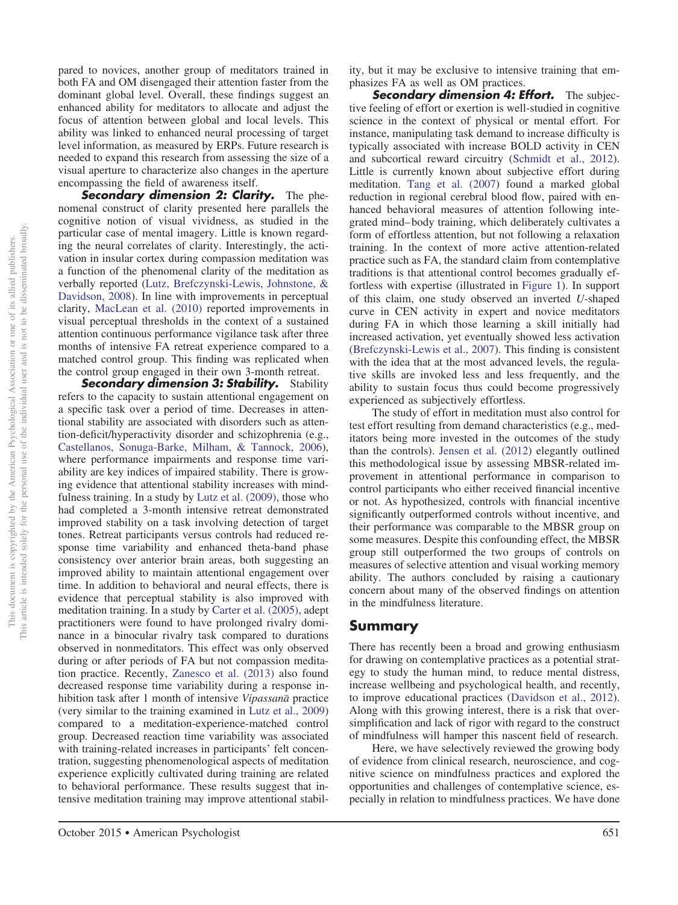This article is intended solely for the personal use of the individual user and is not to be disseminated broadly. is not to be disseminated broadly. This document is copyrighted by the American Psychological Association or one of its allied publishers.<br>This article is intended solely for the personal use of the individual user and is not to be disseminated broa This document is copyrighted by the American Psychological Association or one of its allied publishers.

pared to novices, another group of meditators trained in both FA and OM disengaged their attention faster from the dominant global level. Overall, these findings suggest an enhanced ability for meditators to allocate and adjust the focus of attention between global and local levels. This ability was linked to enhanced neural processing of target level information, as measured by ERPs. Future research is needed to expand this research from assessing the size of a visual aperture to characterize also changes in the aperture encompassing the field of awareness itself.

*Secondary dimension 2: Clarity.* The phenomenal construct of clarity presented here parallels the cognitive notion of visual vividness, as studied in the particular case of mental imagery. Little is known regarding the neural correlates of clarity. Interestingly, the activation in insular cortex during compassion meditation was a function of the phenomenal clarity of the meditation as verbally reported [\(Lutz, Brefczynski-Lewis, Johnstone, &](#page-24-7) [Davidson, 2008\)](#page-24-7). In line with improvements in perceptual clarity, [MacLean et al. \(2010\)](#page-24-37) reported improvements in visual perceptual thresholds in the context of a sustained attention continuous performance vigilance task after three months of intensive FA retreat experience compared to a matched control group. This finding was replicated when the control group engaged in their own 3-month retreat.

*Secondary dimension 3: Stability.* Stability refers to the capacity to sustain attentional engagement on a specific task over a period of time. Decreases in attentional stability are associated with disorders such as attention-deficit/hyperactivity disorder and schizophrenia (e.g., [Castellanos, Sonuga-Barke, Milham, & Tannock, 2006\)](#page-22-33), where performance impairments and response time variability are key indices of impaired stability. There is growing evidence that attentional stability increases with mindfulness training. In a study by [Lutz et al. \(2009\),](#page-24-13) those who had completed a 3-month intensive retreat demonstrated improved stability on a task involving detection of target tones. Retreat participants versus controls had reduced response time variability and enhanced theta-band phase consistency over anterior brain areas, both suggesting an improved ability to maintain attentional engagement over time. In addition to behavioral and neural effects, there is evidence that perceptual stability is also improved with meditation training. In a study by [Carter et al. \(2005\),](#page-22-34) adept practitioners were found to have prolonged rivalry dominance in a binocular rivalry task compared to durations observed in nonmeditators. This effect was only observed during or after periods of FA but not compassion meditation practice. Recently, [Zanesco et al. \(2013\)](#page-26-5) also found decreased response time variability during a response inhibition task after 1 month of intensive *Vipassana*- practice (very similar to the training examined in [Lutz et al., 2009\)](#page-24-13) compared to a meditation-experience-matched control group. Decreased reaction time variability was associated with training-related increases in participants' felt concentration, suggesting phenomenological aspects of meditation experience explicitly cultivated during training are related to behavioral performance. These results suggest that intensive meditation training may improve attentional stability, but it may be exclusive to intensive training that emphasizes FA as well as OM practices.

*Secondary dimension 4: Effort.* The subjective feeling of effort or exertion is well-studied in cognitive science in the context of physical or mental effort. For instance, manipulating task demand to increase difficulty is typically associated with increase BOLD activity in CEN and subcortical reward circuitry [\(Schmidt et al., 2012\)](#page-25-21). Little is currently known about subjective effort during meditation. [Tang et al. \(2007\)](#page-25-26) found a marked global reduction in regional cerebral blood flow, paired with enhanced behavioral measures of attention following integrated mind– body training, which deliberately cultivates a form of effortless attention, but not following a relaxation training. In the context of more active attention-related practice such as FA, the standard claim from contemplative traditions is that attentional control becomes gradually effortless with expertise (illustrated in Figure 1). In support of this claim, one study observed an inverted *U*-shaped curve in CEN activity in expert and novice meditators during FA in which those learning a skill initially had increased activation, yet eventually showed less activation [\(Brefczynski-Lewis et al., 2007\)](#page-21-12). This finding is consistent with the idea that at the most advanced levels, the regulative skills are invoked less and less frequently, and the ability to sustain focus thus could become progressively experienced as subjectively effortless.

The study of effort in meditation must also control for test effort resulting from demand characteristics (e.g., meditators being more invested in the outcomes of the study than the controls). [Jensen et al. \(2012\)](#page-23-30) elegantly outlined this methodological issue by assessing MBSR-related improvement in attentional performance in comparison to control participants who either received financial incentive or not. As hypothesized, controls with financial incentive significantly outperformed controls without incentive, and their performance was comparable to the MBSR group on some measures. Despite this confounding effect, the MBSR group still outperformed the two groups of controls on measures of selective attention and visual working memory ability. The authors concluded by raising a cautionary concern about many of the observed findings on attention in the mindfulness literature.

## **Summary**

There has recently been a broad and growing enthusiasm for drawing on contemplative practices as a potential strategy to study the human mind, to reduce mental distress, increase wellbeing and psychological health, and recently, to improve educational practices [\(Davidson et al., 2012\)](#page-22-35). Along with this growing interest, there is a risk that oversimplification and lack of rigor with regard to the construct of mindfulness will hamper this nascent field of research.

Here, we have selectively reviewed the growing body of evidence from clinical research, neuroscience, and cognitive science on mindfulness practices and explored the opportunities and challenges of contemplative science, especially in relation to mindfulness practices. We have done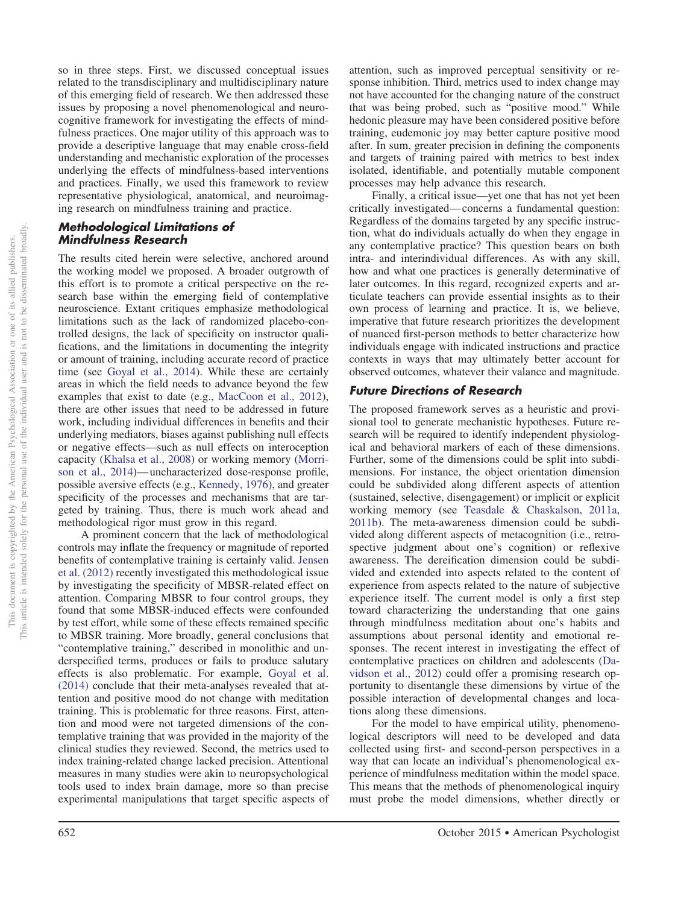so in three steps. First, we discussed conceptual issues related to the transdisciplinary and multidisciplinary nature of this emerging field of research. We then addressed these issues by proposing a novel phenomenological and neurocognitive framework for investigating the effects of mindfulness practices. One major utility of this approach was to provide a descriptive language that may enable cross-field understanding and mechanistic exploration of the processes underlying the effects of mindfulness-based interventions and practices. Finally, we used this framework to review representative physiological, anatomical, and neuroimaging research on mindfulness training and practice.

## *Methodological Limitations of Mindfulness Research*

The results cited herein were selective, anchored around the working model we proposed. A broader outgrowth of this effort is to promote a critical perspective on the research base within the emerging field of contemplative neuroscience. Extant critiques emphasize methodological limitations such as the lack of randomized placebo-controlled designs, the lack of specificity on instructor qualifications, and the limitations in documenting the integrity or amount of training, including accurate record of practice time (see [Goyal et al., 2014\)](#page-23-36). While these are certainly areas in which the field needs to advance beyond the few examples that exist to date (e.g., [MacCoon et al., 2012\)](#page-24-26), there are other issues that need to be addressed in future work, including individual differences in benefits and their underlying mediators, biases against publishing null effects or negative effects—such as null effects on interoception capacity [\(Khalsa et al., 2008\)](#page-23-35) or working memory [\(Morri](#page-24-23)[son et al., 2014\)](#page-24-23)— uncharacterized dose-response profile, possible aversive effects (e.g., [Kennedy, 1976\)](#page-23-37), and greater specificity of the processes and mechanisms that are targeted by training. Thus, there is much work ahead and methodological rigor must grow in this regard.

A prominent concern that the lack of methodological controls may inflate the frequency or magnitude of reported benefits of contemplative training is certainly valid. [Jensen](#page-23-30) [et al. \(2012\)](#page-23-30) recently investigated this methodological issue by investigating the specificity of MBSR-related effect on attention. Comparing MBSR to four control groups, they found that some MBSR-induced effects were confounded by test effort, while some of these effects remained specific to MBSR training. More broadly, general conclusions that "contemplative training," described in monolithic and underspecified terms, produces or fails to produce salutary effects is also problematic. For example, [Goyal et al.](#page-23-36) [\(2014\)](#page-23-36) conclude that their meta-analyses revealed that attention and positive mood do not change with meditation training. This is problematic for three reasons. First, attention and mood were not targeted dimensions of the contemplative training that was provided in the majority of the clinical studies they reviewed. Second, the metrics used to index training-related change lacked precision. Attentional measures in many studies were akin to neuropsychological tools used to index brain damage, more so than precise experimental manipulations that target specific aspects of

attention, such as improved perceptual sensitivity or response inhibition. Third, metrics used to index change may not have accounted for the changing nature of the construct that was being probed, such as "positive mood." While hedonic pleasure may have been considered positive before training, eudemonic joy may better capture positive mood after. In sum, greater precision in defining the components and targets of training paired with metrics to best index isolated, identifiable, and potentially mutable component processes may help advance this research.

Finally, a critical issue—yet one that has not yet been critically investigated— concerns a fundamental question: Regardless of the domains targeted by any specific instruction, what do individuals actually do when they engage in any contemplative practice? This question bears on both intra- and interindividual differences. As with any skill, how and what one practices is generally determinative of later outcomes. In this regard, recognized experts and articulate teachers can provide essential insights as to their own process of learning and practice. It is, we believe, imperative that future research prioritizes the development of nuanced first-person methods to better characterize how individuals engage with indicated instructions and practice contexts in ways that may ultimately better account for observed outcomes, whatever their valance and magnitude.

## *Future Directions of Research*

The proposed framework serves as a heuristic and provisional tool to generate mechanistic hypotheses. Future research will be required to identify independent physiological and behavioral markers of each of these dimensions. Further, some of the dimensions could be split into subdimensions. For instance, the object orientation dimension could be subdivided along different aspects of attention (sustained, selective, disengagement) or implicit or explicit working memory (see [Teasdale & Chaskalson, 2011a,](#page-25-8) [2011b\)](#page-25-9). The meta-awareness dimension could be subdivided along different aspects of metacognition (i.e., retrospective judgment about one's cognition) or reflexive awareness. The dereification dimension could be subdivided and extended into aspects related to the content of experience from aspects related to the nature of subjective experience itself. The current model is only a first step toward characterizing the understanding that one gains through mindfulness meditation about one's habits and assumptions about personal identity and emotional responses. The recent interest in investigating the effect of contemplative practices on children and adolescents [\(Da](#page-22-35)[vidson et al., 2012\)](#page-22-35) could offer a promising research opportunity to disentangle these dimensions by virtue of the possible interaction of developmental changes and locations along these dimensions.

For the model to have empirical utility, phenomenological descriptors will need to be developed and data collected using first- and second-person perspectives in a way that can locate an individual's phenomenological experience of mindfulness meditation within the model space. This means that the methods of phenomenological inquiry must probe the model dimensions, whether directly or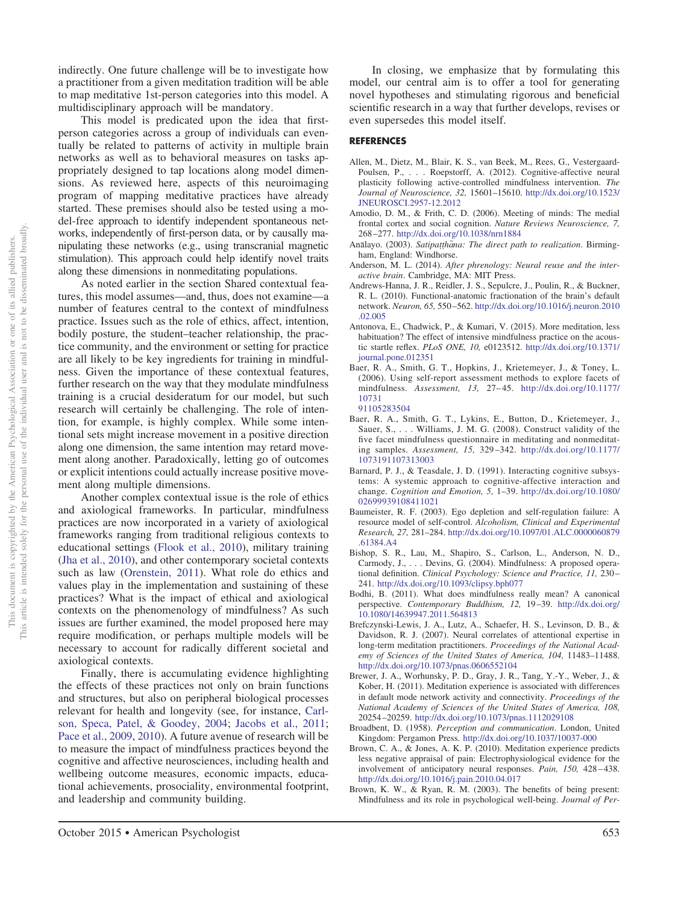indirectly. One future challenge will be to investigate how a practitioner from a given meditation tradition will be able to map meditative 1st-person categories into this model. A multidisciplinary approach will be mandatory.

This model is predicated upon the idea that firstperson categories across a group of individuals can eventually be related to patterns of activity in multiple brain networks as well as to behavioral measures on tasks appropriately designed to tap locations along model dimensions. As reviewed here, aspects of this neuroimaging program of mapping meditative practices have already started. These premises should also be tested using a model-free approach to identify independent spontaneous networks, independently of first-person data, or by causally manipulating these networks (e.g., using transcranial magnetic stimulation). This approach could help identify novel traits along these dimensions in nonmeditating populations.

As noted earlier in the section Shared contextual features, this model assumes—and, thus, does not examine—a number of features central to the context of mindfulness practice. Issues such as the role of ethics, affect, intention, bodily posture, the student–teacher relationship, the practice community, and the environment or setting for practice are all likely to be key ingredients for training in mindfulness. Given the importance of these contextual features, further research on the way that they modulate mindfulness training is a crucial desideratum for our model, but such research will certainly be challenging. The role of intention, for example, is highly complex. While some intentional sets might increase movement in a positive direction along one dimension, the same intention may retard movement along another. Paradoxically, letting go of outcomes or explicit intentions could actually increase positive movement along multiple dimensions.

Another complex contextual issue is the role of ethics and axiological frameworks. In particular, mindfulness practices are now incorporated in a variety of axiological frameworks ranging from traditional religious contexts to educational settings [\(Flook et al., 2010\)](#page-22-36), military training [\(Jha et al., 2010\)](#page-23-8), and other contemporary societal contexts such as law [\(Orenstein, 2011\)](#page-24-38). What role do ethics and values play in the implementation and sustaining of these practices? What is the impact of ethical and axiological contexts on the phenomenology of mindfulness? As such issues are further examined, the model proposed here may require modification, or perhaps multiple models will be necessary to account for radically different societal and axiological contexts.

Finally, there is accumulating evidence highlighting the effects of these practices not only on brain functions and structures, but also on peripheral biological processes relevant for health and longevity (see, for instance, [Carl](#page-22-37)[son, Speca, Patel, & Goodey, 2004;](#page-22-37) [Jacobs et al., 2011;](#page-23-38) [Pace et al., 2009,](#page-24-28) [2010\)](#page-24-27). A future avenue of research will be to measure the impact of mindfulness practices beyond the cognitive and affective neurosciences, including health and wellbeing outcome measures, economic impacts, educational achievements, prosociality, environmental footprint, and leadership and community building.

In closing, we emphasize that by formulating this model, our central aim is to offer a tool for generating novel hypotheses and stimulating rigorous and beneficial scientific research in a way that further develops, revises or even supersedes this model itself.

#### **REFERENCES**

- <span id="page-21-16"></span>Allen, M., Dietz, M., Blair, K. S., van Beek, M., Rees, G., Vestergaard-Poulsen, P.,... Roepstorff, A. (2012). Cognitive-affective neural plasticity following active-controlled mindfulness intervention. *The Journal of Neuroscience, 32,* 15601–15610. [http://dx.doi.org/10.1523/](http://dx.doi.org/10.1523/JNEUROSCI.2957-12.2012) [JNEUROSCI.2957-12.2012](http://dx.doi.org/10.1523/JNEUROSCI.2957-12.2012)
- <span id="page-21-10"></span>Amodio, D. M., & Frith, C. D. (2006). Meeting of minds: The medial frontal cortex and social cognition. *Nature Reviews Neuroscience, 7,* 268 –277. <http://dx.doi.org/10.1038/nrn1884>
- <span id="page-21-5"></span>Analayo. (2003). Satipatthana: The direct path to realization. Birmingham, England: Windhorse.
- <span id="page-21-9"></span>Anderson, M. L. (2014). *After phrenology: Neural reuse and the interactive brain*. Cambridge, MA: MIT Press.
- <span id="page-21-11"></span>Andrews-Hanna, J. R., Reidler, J. S., Sepulcre, J., Poulin, R., & Buckner, R. L. (2010). Functional-anatomic fractionation of the brain's default network. *Neuron, 65,* 550 –562. [http://dx.doi.org/10.1016/j.neuron.2010](http://dx.doi.org/10.1016/j.neuron.2010.02.005) [.02.005](http://dx.doi.org/10.1016/j.neuron.2010.02.005)
- <span id="page-21-4"></span>Antonova, E., Chadwick, P., & Kumari, V. (2015). More meditation, less habituation? The effect of intensive mindfulness practice on the acoustic startle reflex. *PLoS ONE, 10,* e0123512. [http://dx.doi.org/10.1371/](http://dx.doi.org/10.1371/journal.pone.012351) [journal.pone.012351](http://dx.doi.org/10.1371/journal.pone.012351)
- <span id="page-21-1"></span>Baer, R. A., Smith, G. T., Hopkins, J., Krietemeyer, J., & Toney, L. (2006). Using self-report assessment methods to explore facets of mindfulness. *Assessment, 13,* 27– 45. [http://dx.doi.org/10.1177/](http://dx.doi.org/10.1177/1073191105283504) [10731](http://dx.doi.org/10.1177/1073191105283504) [91105283504](http://dx.doi.org/10.1177/1073191105283504)
- <span id="page-21-2"></span>Baer, R. A., Smith, G. T., Lykins, E., Button, D., Krietemeyer, J., Sauer, S.,... Williams, J. M. G. (2008). Construct validity of the five facet mindfulness questionnaire in meditating and nonmeditating samples. *Assessment, 15,* 329 –342. [http://dx.doi.org/10.1177/](http://dx.doi.org/10.1177/1073191107313003) [1073191107313003](http://dx.doi.org/10.1177/1073191107313003)
- <span id="page-21-14"></span>Barnard, P. J., & Teasdale, J. D. (1991). Interacting cognitive subsystems: A systemic approach to cognitive-affective interaction and change. *Cognition and Emotion, 5,* 1–39. [http://dx.doi.org/10.1080/](http://dx.doi.org/10.1080/02699939108411021) [02699939108411021](http://dx.doi.org/10.1080/02699939108411021)
- <span id="page-21-8"></span>Baumeister, R. F. (2003). Ego depletion and self-regulation failure: A resource model of self-control. *Alcoholism, Clinical and Experimental Research, 27,* 281–284. [http://dx.doi.org/10.1097/01.ALC.0000060879](http://dx.doi.org/10.1097/01.ALC.0000060879.61384.A4) [.61384.A4](http://dx.doi.org/10.1097/01.ALC.0000060879.61384.A4)
- <span id="page-21-0"></span>Bishop, S. R., Lau, M., Shapiro, S., Carlson, L., Anderson, N. D., Carmody, J.,... Devins, G. (2004). Mindfulness: A proposed operational definition. *Clinical Psychology: Science and Practice, 11,* 230 – 241. <http://dx.doi.org/10.1093/clipsy.bph077>
- <span id="page-21-6"></span>Bodhi, B. (2011). What does mindfulness really mean? A canonical perspective. *Contemporary Buddhism, 12,* 19 –39. [http://dx.doi.org/](http://dx.doi.org/10.1080/14639947.2011.564813) [10.1080/14639947.2011.564813](http://dx.doi.org/10.1080/14639947.2011.564813)
- <span id="page-21-12"></span>Brefczynski-Lewis, J. A., Lutz, A., Schaefer, H. S., Levinson, D. B., & Davidson, R. J. (2007). Neural correlates of attentional expertise in long-term meditation practitioners. *Proceedings of the National Academy of Sciences of the United States of America, 104,* 11483–11488. <http://dx.doi.org/10.1073/pnas.0606552104>
- <span id="page-21-15"></span>Brewer, J. A., Worhunsky, P. D., Gray, J. R., Tang, Y.-Y., Weber, J., & Kober, H. (2011). Meditation experience is associated with differences in default mode network activity and connectivity. *Proceedings of the National Academy of Sciences of the United States of America, 108,* 20254 –20259. <http://dx.doi.org/10.1073/pnas.1112029108>
- <span id="page-21-7"></span>Broadbent, D. (1958). *Perception and communication*. London, United Kingdom: Pergamon Press. <http://dx.doi.org/10.1037/10037-000>
- <span id="page-21-13"></span>Brown, C. A., & Jones, A. K. P. (2010). Meditation experience predicts less negative appraisal of pain: Electrophysiological evidence for the involvement of anticipatory neural responses. *Pain, 150,* 428 – 438. <http://dx.doi.org/10.1016/j.pain.2010.04.017>
- <span id="page-21-3"></span>Brown, K. W., & Ryan, R. M. (2003). The benefits of being present: Mindfulness and its role in psychological well-being. *Journal of Per-*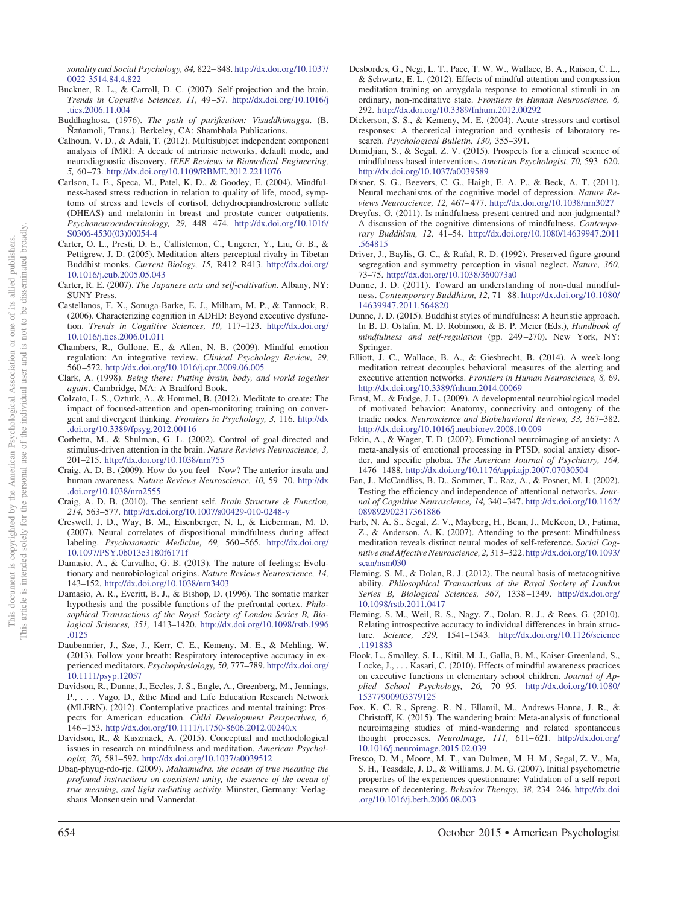*sonality and Social Psychology, 84,* 822– 848. [http://dx.doi.org/10.1037/](http://dx.doi.org/10.1037/0022-3514.84.4.822) [0022-3514.84.4.822](http://dx.doi.org/10.1037/0022-3514.84.4.822)

- <span id="page-22-17"></span>Buckner, R. L., & Carroll, D. C. (2007). Self-projection and the brain. *Trends in Cognitive Sciences, 11,* 49 –57. [http://dx.doi.org/10.1016/j](http://dx.doi.org/10.1016/j.tics.2006.11.004) [.tics.2006.11.004](http://dx.doi.org/10.1016/j.tics.2006.11.004)
- <span id="page-22-9"></span>Buddhaghosa. (1976). *The path of purification: Visuddhimagga*. (B. Nanamoli, Trans.). Berkeley, CA: Shambhala Publications.
- <span id="page-22-22"></span>Calhoun, V. D., & Adali, T. (2012). Multisubject independent component analysis of fMRI: A decade of intrinsic networks, default mode, and neurodiagnostic discovery. *IEEE Reviews in Biomedical Engineering, 5,* 60 –73. <http://dx.doi.org/10.1109/RBME.2012.2211076>
- <span id="page-22-37"></span>Carlson, L. E., Speca, M., Patel, K. D., & Goodey, E. (2004). Mindfulness-based stress reduction in relation to quality of life, mood, symptoms of stress and levels of cortisol, dehydroepiandrosterone sulfate (DHEAS) and melatonin in breast and prostate cancer outpatients. *Psychoneuroendocrinology, 29,* 448 – 474. [http://dx.doi.org/10.1016/](http://dx.doi.org/10.1016/S0306-4530%2803%2900054-4) [S0306-4530\(03\)00054-4](http://dx.doi.org/10.1016/S0306-4530%2803%2900054-4)
- <span id="page-22-34"></span>Carter, O. L., Presti, D. E., Callistemon, C., Ungerer, Y., Liu, G. B., & Pettigrew, J. D. (2005). Meditation alters perceptual rivalry in Tibetan Buddhist monks. *Current Biology, 15,* R412–R413. [http://dx.doi.org/](http://dx.doi.org/10.1016/j.cub.2005.05.043) [10.1016/j.cub.2005.05.043](http://dx.doi.org/10.1016/j.cub.2005.05.043)
- <span id="page-22-10"></span>Carter, R. E. (2007). *The Japanese arts and self-cultivation*. Albany, NY: SUNY Press.
- <span id="page-22-33"></span>Castellanos, F. X., Sonuga-Barke, E. J., Milham, M. P., & Tannock, R. (2006). Characterizing cognition in ADHD: Beyond executive dysfunction. *Trends in Cognitive Sciences, 10,* 117–123. [http://dx.doi.org/](http://dx.doi.org/10.1016/j.tics.2006.01.011) [10.1016/j.tics.2006.01.011](http://dx.doi.org/10.1016/j.tics.2006.01.011)
- <span id="page-22-3"></span>Chambers, R., Gullone, E., & Allen, N. B. (2009). Mindful emotion regulation: An integrative review. *Clinical Psychology Review, 29,* 560 –572. <http://dx.doi.org/10.1016/j.cpr.2009.06.005>
- <span id="page-22-8"></span>Clark, A. (1998). *Being there: Putting brain, body, and world together again*. Cambridge, MA: A Bradford Book.
- <span id="page-22-11"></span>Colzato, L. S., Ozturk, A., & Hommel, B. (2012). Meditate to create: The impact of focused-attention and open-monitoring training on convergent and divergent thinking. *Frontiers in Psychology, 3,* 116. [http://dx](http://dx.doi.org/10.3389/fpsyg.2012.00116) [.doi.org/10.3389/fpsyg.2012.00116](http://dx.doi.org/10.3389/fpsyg.2012.00116)
- <span id="page-22-15"></span>Corbetta, M., & Shulman, G. L. (2002). Control of goal-directed and stimulus-driven attention in the brain. *Nature Reviews Neuroscience, 3,* 201–215. <http://dx.doi.org/10.1038/nrn755>
- <span id="page-22-18"></span>Craig, A. D. B. (2009). How do you feel—Now? The anterior insula and human awareness. *Nature Reviews Neuroscience, 10,* 59 –70. [http://dx](http://dx.doi.org/10.1038/nrn2555) [.doi.org/10.1038/nrn2555](http://dx.doi.org/10.1038/nrn2555)
- <span id="page-22-19"></span>Craig, A. D. B. (2010). The sentient self. *Brain Structure & Function, 214,* 563–577. <http://dx.doi.org/10.1007/s00429-010-0248-y>
- <span id="page-22-2"></span>Creswell, J. D., Way, B. M., Eisenberger, N. I., & Lieberman, M. D. (2007). Neural correlates of dispositional mindfulness during affect labeling. *Psychosomatic Medicine, 69,* 560 –565. [http://dx.doi.org/](http://dx.doi.org/10.1097/PSY.0b013e3180f6171f) [10.1097/PSY.0b013e3180f6171f](http://dx.doi.org/10.1097/PSY.0b013e3180f6171f)
- <span id="page-22-21"></span>Damasio, A., & Carvalho, G. B. (2013). The nature of feelings: Evolutionary and neurobiological origins. *Nature Reviews Neuroscience, 14,* 143–152. <http://dx.doi.org/10.1038/nrn3403>
- <span id="page-22-20"></span>Damasio, A. R., Everitt, B. J., & Bishop, D. (1996). The somatic marker hypothesis and the possible functions of the prefrontal cortex. *Philosophical Transactions of the Royal Society of London Series B, Biological Sciences, 351,* 1413–1420. [http://dx.doi.org/10.1098/rstb.1996](http://dx.doi.org/10.1098/rstb.1996.0125) [.0125](http://dx.doi.org/10.1098/rstb.1996.0125)
- <span id="page-22-32"></span>Daubenmier, J., Sze, J., Kerr, C. E., Kemeny, M. E., & Mehling, W. (2013). Follow your breath: Respiratory interoceptive accuracy in experienced meditators. *Psychophysiology, 50,* 777–789. [http://dx.doi.org/](http://dx.doi.org/10.1111/psyp.12057) [10.1111/psyp.12057](http://dx.doi.org/10.1111/psyp.12057)
- <span id="page-22-35"></span>Davidson, R., Dunne, J., Eccles, J. S., Engle, A., Greenberg, M., Jennings, P., . . . Vago, D., &the Mind and Life Education Research Network (MLERN). (2012). Contemplative practices and mental training: Prospects for American education. *Child Development Perspectives, 6,* 146 –153. <http://dx.doi.org/10.1111/j.1750-8606.2012.00240.x>
- <span id="page-22-0"></span>Davidson, R., & Kaszniack, A. (2015). Conceptual and methodological issues in research on mindfulness and meditation. *American Psychologist, 70,* 581–592. <http://dx.doi.org/10.1037/a0039512>
- <span id="page-22-7"></span>Dban-phyug-rdo-rje. (2009). *Mahamudra, the ocean of true meaning the profound instructions on coexistent unity, the essence of the ocean of true meaning, and light radiating activity*. Münster, Germany: Verlagshaus Monsenstein und Vannerdat.
- <span id="page-22-30"></span>Desbordes, G., Negi, L. T., Pace, T. W. W., Wallace, B. A., Raison, C. L., & Schwartz, E. L. (2012). Effects of mindful-attention and compassion meditation training on amygdala response to emotional stimuli in an ordinary, non-meditative state. *Frontiers in Human Neuroscience, 6,* 292. <http://dx.doi.org/10.3389/fnhum.2012.00292>
- <span id="page-22-26"></span>Dickerson, S. S., & Kemeny, M. E. (2004). Acute stressors and cortisol responses: A theoretical integration and synthesis of laboratory research. *Psychological Bulletin, 130,* 355–391.
- <span id="page-22-5"></span>Dimidjian, S., & Segal, Z. V. (2015). Prospects for a clinical science of mindfulness-based interventions. *American Psychologist, 70,* 593– 620. <http://dx.doi.org/10.1037/a0039589>
- <span id="page-22-27"></span>Disner, S. G., Beevers, C. G., Haigh, E. A. P., & Beck, A. T. (2011). Neural mechanisms of the cognitive model of depression. *Nature Reviews Neuroscience, 12,* 467– 477. <http://dx.doi.org/10.1038/nrn3027>
- <span id="page-22-4"></span>Dreyfus, G. (2011). Is mindfulness present-centred and non-judgmental? A discussion of the cognitive dimensions of mindfulness. *Contemporary Buddhism, 12,* 41–54. [http://dx.doi.org/10.1080/14639947.2011](http://dx.doi.org/10.1080/14639947.2011.564815) [.564815](http://dx.doi.org/10.1080/14639947.2011.564815)
- <span id="page-22-25"></span>Driver, J., Baylis, G. C., & Rafal, R. D. (1992). Preserved figure-ground segregation and symmetry perception in visual neglect. *Nature, 360,* 73–75. <http://dx.doi.org/10.1038/360073a0>
- <span id="page-22-6"></span>Dunne, J. D. (2011). Toward an understanding of non-dual mindfulness. *Contemporary Buddhism, 12,* 71– 88. [http://dx.doi.org/10.1080/](http://dx.doi.org/10.1080/14639947.2011.564820) [14639947.2011.564820](http://dx.doi.org/10.1080/14639947.2011.564820)
- <span id="page-22-1"></span>Dunne, J. D. (2015). Buddhist styles of mindfulness: A heuristic approach. In B. D. Ostafin, M. D. Robinson, & B. P. Meier (Eds.), *Handbook of mindfulness and self-regulation* (pp. 249 –270). New York, NY: Springer.
- <span id="page-22-24"></span>Elliott, J. C., Wallace, B. A., & Giesbrecht, B. (2014). A week-long meditation retreat decouples behavioral measures of the alerting and executive attention networks. *Frontiers in Human Neuroscience, 8,* 69. <http://dx.doi.org/10.3389/fnhum.2014.00069>
- <span id="page-22-29"></span>Ernst, M., & Fudge, J. L. (2009). A developmental neurobiological model of motivated behavior: Anatomy, connectivity and ontogeny of the triadic nodes. *Neuroscience and Biobehavioral Reviews, 33,* 367–382. <http://dx.doi.org/10.1016/j.neubiorev.2008.10.009>
- <span id="page-22-28"></span>Etkin, A., & Wager, T. D. (2007). Functional neuroimaging of anxiety: A meta-analysis of emotional processing in PTSD, social anxiety disorder, and specific phobia. *The American Journal of Psychiatry, 164,* 1476 –1488. <http://dx.doi.org/10.1176/appi.ajp.2007.07030504>
- <span id="page-22-23"></span>Fan, J., McCandliss, B. D., Sommer, T., Raz, A., & Posner, M. I. (2002). Testing the efficiency and independence of attentional networks. *Journal of Cognitive Neuroscience, 14,* 340 –347. [http://dx.doi.org/10.1162/](http://dx.doi.org/10.1162/089892902317361886) [089892902317361886](http://dx.doi.org/10.1162/089892902317361886)
- <span id="page-22-31"></span>Farb, N. A. S., Segal, Z. V., Mayberg, H., Bean, J., McKeon, D., Fatima, Z., & Anderson, A. K. (2007). Attending to the present: Mindfulness meditation reveals distinct neural modes of self-reference. *Social Cognitive and Affective Neuroscience, 2,* 313–322. [http://dx.doi.org/10.1093/](http://dx.doi.org/10.1093/scan/nsm030) [scan/nsm030](http://dx.doi.org/10.1093/scan/nsm030)
- <span id="page-22-12"></span>Fleming, S. M., & Dolan, R. J. (2012). The neural basis of metacognitive ability. *Philosophical Transactions of the Royal Society of London Series B, Biological Sciences, 367,* 1338 –1349. [http://dx.doi.org/](http://dx.doi.org/10.1098/rstb.2011.0417) [10.1098/rstb.2011.0417](http://dx.doi.org/10.1098/rstb.2011.0417)
- <span id="page-22-16"></span>Fleming, S. M., Weil, R. S., Nagy, Z., Dolan, R. J., & Rees, G. (2010). Relating introspective accuracy to individual differences in brain structure. *Science, 329,* 1541–1543. [http://dx.doi.org/10.1126/science](http://dx.doi.org/10.1126/science.1191883) [.1191883](http://dx.doi.org/10.1126/science.1191883)
- <span id="page-22-36"></span>Flook, L., Smalley, S. L., Kitil, M. J., Galla, B. M., Kaiser-Greenland, S., Locke, J.,... Kasari, C. (2010). Effects of mindful awareness practices on executive functions in elementary school children. *Journal of Applied School Psychology, 26,* 70 –95. [http://dx.doi.org/10.1080/](http://dx.doi.org/10.1080/15377900903379125) [15377900903379125](http://dx.doi.org/10.1080/15377900903379125)
- <span id="page-22-14"></span>Fox, K. C. R., Spreng, R. N., Ellamil, M., Andrews-Hanna, J. R., & Christoff, K. (2015). The wandering brain: Meta-analysis of functional neuroimaging studies of mind-wandering and related spontaneous thought processes. *NeuroImage*, 111, 611-621. [http://dx.doi.org/](http://dx.doi.org/10.1016/j.neuroimage.2015.02.039) [10.1016/j.neuroimage.2015.02.039](http://dx.doi.org/10.1016/j.neuroimage.2015.02.039)
- <span id="page-22-13"></span>Fresco, D. M., Moore, M. T., van Dulmen, M. H. M., Segal, Z. V., Ma, S. H., Teasdale, J. D., & Williams, J. M. G. (2007). Initial psychometric properties of the experiences questionnaire: Validation of a self-report measure of decentering. *Behavior Therapy, 38,* 234 –246. [http://dx.doi](http://dx.doi.org/10.1016/j.beth.2006.08.003) [.org/10.1016/j.beth.2006.08.003](http://dx.doi.org/10.1016/j.beth.2006.08.003)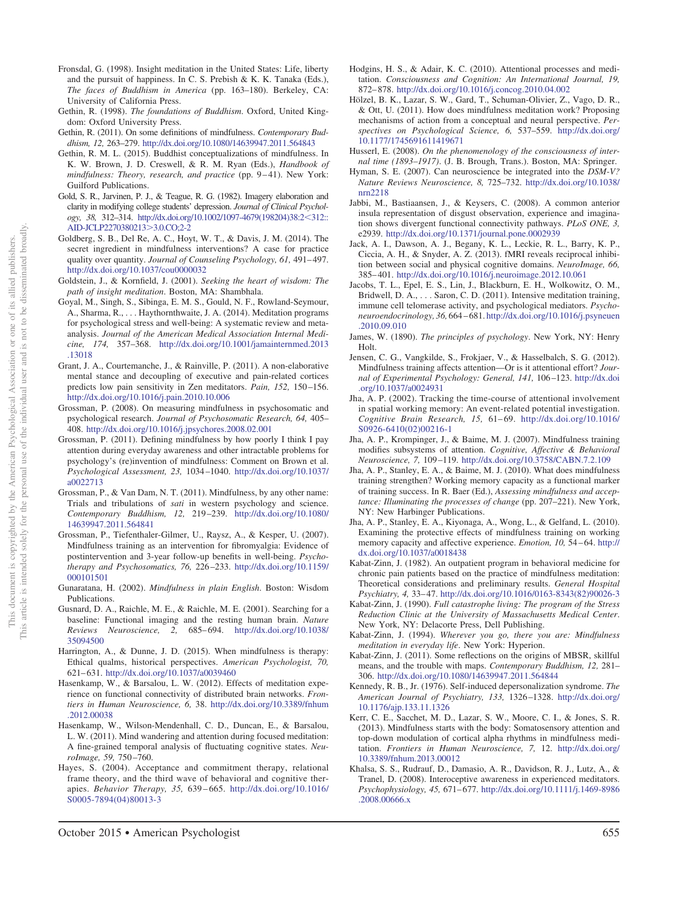- <span id="page-23-19"></span>Fronsdal, G. (1998). Insight meditation in the United States: Life, liberty and the pursuit of happiness. In C. S. Prebish & K. K. Tanaka (Eds.), *The faces of Buddhism in America* (pp. 163–180). Berkeley, CA: University of California Press.
- <span id="page-23-2"></span>Gethin, R. (1998). *The foundations of Buddhism*. Oxford, United Kingdom: Oxford University Press.
- <span id="page-23-9"></span>Gethin, R. (2011). On some definitions of mindfulness. *Contemporary Buddhism, 12,* 263–279. <http://dx.doi.org/10.1080/14639947.2011.564843>
- <span id="page-23-20"></span>Gethin, R. M. L. (2015). Buddhist conceptualizations of mindfulness. In K. W. Brown, J. D. Creswell, & R. M. Ryan (Eds.), *Handbook of mindfulness: Theory, research, and practice* (pp. 9-41). New York: Guilford Publications.
- <span id="page-23-22"></span>Gold, S. R., Jarvinen, P. J., & Teague, R. G. (1982). Imagery elaboration and clarity in modifying college students' depression. *Journal of Clinical Psychology, 38, 312–314. [http://dx.doi.org/10.1002/1097-4679\(198204\)38:2](http://dx.doi.org/10.1002/1097-4679%28198204%2938:2%3C312::AID-JCLP2270380213%3E3.0.CO;2-2)<312::* [AID-JCLP2270380213](http://dx.doi.org/10.1002/1097-4679%28198204%2938:2%3C312::AID-JCLP2270380213%3E3.0.CO;2-2)>3.0.CO;2-2
- <span id="page-23-7"></span>Goldberg, S. B., Del Re, A. C., Hoyt, W. T., & Davis, J. M. (2014). The secret ingredient in mindfulness interventions? A case for practice quality over quantity. *Journal of Counseling Psychology*, 61, 491-497. <http://dx.doi.org/10.1037/cou0000032>
- <span id="page-23-17"></span>Goldstein, J., & Kornfield, J. (2001). *Seeking the heart of wisdom: The path of insight meditation*. Boston, MA: Shambhala.
- <span id="page-23-36"></span>Goyal, M., Singh, S., Sibinga, E. M. S., Gould, N. F., Rowland-Seymour, A., Sharma, R.,... Haythornthwaite, J. A. (2014). Meditation programs for psychological stress and well-being: A systematic review and metaanalysis. *Journal of the American Medical Association Internal Medicine, 174,* 357–368. [http://dx.doi.org/10.1001/jamainternmed.2013](http://dx.doi.org/10.1001/jamainternmed.2013.13018) [.13018](http://dx.doi.org/10.1001/jamainternmed.2013.13018)
- <span id="page-23-34"></span>Grant, J. A., Courtemanche, J., & Rainville, P. (2011). A non-elaborative mental stance and decoupling of executive and pain-related cortices predicts low pain sensitivity in Zen meditators. *Pain, 152, 150-156*. <http://dx.doi.org/10.1016/j.pain.2010.10.006>
- <span id="page-23-5"></span>Grossman, P. (2008). On measuring mindfulness in psychosomatic and psychological research. *Journal of Psychosomatic Research, 64,* 405– 408. <http://dx.doi.org/10.1016/j.jpsychores.2008.02.001>
- <span id="page-23-4"></span>Grossman, P. (2011). Defining mindfulness by how poorly I think I pay attention during everyday awareness and other intractable problems for psychology's (re)invention of mindfulness: Comment on Brown et al. *Psychological Assessment, 23,* 1034 –1040. [http://dx.doi.org/10.1037/](http://dx.doi.org/10.1037/a0022713) [a0022713](http://dx.doi.org/10.1037/a0022713)
- <span id="page-23-6"></span>Grossman, P., & Van Dam, N. T. (2011). Mindfulness, by any other name: Trials and tribulations of *sati* in western psychology and science. *Contemporary Buddhism, 12,* 219 –239. [http://dx.doi.org/10.1080/](http://dx.doi.org/10.1080/14639947.2011.564841) [14639947.2011.564841](http://dx.doi.org/10.1080/14639947.2011.564841)
- <span id="page-23-33"></span>Grossman, P., Tiefenthaler-Gilmer, U., Raysz, A., & Kesper, U. (2007). Mindfulness training as an intervention for fibromyalgia: Evidence of postintervention and 3-year follow-up benefits in well-being. *Psychotherapy and Psychosomatics, 76,* 226 –233. [http://dx.doi.org/10.1159/](http://dx.doi.org/10.1159/000101501) [000101501](http://dx.doi.org/10.1159/000101501)
- <span id="page-23-11"></span>Gunaratana, H. (2002). *Mindfulness in plain English*. Boston: Wisdom Publications.
- <span id="page-23-23"></span>Gusnard, D. A., Raichle, M. E., & Raichle, M. E. (2001). Searching for a baseline: Functional imaging and the resting human brain. *Nature Reviews Neuroscience, 2,* 685– 694. [http://dx.doi.org/10.1038/](http://dx.doi.org/10.1038/35094500) [35094500](http://dx.doi.org/10.1038/35094500)
- <span id="page-23-0"></span>Harrington, A., & Dunne, J. D. (2015). When mindfulness is therapy: Ethical qualms, historical perspectives. *American Psychologist, 70,* 621– 631. <http://dx.doi.org/10.1037/a0039460>
- <span id="page-23-26"></span>Hasenkamp, W., & Barsalou, L. W. (2012). Effects of meditation experience on functional connectivity of distributed brain networks. *Frontiers in Human Neuroscience, 6,* 38. [http://dx.doi.org/10.3389/fnhum](http://dx.doi.org/10.3389/fnhum.2012.00038) [.2012.00038](http://dx.doi.org/10.3389/fnhum.2012.00038)
- <span id="page-23-31"></span>Hasenkamp, W., Wilson-Mendenhall, C. D., Duncan, E., & Barsalou, L. W. (2011). Mind wandering and attention during focused meditation: A fine-grained temporal analysis of fluctuating cognitive states. *NeuroImage, 59,* 750 –760.
- <span id="page-23-14"></span>Hayes, S. (2004). Acceptance and commitment therapy, relational frame theory, and the third wave of behavioral and cognitive therapies. *Behavior Therapy, 35,* 639 – 665. [http://dx.doi.org/10.1016/](http://dx.doi.org/10.1016/S0005-7894%2804%2980013-3) [S0005-7894\(04\)80013-3](http://dx.doi.org/10.1016/S0005-7894%2804%2980013-3)
- <span id="page-23-29"></span>Hodgins, H. S., & Adair, K. C. (2010). Attentional processes and meditation. *Consciousness and Cognition: An International Journal, 19,* 872– 878. <http://dx.doi.org/10.1016/j.concog.2010.04.002>
- <span id="page-23-3"></span>Hölzel, B. K., Lazar, S. W., Gard, T., Schuman-Olivier, Z., Vago, D. R., & Ott, U. (2011). How does mindfulness meditation work? Proposing mechanisms of action from a conceptual and neural perspective. *Perspectives on Psychological Science, 6,* 537–559. [http://dx.doi.org/](http://dx.doi.org/10.1177/1745691611419671) [10.1177/1745691611419671](http://dx.doi.org/10.1177/1745691611419671)
- <span id="page-23-1"></span>Husserl, E. (2008). *On the phenomenology of the consciousness of internal time (1893–1917)*. (J. B. Brough, Trans.). Boston, MA: Springer.
- <span id="page-23-15"></span>Hyman, S. E. (2007). Can neuroscience be integrated into the *DSM-V? Nature Reviews Neuroscience, 8,* 725–732. [http://dx.doi.org/10.1038/](http://dx.doi.org/10.1038/nrn2218) [nrn2218](http://dx.doi.org/10.1038/nrn2218)
- <span id="page-23-24"></span>Jabbi, M., Bastiaansen, J., & Keysers, C. (2008). A common anterior insula representation of disgust observation, experience and imagination shows divergent functional connectivity pathways. *PLoS ONE, 3,* e2939. <http://dx.doi.org/10.1371/journal.pone.0002939>
- <span id="page-23-25"></span>Jack, A. I., Dawson, A. J., Begany, K. L., Leckie, R. L., Barry, K. P., Ciccia, A. H., & Snyder, A. Z. (2013). fMRI reveals reciprocal inhibition between social and physical cognitive domains. *NeuroImage, 66,* 385– 401. <http://dx.doi.org/10.1016/j.neuroimage.2012.10.061>
- <span id="page-23-38"></span>Jacobs, T. L., Epel, E. S., Lin, J., Blackburn, E. H., Wolkowitz, O. M., Bridwell, D. A., . . . Saron, C. D. (2011). Intensive meditation training, immune cell telomerase activity, and psychological mediators. *Psychoneuroendocrinology, 36,* 664 – 681. [http://dx.doi.org/10.1016/j.psyneuen](http://dx.doi.org/10.1016/j.psyneuen.2010.09.010) [.2010.09.010](http://dx.doi.org/10.1016/j.psyneuen.2010.09.010)
- <span id="page-23-21"></span>James, W. (1890). *The principles of psychology*. New York, NY: Henry Holt.
- <span id="page-23-30"></span>Jensen, C. G., Vangkilde, S., Frokjaer, V., & Hasselbalch, S. G. (2012). Mindfulness training affects attention—Or is it attentional effort? *Journal of Experimental Psychology: General, 141,* 106 –123. [http://dx.doi](http://dx.doi.org/10.1037/a0024931) [.org/10.1037/a0024931](http://dx.doi.org/10.1037/a0024931)
- <span id="page-23-27"></span>Jha, A. P. (2002). Tracking the time-course of attentional involvement in spatial working memory: An event-related potential investigation. *Cognitive Brain Research, 15,* 61– 69. [http://dx.doi.org/10.1016/](http://dx.doi.org/10.1016/S0926-6410%2802%2900216-1) [S0926-6410\(02\)00216-1](http://dx.doi.org/10.1016/S0926-6410%2802%2900216-1)
- <span id="page-23-28"></span>Jha, A. P., Krompinger, J., & Baime, M. J. (2007). Mindfulness training modifies subsystems of attention. *Cognitive, Affective & Behavioral Neuroscience, 7,* 109 –119. <http://dx.doi.org/10.3758/CABN.7.2.109>
- <span id="page-23-8"></span>Jha, A. P., Stanley, E. A., & Baime, M. J. (2010). What does mindfulness training strengthen? Working memory capacity as a functional marker of training success. In R. Baer (Ed.), *Assessing mindfulness and acceptance: Illuminating the processes of change* (pp. 207–221). New York, NY: New Harbinger Publications.
- <span id="page-23-32"></span>Jha, A. P., Stanley, E. A., Kiyonaga, A., Wong, L., & Gelfand, L. (2010). Examining the protective effects of mindfulness training on working memory capacity and affective experience. *Emotion*, 10, 54–64. [http://](http://dx.doi.org/10.1037/a0018438) [dx.doi.org/10.1037/a0018438](http://dx.doi.org/10.1037/a0018438)
- <span id="page-23-10"></span>Kabat-Zinn, J. (1982). An outpatient program in behavioral medicine for chronic pain patients based on the practice of mindfulness meditation: Theoretical considerations and preliminary results. *General Hospital Psychiatry, 4,* 33– 47. [http://dx.doi.org/10.1016/0163-8343\(82\)90026-3](http://dx.doi.org/10.1016/0163-8343%2882%2990026-3)
- <span id="page-23-16"></span>Kabat-Zinn, J. (1990). *Full catastrophe living: The program of the Stress Reduction Clinic at the University of Massachusetts Medical Center*. New York, NY: Delacorte Press, Dell Publishing.
- <span id="page-23-12"></span>Kabat-Zinn, J. (1994). *Wherever you go, there you are: Mindfulness meditation in everyday life*. New York: Hyperion.
- <span id="page-23-13"></span>Kabat-Zinn, J. (2011). Some reflections on the origins of MBSR, skillful means, and the trouble with maps. *Contemporary Buddhism, 12,* 281– 306. <http://dx.doi.org/10.1080/14639947.2011.564844>
- <span id="page-23-37"></span>Kennedy, R. B., Jr. (1976). Self-induced depersonalization syndrome. *The American Journal of Psychiatry, 133,* 1326 –1328. [http://dx.doi.org/](http://dx.doi.org/10.1176/ajp.133.11.1326) [10.1176/ajp.133.11.1326](http://dx.doi.org/10.1176/ajp.133.11.1326)
- <span id="page-23-18"></span>Kerr, C. E., Sacchet, M. D., Lazar, S. W., Moore, C. I., & Jones, S. R. (2013). Mindfulness starts with the body: Somatosensory attention and top-down modulation of cortical alpha rhythms in mindfulness meditation. *Frontiers in Human Neuroscience, 7,* 12. [http://dx.doi.org/](http://dx.doi.org/10.3389/fnhum.2013.00012) [10.3389/fnhum.2013.00012](http://dx.doi.org/10.3389/fnhum.2013.00012)
- <span id="page-23-35"></span>Khalsa, S. S., Rudrauf, D., Damasio, A. R., Davidson, R. J., Lutz, A., & Tranel, D. (2008). Interoceptive awareness in experienced meditators. *Psychophysiology, 45,* 671– 677. [http://dx.doi.org/10.1111/j.1469-8986](http://dx.doi.org/10.1111/j.1469-8986.2008.00666.x) [.2008.00666.x](http://dx.doi.org/10.1111/j.1469-8986.2008.00666.x)

October 2015 ● American Psychologist 655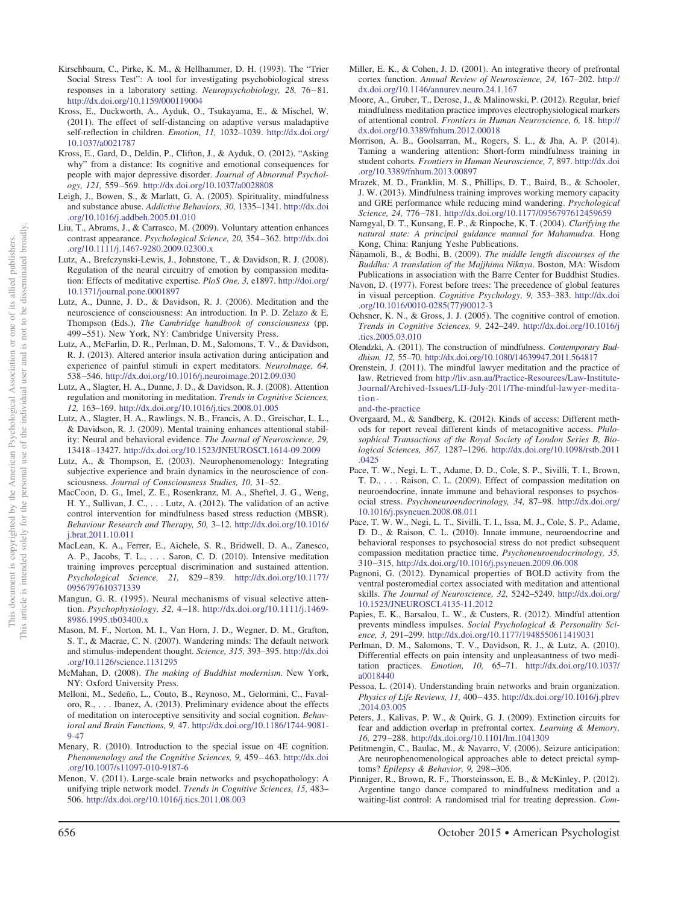- <span id="page-24-30"></span><span id="page-24-25"></span>Kross, E., Duckworth, A., Ayduk, O., Tsukayama, E., & Mischel, W. (2011). The effect of self-distancing on adaptive versus maladaptive self-reflection in children. *Emotion, 11,* 1032–1039. [http://dx.doi.org/](http://dx.doi.org/10.1037/a0021787) [10.1037/a0021787](http://dx.doi.org/10.1037/a0021787)
- <span id="page-24-31"></span>Kross, E., Gard, D., Deldin, P., Clifton, J., & Ayduk, O. (2012). "Asking why" from a distance: Its cognitive and emotional consequences for people with major depressive disorder. *Journal of Abnormal Psychology, 121,* 559 –569. <http://dx.doi.org/10.1037/a0028808>
- <span id="page-24-0"></span>Leigh, J., Bowen, S., & Marlatt, G. A. (2005). Spirituality, mindfulness and substance abuse. *Addictive Behaviors, 30,* 1335–1341. [http://dx.doi](http://dx.doi.org/10.1016/j.addbeh.2005.01.010) [.org/10.1016/j.addbeh.2005.01.010](http://dx.doi.org/10.1016/j.addbeh.2005.01.010)
- <span id="page-24-12"></span>Liu, T., Abrams, J., & Carrasco, M. (2009). Voluntary attention enhances contrast appearance. *Psychological Science, 20,* 354 –362. [http://dx.doi](http://dx.doi.org/10.1111/j.1467-9280.2009.02300.x) [.org/10.1111/j.1467-9280.2009.02300.x](http://dx.doi.org/10.1111/j.1467-9280.2009.02300.x)
- <span id="page-24-7"></span>Lutz, A., Brefczynski-Lewis, J., Johnstone, T., & Davidson, R. J. (2008). Regulation of the neural circuitry of emotion by compassion meditation: Effects of meditative expertise. *PloS One, 3,* e1897. [http://doi.org/](http://doi.org/10.1371/journal.pone.0001897) [10.1371/journal.pone.0001897](http://doi.org/10.1371/journal.pone.0001897)
- <span id="page-24-36"></span>Lutz, A., Dunne, J. D., & Davidson, R. J. (2006). Meditation and the neuroscience of consciousness: An introduction. In P. D. Zelazo & E. Thompson (Eds.), *The Cambridge handbook of consciousness* (pp. 499 –551). New York, NY: Cambridge University Press.
- <span id="page-24-24"></span>Lutz, A., McFarlin, D. R., Perlman, D. M., Salomons, T. V., & Davidson, R. J. (2013). Altered anterior insula activation during anticipation and experience of painful stimuli in expert meditators. *NeuroImage, 64,* 538 –546. <http://dx.doi.org/10.1016/j.neuroimage.2012.09.030>
- <span id="page-24-1"></span>Lutz, A., Slagter, H. A., Dunne, J. D., & Davidson, R. J. (2008). Attention regulation and monitoring in meditation. *Trends in Cognitive Sciences, 12,* 163–169. <http://dx.doi.org/10.1016/j.tics.2008.01.005>
- <span id="page-24-13"></span>Lutz, A., Slagter, H. A., Rawlings, N. B., Francis, A. D., Greischar, L. L., & Davidson, R. J. (2009). Mental training enhances attentional stability: Neural and behavioral evidence. *The Journal of Neuroscience, 29,* 13418 –13427. <http://dx.doi.org/10.1523/JNEUROSCI.1614-09.2009>
- <span id="page-24-17"></span>Lutz, A., & Thompson, E. (2003). Neurophenomenology: Integrating subjective experience and brain dynamics in the neuroscience of consciousness. *Journal of Consciousness Studies, 10,* 31–52.
- <span id="page-24-26"></span>MacCoon, D. G., Imel, Z. E., Rosenkranz, M. A., Sheftel, J. G., Weng, H. Y., Sullivan, J. C.,... Lutz, A. (2012). The validation of an active control intervention for mindfulness based stress reduction (MBSR). *Behaviour Research and Therapy, 50,* 3–12. [http://dx.doi.org/10.1016/](http://dx.doi.org/10.1016/j.brat.2011.10.011) [j.brat.2011.10.011](http://dx.doi.org/10.1016/j.brat.2011.10.011)
- <span id="page-24-37"></span>MacLean, K. A., Ferrer, E., Aichele, S. R., Bridwell, D. A., Zanesco, A. P., Jacobs, T. L.,... Saron, C. D. (2010). Intensive meditation training improves perceptual discrimination and sustained attention. *Psychological Science, 21,* 829 – 839. [http://dx.doi.org/10.1177/](http://dx.doi.org/10.1177/0956797610371339) [0956797610371339](http://dx.doi.org/10.1177/0956797610371339)
- <span id="page-24-19"></span>Mangun, G. R. (1995). Neural mechanisms of visual selective attention. *Psychophysiology, 32,* 4 –18. [http://dx.doi.org/10.1111/j.1469-](http://dx.doi.org/10.1111/j.1469-8986.1995.tb03400.x) [8986.1995.tb03400.x](http://dx.doi.org/10.1111/j.1469-8986.1995.tb03400.x)
- <span id="page-24-16"></span>Mason, M. F., Norton, M. I., Van Horn, J. D., Wegner, D. M., Grafton, S. T., & Macrae, C. N. (2007). Wandering minds: The default network and stimulus-independent thought. *Science, 315,* 393–395. [http://dx.doi](http://dx.doi.org/10.1126/science.1131295) [.org/10.1126/science.1131295](http://dx.doi.org/10.1126/science.1131295)
- <span id="page-24-9"></span>McMahan, D. (2008). *The making of Buddhist modernism*. New York, NY: Oxford University Press.
- <span id="page-24-33"></span>Melloni, M., Sedeño, L., Couto, B., Reynoso, M., Gelormini, C., Favaloro, R.,... Ibanez, A. (2013). Preliminary evidence about the effects of meditation on interoceptive sensitivity and social cognition. *Behavioral and Brain Functions, 9,* 47. [http://dx.doi.org/10.1186/1744-9081-](http://dx.doi.org/10.1186/1744-9081-9-47) [9-47](http://dx.doi.org/10.1186/1744-9081-9-47)
- <span id="page-24-8"></span>Menary, R. (2010). Introduction to the special issue on 4E cognition. *Phenomenology and the Cognitive Sciences, 9,* 459 – 463. [http://dx.doi](http://dx.doi.org/10.1007/s11097-010-9187-6) [.org/10.1007/s11097-010-9187-6](http://dx.doi.org/10.1007/s11097-010-9187-6)
- <span id="page-24-18"></span>Menon, V. (2011). Large-scale brain networks and psychopathology: A unifying triple network model. *Trends in Cognitive Sciences, 15,* 483– 506. <http://dx.doi.org/10.1016/j.tics.2011.08.003>
- <span id="page-24-15"></span>Miller, E. K., & Cohen, J. D. (2001). An integrative theory of prefrontal cortex function. *Annual Review of Neuroscience, 24,* 167–202. [http://](http://dx.doi.org/10.1146/annurev.neuro.24.1.167) [dx.doi.org/10.1146/annurev.neuro.24.1.167](http://dx.doi.org/10.1146/annurev.neuro.24.1.167)
- <span id="page-24-20"></span>Moore, A., Gruber, T., Derose, J., & Malinowski, P. (2012). Regular, brief mindfulness meditation practice improves electrophysiological markers of attentional control. *Frontiers in Human Neuroscience, 6,* 18. [http://](http://dx.doi.org/10.3389/fnhum.2012.00018) [dx.doi.org/10.3389/fnhum.2012.00018](http://dx.doi.org/10.3389/fnhum.2012.00018)
- <span id="page-24-23"></span>Morrison, A. B., Goolsarran, M., Rogers, S. L., & Jha, A. P. (2014). Taming a wandering attention: Short-form mindfulness training in student cohorts. *Frontiers in Human Neuroscience, 7,* 897. [http://dx.doi](http://dx.doi.org/10.3389/fnhum.2013.00897) [.org/10.3389/fnhum.2013.00897](http://dx.doi.org/10.3389/fnhum.2013.00897)
- <span id="page-24-22"></span>Mrazek, M. D., Franklin, M. S., Phillips, D. T., Baird, B., & Schooler, J. W. (2013). Mindfulness training improves working memory capacity and GRE performance while reducing mind wandering. *Psychological Science, 24,* 776 –781. <http://dx.doi.org/10.1177/0956797612459659>
- <span id="page-24-5"></span>Namgyal, D. T., Kunsang, E. P., & Rinpoche, K. T. (2004). *Clarifying the natural state: A principal guidance manual for Mahamudra*. Hong Kong, China: Ranjung Yeshe Publications.
- <span id="page-24-4"></span>Ña¯namoli, B., & Bodhi, B. (2009). *The middle length discourses of the* Buddha: A translation of the Majjhima Nikāya. Boston, MA: Wisdom Publications in association with the Barre Center for Buddhist Studies.
- <span id="page-24-35"></span>Navon, D. (1977). Forest before trees: The precedence of global features in visual perception. *Cognitive Psychology, 9,* 353–383. [http://dx.doi](http://dx.doi.org/10.1016/0010-0285%2877%2990012-3) [.org/10.1016/0010-0285\(77\)90012-3](http://dx.doi.org/10.1016/0010-0285%2877%2990012-3)
- <span id="page-24-21"></span>Ochsner, K. N., & Gross, J. J. (2005). The cognitive control of emotion. *Trends in Cognitive Sciences, 9,* 242–249. [http://dx.doi.org/10.1016/j](http://dx.doi.org/10.1016/j.tics.2005.03.010) [.tics.2005.03.010](http://dx.doi.org/10.1016/j.tics.2005.03.010)
- <span id="page-24-6"></span>Olendzki, A. (2011). The construction of mindfulness. *Contemporary Buddhism, 12,* 55–70. <http://dx.doi.org/10.1080/14639947.2011.564817>
- <span id="page-24-38"></span>Orenstein, J. (2011). The mindful lawyer meditation and the practice of law. Retrieved from [http://liv.asn.au/Practice-Resources/Law-Institute-](http://liv.asn.au/Practice-Resources/Law-Institute-Journal/Archived-Issues/LIJ-July-2011/The-mindful-lawyer--meditation-and-the-practice)[Journal/Archived-Issues/LIJ-July-2011/The-mindful-lawyer-medita](http://liv.asn.au/Practice-Resources/Law-Institute-Journal/Archived-Issues/LIJ-July-2011/The-mindful-lawyer--meditation-and-the-practice)[tion](http://liv.asn.au/Practice-Resources/Law-Institute-Journal/Archived-Issues/LIJ-July-2011/The-mindful-lawyer--meditation-and-the-practice)
	- [and-the-practice](http://liv.asn.au/Practice-Resources/Law-Institute-Journal/Archived-Issues/LIJ-July-2011/The-mindful-lawyer--meditation-and-the-practice)
- <span id="page-24-11"></span>Overgaard, M., & Sandberg, K. (2012). Kinds of access: Different methods for report reveal different kinds of metacognitive access. *Philosophical Transactions of the Royal Society of London Series B, Biological Sciences, 367,* 1287–1296. [http://dx.doi.org/10.1098/rstb.2011](http://dx.doi.org/10.1098/rstb.2011.0425) [.0425](http://dx.doi.org/10.1098/rstb.2011.0425)
- <span id="page-24-28"></span>Pace, T. W., Negi, L. T., Adame, D. D., Cole, S. P., Sivilli, T. I., Brown, T. D., . . . Raison, C. L. (2009). Effect of compassion meditation on neuroendocrine, innate immune and behavioral responses to psychosocial stress. *Psychoneuroendocrinology, 34,* 87–98. [http://dx.doi.org/](http://dx.doi.org/10.1016/j.psyneuen.2008.08.011) [10.1016/j.psyneuen.2008.08.011](http://dx.doi.org/10.1016/j.psyneuen.2008.08.011)
- <span id="page-24-27"></span>Pace, T. W. W., Negi, L. T., Sivilli, T. I., Issa, M. J., Cole, S. P., Adame, D. D., & Raison, C. L. (2010). Innate immune, neuroendocrine and behavioral responses to psychosocial stress do not predict subsequent compassion meditation practice time. *Psychoneuroendocrinology, 35,* 310 –315. <http://dx.doi.org/10.1016/j.psyneuen.2009.06.008>
- <span id="page-24-29"></span>Pagnoni, G. (2012). Dynamical properties of BOLD activity from the ventral posteromedial cortex associated with meditation and attentional skills. *The Journal of Neuroscience, 32,* 5242–5249. [http://dx.doi.org/](http://dx.doi.org/10.1523/JNEUROSCI.4135-11.2012) [10.1523/JNEUROSCI.4135-11.2012](http://dx.doi.org/10.1523/JNEUROSCI.4135-11.2012)
- <span id="page-24-10"></span>Papies, E. K., Barsalou, L. W., & Custers, R. (2012). Mindful attention prevents mindless impulses. *Social Psychological & Personality Science, 3,* 291–299. <http://dx.doi.org/10.1177/1948550611419031>
- <span id="page-24-34"></span>Perlman, D. M., Salomons, T. V., Davidson, R. J., & Lutz, A. (2010). Differential effects on pain intensity and unpleasantness of two meditation practices. *Emotion, 10,* 65–71. [http://dx.doi.org/10.1037/](http://dx.doi.org/10.1037/a0018440) [a0018440](http://dx.doi.org/10.1037/a0018440)
- <span id="page-24-14"></span>Pessoa, L. (2014). Understanding brain networks and brain organization. *Physics of Life Reviews, 11,* 400 – 435. [http://dx.doi.org/10.1016/j.plrev](http://dx.doi.org/10.1016/j.plrev.2014.03.005) [.2014.03.005](http://dx.doi.org/10.1016/j.plrev.2014.03.005)
- <span id="page-24-32"></span>Peters, J., Kalivas, P. W., & Quirk, G. J. (2009). Extinction circuits for fear and addiction overlap in prefrontal cortex. *Learning & Memory, 16,* 279 –288. <http://dx.doi.org/10.1101/lm.1041309>
- <span id="page-24-3"></span>Petitmengin, C., Baulac, M., & Navarro, V. (2006). Seizure anticipation: Are neurophenomenological approaches able to detect preictal symptoms? *Epilepsy & Behavior, 9,* 298 –306.
- <span id="page-24-2"></span>Pinniger, R., Brown, R. F., Thorsteinsson, E. B., & McKinley, P. (2012). Argentine tango dance compared to mindfulness meditation and a waiting-list control: A randomised trial for treating depression. *Com-*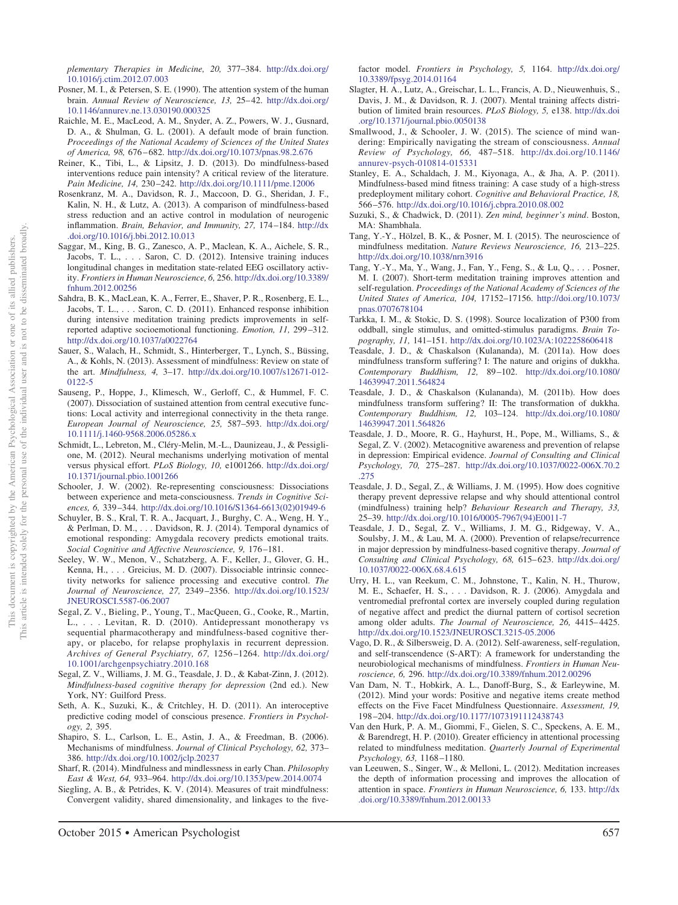*plementary Therapies in Medicine, 20,* 377–384. [http://dx.doi.org/](http://dx.doi.org/10.1016/j.ctim.2012.07.003) [10.1016/j.ctim.2012.07.003](http://dx.doi.org/10.1016/j.ctim.2012.07.003)

- <span id="page-25-16"></span>Posner, M. I., & Petersen, S. E. (1990). The attention system of the human brain. Annual Review of Neuroscience, 13, 25-42. [http://dx.doi.org/](http://dx.doi.org/10.1146/annurev.ne.13.030190.000325) [10.1146/annurev.ne.13.030190.000325](http://dx.doi.org/10.1146/annurev.ne.13.030190.000325)
- <span id="page-25-22"></span>Raichle, M. E., MacLeod, A. M., Snyder, A. Z., Powers, W. J., Gusnard, D. A., & Shulman, G. L. (2001). A default mode of brain function. *Proceedings of the National Academy of Sciences of the United States of America, 98,* 676 – 682. <http://dx.doi.org/10.1073/pnas.98.2.676>
- <span id="page-25-30"></span>Reiner, K., Tibi, L., & Lipsitz, J. D. (2013). Do mindfulness-based interventions reduce pain intensity? A critical review of the literature. *Pain Medicine, 14,* 230 –242. <http://dx.doi.org/10.1111/pme.12006>
- <span id="page-25-31"></span>Rosenkranz, M. A., Davidson, R. J., Maccoon, D. G., Sheridan, J. F., Kalin, N. H., & Lutz, A. (2013). A comparison of mindfulness-based stress reduction and an active control in modulation of neurogenic inflammation. *Brain, Behavior, and Immunity, 27,* 174 –184. [http://dx](http://dx.doi.org/10.1016/j.bbi.2012.10.013) [.doi.org/10.1016/j.bbi.2012.10.013](http://dx.doi.org/10.1016/j.bbi.2012.10.013)
- <span id="page-25-29"></span>Saggar, M., King, B. G., Zanesco, A. P., Maclean, K. A., Aichele, S. R., Jacobs, T. L.,... Saron, C. D. (2012). Intensive training induces longitudinal changes in meditation state-related EEG oscillatory activity. *Frontiers in Human Neuroscience, 6,* 256. [http://dx.doi.org/10.3389/](http://dx.doi.org/10.3389/fnhum.2012.00256) [fnhum.2012.00256](http://dx.doi.org/10.3389/fnhum.2012.00256)
- <span id="page-25-5"></span>Sahdra, B. K., MacLean, K. A., Ferrer, E., Shaver, P. R., Rosenberg, E. L., Jacobs, T. L.,... Saron, C. D. (2011). Enhanced response inhibition during intensive meditation training predicts improvements in selfreported adaptive socioemotional functioning. *Emotion, 11,* 299 –312. <http://dx.doi.org/10.1037/a0022764>
- <span id="page-25-6"></span>Sauer, S., Walach, H., Schmidt, S., Hinterberger, T., Lynch, S., Büssing, A., & Kohls, N. (2013). Assessment of mindfulness: Review on state of the art. *Mindfulness, 4,* 3–17. [http://dx.doi.org/10.1007/s12671-012-](http://dx.doi.org/10.1007/s12671-012-0122-5) [0122-5](http://dx.doi.org/10.1007/s12671-012-0122-5)
- <span id="page-25-27"></span>Sauseng, P., Hoppe, J., Klimesch, W., Gerloff, C., & Hummel, F. C. (2007). Dissociation of sustained attention from central executive functions: Local activity and interregional connectivity in the theta range. *European Journal of Neuroscience, 25,* 587–593. [http://dx.doi.org/](http://dx.doi.org/10.1111/j.1460-9568.2006.05286.x) [10.1111/j.1460-9568.2006.05286.x](http://dx.doi.org/10.1111/j.1460-9568.2006.05286.x)
- <span id="page-25-21"></span>Schmidt, L., Lebreton, M., Cléry-Melin, M.-L., Daunizeau, J., & Pessiglione, M. (2012). Neural mechanisms underlying motivation of mental versus physical effort. *PLoS Biology, 10,* e1001266. [http://dx.doi.org/](http://dx.doi.org/10.1371/journal.pbio.1001266) [10.1371/journal.pbio.1001266](http://dx.doi.org/10.1371/journal.pbio.1001266)
- <span id="page-25-18"></span>Schooler, J. W. (2002). Re-representing consciousness: Dissociations between experience and meta-consciousness. *Trends in Cognitive Sciences, 6,* 339 –344. [http://dx.doi.org/10.1016/S1364-6613\(02\)01949-6](http://dx.doi.org/10.1016/S1364-6613%2802%2901949-6)
- <span id="page-25-20"></span>Schuyler, B. S., Kral, T. R. A., Jacquart, J., Burghy, C. A., Weng, H. Y., & Perlman, D. M.,... Davidson, R. J. (2014). Temporal dynamics of emotional responding: Amygdala recovery predicts emotional traits. *Social Cognitive and Affective Neuroscience, 9,* 176 –181.
- <span id="page-25-23"></span>Seeley, W. W., Menon, V., Schatzberg, A. F., Keller, J., Glover, G. H., Kenna, H.,... Greicius, M. D. (2007). Dissociable intrinsic connectivity networks for salience processing and executive control. *The Journal of Neuroscience, 27,* 2349 –2356. [http://dx.doi.org/10.1523/](http://dx.doi.org/10.1523/JNEUROSCI.5587-06.2007) [JNEUROSCI.5587-06.2007](http://dx.doi.org/10.1523/JNEUROSCI.5587-06.2007)
- <span id="page-25-32"></span>Segal, Z. V., Bieling, P., Young, T., MacQueen, G., Cooke, R., Martin, L., . . . Levitan, R. D. (2010). Antidepressant monotherapy vs sequential pharmacotherapy and mindfulness-based cognitive therapy, or placebo, for relapse prophylaxis in recurrent depression. *Archives of General Psychiatry, 67,* 1256 –1264. [http://dx.doi.org/](http://dx.doi.org/10.1001/archgenpsychiatry.2010.168) [10.1001/archgenpsychiatry.2010.168](http://dx.doi.org/10.1001/archgenpsychiatry.2010.168)
- <span id="page-25-12"></span>Segal, Z. V., Williams, J. M. G., Teasdale, J. D., & Kabat-Zinn, J. (2012). *Mindfulness-based cognitive therapy for depression* (2nd ed.). New York, NY: Guilford Press.
- <span id="page-25-24"></span>Seth, A. K., Suzuki, K., & Critchley, H. D. (2011). An interoceptive predictive coding model of conscious presence. *Frontiers in Psychology, 2,* 395.
- <span id="page-25-15"></span>Shapiro, S. L., Carlson, L. E., Astin, J. A., & Freedman, B. (2006). Mechanisms of mindfulness. *Journal of Clinical Psychology, 62,* 373– 386. <http://dx.doi.org/10.1002/jclp.20237>
- <span id="page-25-14"></span>Sharf, R. (2014). Mindfulness and mindlessness in early Chan. *Philosophy East & West, 64,* 933–964. <http://dx.doi.org/10.1353/pew.2014.0074>
- <span id="page-25-4"></span>Siegling, A. B., & Petrides, K. V. (2014). Measures of trait mindfulness: Convergent validity, shared dimensionality, and linkages to the five-

factor model. *Frontiers in Psychology, 5,* 1164. [http://dx.doi.org/](http://dx.doi.org/10.3389/fpsyg.2014.01164) [10.3389/fpsyg.2014.01164](http://dx.doi.org/10.3389/fpsyg.2014.01164)

- <span id="page-25-28"></span>Slagter, H. A., Lutz, A., Greischar, L. L., Francis, A. D., Nieuwenhuis, S., Davis, J. M., & Davidson, R. J. (2007). Mental training affects distribution of limited brain resources. *PLoS Biology, 5,* e138. [http://dx.doi](http://dx.doi.org/10.1371/journal.pbio.0050138) [.org/10.1371/journal.pbio.0050138](http://dx.doi.org/10.1371/journal.pbio.0050138)
- <span id="page-25-19"></span>Smallwood, J., & Schooler, J. W. (2015). The science of mind wandering: Empirically navigating the stream of consciousness. *Annual Review of Psychology, 66,* 487–518. [http://dx.doi.org/10.1146/](http://dx.doi.org/10.1146/annurev-psych-010814-015331) [annurev-psych-010814-015331](http://dx.doi.org/10.1146/annurev-psych-010814-015331)
- <span id="page-25-3"></span>Stanley, E. A., Schaldach, J. M., Kiyonaga, A., & Jha, A. P. (2011). Mindfulness-based mind fitness training: A case study of a high-stress predeployment military cohort. *Cognitive and Behavioral Practice, 18,* 566 –576. <http://dx.doi.org/10.1016/j.cbpra.2010.08.002>
- <span id="page-25-13"></span>Suzuki, S., & Chadwick, D. (2011). *Zen mind, beginner's mind*. Boston, MA: Shambhala.
- <span id="page-25-2"></span>Tang, Y.-Y., Hölzel, B. K., & Posner, M. I. (2015). The neuroscience of mindfulness meditation. *Nature Reviews Neuroscience, 16,* 213–225. <http://dx.doi.org/10.1038/nrn3916>
- <span id="page-25-26"></span>Tang, Y.-Y., Ma, Y., Wang, J., Fan, Y., Feng, S., & Lu, Q.,... Posner, M. I. (2007). Short-term meditation training improves attention and self-regulation. *Proceedings of the National Academy of Sciences of the United States of America, 104,* 17152–17156. [http://doi.org/10.1073/](http://doi.org/10.1073/pnas.0707678104) [pnas.0707678104](http://doi.org/10.1073/pnas.0707678104)
- <span id="page-25-17"></span>Tarkka, I. M., & Stokic, D. S. (1998). Source localization of P300 from oddball, single stimulus, and omitted-stimulus paradigms. *Brain Topography, 11,* 141–151. <http://dx.doi.org/10.1023/A:1022258606418>
- <span id="page-25-8"></span>Teasdale, J. D., & Chaskalson (Kulananda), M. (2011a). How does mindfulness transform suffering? I: The nature and origins of dukkha. *Contemporary Buddhism, 12,* 89 –102. [http://dx.doi.org/10.1080/](http://dx.doi.org/10.1080/14639947.2011.564824) [14639947.2011.564824](http://dx.doi.org/10.1080/14639947.2011.564824)
- <span id="page-25-9"></span>Teasdale, J. D., & Chaskalson (Kulananda), M. (2011b). How does mindfulness transform suffering? II: The transformation of dukkha. *Contemporary Buddhism, 12,* 103–124. [http://dx.doi.org/10.1080/](http://dx.doi.org/10.1080/14639947.2011.564826) [14639947.2011.564826](http://dx.doi.org/10.1080/14639947.2011.564826)
- <span id="page-25-11"></span>Teasdale, J. D., Moore, R. G., Hayhurst, H., Pope, M., Williams, S., & Segal, Z. V. (2002). Metacognitive awareness and prevention of relapse in depression: Empirical evidence. *Journal of Consulting and Clinical Psychology, 70,* 275–287. [http://dx.doi.org/10.1037/0022-006X.70.2](http://dx.doi.org/10.1037/0022-006X.70.2.275) [.275](http://dx.doi.org/10.1037/0022-006X.70.2.275)
- <span id="page-25-10"></span>Teasdale, J. D., Segal, Z., & Williams, J. M. (1995). How does cognitive therapy prevent depressive relapse and why should attentional control (mindfulness) training help? *Behaviour Research and Therapy, 33,* 25–39. [http://dx.doi.org/10.1016/0005-7967\(94\)E0011-7](http://dx.doi.org/10.1016/0005-7967%2894%29E0011-7)
- <span id="page-25-7"></span>Teasdale, J. D., Segal, Z. V., Williams, J. M. G., Ridgeway, V. A., Soulsby, J. M., & Lau, M. A. (2000). Prevention of relapse/recurrence in major depression by mindfulness-based cognitive therapy. *Journal of Consulting and Clinical Psychology, 68,* 615– 623. [http://dx.doi.org/](http://dx.doi.org/10.1037/0022-006X.68.4.615) [10.1037/0022-006X.68.4.615](http://dx.doi.org/10.1037/0022-006X.68.4.615)
- <span id="page-25-33"></span>Urry, H. L., van Reekum, C. M., Johnstone, T., Kalin, N. H., Thurow, M. E., Schaefer, H. S.,... Davidson, R. J. (2006). Amygdala and ventromedial prefrontal cortex are inversely coupled during regulation of negative affect and predict the diurnal pattern of cortisol secretion among older adults. *The Journal of Neuroscience, 26,* 4415– 4425. <http://dx.doi.org/10.1523/JNEUROSCI.3215-05.2006>
- <span id="page-25-0"></span>Vago, D. R., & Silbersweig, D. A. (2012). Self-awareness, self-regulation, and self-transcendence (S-ART): A framework for understanding the neurobiological mechanisms of mindfulness. *Frontiers in Human Neuroscience, 6,* 296. <http://dx.doi.org/10.3389/fnhum.2012.00296>
- <span id="page-25-1"></span>Van Dam, N. T., Hobkirk, A. L., Danoff-Burg, S., & Earleywine, M. (2012). Mind your words: Positive and negative items create method effects on the Five Facet Mindfulness Questionnaire. *Assessment, 19,* 198 –204. <http://dx.doi.org/10.1177/1073191112438743>
- <span id="page-25-25"></span>Van den Hurk, P. A. M., Giommi, F., Gielen, S. C., Speckens, A. E. M., & Barendregt, H. P. (2010). Greater efficiency in attentional processing related to mindfulness meditation. *Quarterly Journal of Experimental Psychology, 63,* 1168 –1180.
- <span id="page-25-34"></span>van Leeuwen, S., Singer, W., & Melloni, L. (2012). Meditation increases the depth of information processing and improves the allocation of attention in space. *Frontiers in Human Neuroscience, 6,* 133. [http://dx](http://dx.doi.org/10.3389/fnhum.2012.00133) [.doi.org/10.3389/fnhum.2012.00133](http://dx.doi.org/10.3389/fnhum.2012.00133)